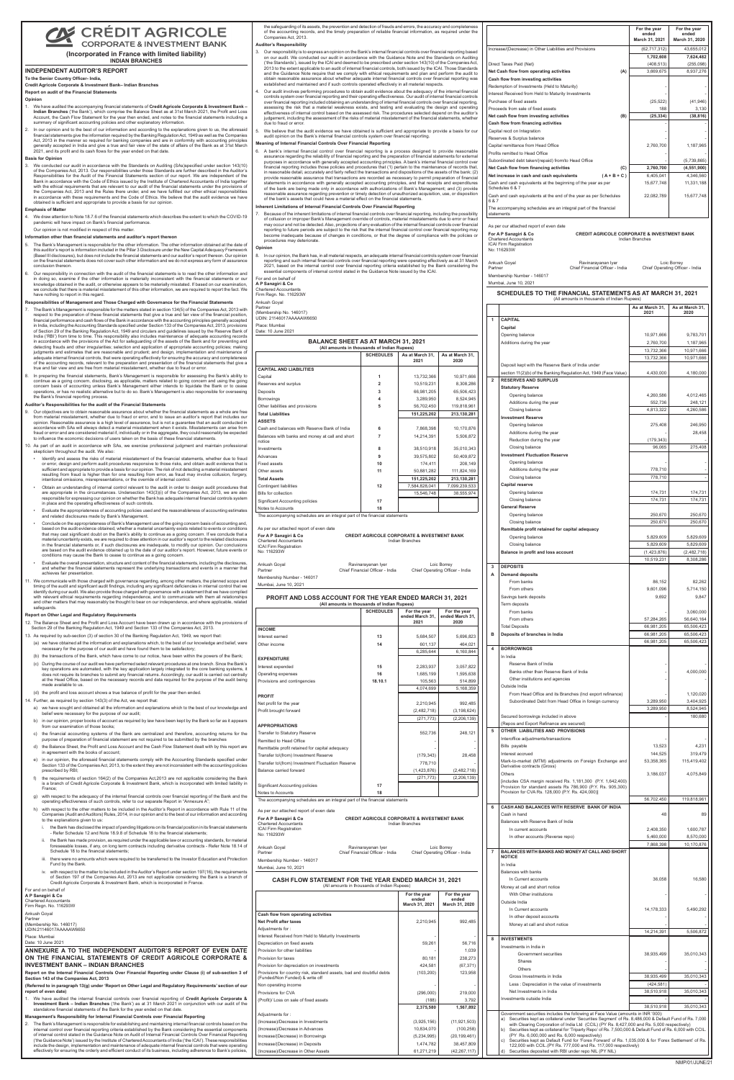# **Z CRÉDIT AGRICOLE**

### CORPORATE & INVESTMENT BANK **(Incorporated in France with limited liability) INDIAN BRANCHES**

the safeguarding of its assets, the prevention and detection of frauds and errors, the accuracy and completeness of the accounting records, and the timely preparation of reliable financial information, as required under the Companies Act, 2013.

### **Auditor's Responsibility**

- 3. Our responsibility is to express an opinion on the Bank's internal financial controls over financial reporting based on our audit. We conducted our audit in accordance with the Guidance Note and the Standards on Auditing ('the Standards'), issued by the ICAI and deemed to be prescribed under section 143(10) of the Companies Act, 2013 to the extent applicable to an audit of internal financial controls, both issued by the ICAI. Those Standards and the Guidance Note require that we comply with ethical requirements and plan and perform the audit to obtain reasonable assurance about whether adequate internal financial controls over financial reporting was established and maintained and if such controls operated effectively in all material respects.
- 4. Our audit involves performing procedures to obtain audit evidence about the adequacy of the internal financial controls system over financial reporting and their operating effectiveness. Our audit of internal financial controls<br>over financial reporting included obtaining an understanding of internal financial controls over financia assessing the risk that a material weakness exists, and testing and evaluating the design and operating effectiveness of internal control based on the assessed risk. The procedures selected depend on the auditor's judgement, including the assessment of the risks of material misstatement of the financial statements, whether due to fraud or erro
- We believe that the audit evidence we have obtained is sufficient and appropriate to provide a basis for our audit opinion on the Bank's internal financial controls system over financial reporting.

Because of the inherent limitations of internal financial controls over financial reporting, including the possibility<br>of collusion or improper Bank's Management override of controls, material misstatements due to error or of collusion or improper Bank's Management override of controls, material misstate may occur and not be detected. Also, projections of any evaluation of the internal financial controls over financial reporting to future periods are subject to the risk that the internal financial control over financial reporting may become inadequate because of changes in conditions, or that the degree of compliance with the policies or procedures may deteriorate.

### **Meaning of Internal Financial Controls Over Financial Reporting**

6. A bank's internal financial control over financial reporting is a process designed to provide reasonable assurance regarding the reliability of financial reporting and the preparation of financial statements for external<br>purposes in accordance with generally accepted accounting principles. A bank's internal financial control financial reporting includes those policies and procedures that (1) pertain to the maintenance of records that, in reasonable detail, accurately and fairly reflect the transactions and dispositions of the assets of the bank; (2) provide reasonable assurance that transactions are recorded as necessary to permit preparation of financial statements in accordance with generally accepted accounting principles, and that receipts and expenditures of the bank are being made only in accordance with authorizations of Bank's Management; and (3) provide reasonable assurance regarding prevention or timely detection of unauthorized acquisition, use, or disposition of the bank's assets that could have a material effect on the financial statements.

### **Inherent Limitations of Internal Financial Controls Over Financial Reporting**

**Opinion**

In our opinion, the Bank has, in all material respects, an adequate internal financial controls system over financia reporting and such internal financial controls over financial reporting were operating effectively as at 31 March<br>2021, based on the internal control over financial reporting criteria established by the Bank considering th

| For and on behalf of  |  |  |  |
|-----------------------|--|--|--|
| A P Sanzgiri & Co     |  |  |  |
| Chartered Accountants |  |  |  |

Firm Regn. No. 116293W Ankush Goyal Partner

(Membership No. 146017) UDIN: 21146017AAAAAW6650

Place: Mumbai Date: 10 June 2021

## **BALANCE SHEET**

| <u>DALANGE UNEEN AV ALIMANONI 91, 2021</u><br>(All amounts in thousands of Indian Rupees) |               |               |  |  |  |
|-------------------------------------------------------------------------------------------|---------------|---------------|--|--|--|
| <b>SCHEDULES</b><br>As at March 31,<br>As at March 31,<br>2021<br>2020                    |               |               |  |  |  |
|                                                                                           |               |               |  |  |  |
| 1                                                                                         | 13,732,366    | 10,971,666    |  |  |  |
| $\overline{2}$                                                                            | 10,519,231    | 8,308,286     |  |  |  |
| 3                                                                                         | 66,981,205    | 65,506,423    |  |  |  |
| 4                                                                                         | 3.289.950     | 8,524,945     |  |  |  |
| 5                                                                                         | 56,702,450    | 119,818,961   |  |  |  |
|                                                                                           | 151,225,202   | 213,130,281   |  |  |  |
|                                                                                           |               |               |  |  |  |
| 6                                                                                         | 7.868.398     | 10,170,876    |  |  |  |
| 7                                                                                         | 14,214,391    | 5,506,872     |  |  |  |
| 8                                                                                         | 38.510.918    | 35,010,343    |  |  |  |
| 9                                                                                         | 39,575,802    | 50,409,872    |  |  |  |
| 10                                                                                        | 174.411       | 208,149       |  |  |  |
| 11                                                                                        | 50.881.282    | 111,824,169   |  |  |  |
|                                                                                           | 151,225,202   | 213,130,281   |  |  |  |
| 12                                                                                        | 7.584.828.041 | 7,099,239,533 |  |  |  |
|                                                                                           | 15.546.748    | 38,555,974    |  |  |  |
| 17                                                                                        |               |               |  |  |  |
| 18                                                                                        |               |               |  |  |  |
|                                                                                           |               |               |  |  |  |

The accompanying schedules are an integral part <mark>c</mark>

|                             | s per our attached report of even date |
|-----------------------------|----------------------------------------|
| $\sim$ A B Controller C Co. |                                        |

| For A P Sanzgiri & Co         | <b>CREDIT AGRICOLE CORPORATE &amp; INVESTMENT BANK</b> |
|-------------------------------|--------------------------------------------------------|
| <b>Chartered Accountants</b>  | Indian Branches                                        |
| <b>ICAI Firm Registration</b> |                                                        |
| No: 116293W                   |                                                        |

| Ankush Goyal               | Ravinarayanan Iyer              | Loic Borrey                   |
|----------------------------|---------------------------------|-------------------------------|
| Partner                    | Chief Financial Officer - India | Chief Operating Officer - Inc |
| Membership Number - 146017 |                                 |                               |
| Mumbai, June 10, 2021      |                                 |                               |

**PROFIT AND LOSS ACCOUNT FO (All amounts in thousands of Indian Rupees)**

|                                                                                  |               | For the year<br>ended<br>March 31, 2021 | For the year<br>ended<br>March 31, 2020 |
|----------------------------------------------------------------------------------|---------------|-----------------------------------------|-----------------------------------------|
| Increase/(Decrease) in Other Liabilities and Provisions                          |               | (62, 717, 312)                          | 43,655,012                              |
|                                                                                  |               | 1,702,608                               | 7,624,482                               |
| Direct Taxes Paid (Net)                                                          |               | (408, 513)                              | (255,098)                               |
| Net Cash flow from operating activities                                          | (A)           | 3,669,675                               | 8,937,276                               |
| Cash flow from investing activities                                              |               |                                         |                                         |
| Redemption of Investments (Held to Maturity)                                     |               |                                         |                                         |
| Interest Received from Held to Maturity Investments                              |               |                                         |                                         |
| Purchase of fixed assets                                                         |               | (25, 522)                               | (41, 946)                               |
| Proceeds from sale of fixed assets                                               |               | 188                                     | 3,130                                   |
| Net cash flow from investing activities                                          | (B)           | (25, 334)                               | (38, 816)                               |
| Cash flow from financing activities                                              |               |                                         |                                         |
| Capital recd on Integration                                                      |               |                                         |                                         |
| Reserves & Surplus balance                                                       |               |                                         |                                         |
| Capital remittance from Head Office                                              |               | 2,760,700                               | 1,187,965                               |
| Profits remitted to Head Office                                                  |               |                                         |                                         |
| Subordinated debt taken/(repaid) from/to Head Office                             |               |                                         | (5,739,865)                             |
| Net Cash flow from financing activities                                          | (C)           | 2,760,700                               | (4,551,900)                             |
| Net increase in cash and cash equivalents                                        | $(A + B + C)$ | 6,405,041                               | 4,346,560                               |
| Cash and cash equivalents at the beginning of the year as per<br>Schedules 6 & 7 |               | 15,677,748                              | 11,331,188                              |
| Cash and cash equivalents at the end of the year as per Schedules<br>6 & 7       |               | 22,082,789                              | 15,677,748                              |
| The accompanying schedules are an integral part of the financial<br>statements   |               |                                         |                                         |
|                                                                                  |               |                                         |                                         |

### As per our attached report of even date

| <b>CAPITAL</b><br>$\mathbf{1}$<br>Capital<br>Opening balance<br>IEET AS AT MARCH 31, 2021<br>Additions during the year<br>s in thousands of Indian Rupees)<br><b>SCHEDULES</b><br>As at March 31,<br>As at March 31,<br>2020<br>2021<br>Deposit kept with the Reserve Bank of India under<br>section 11(2)(b) of the Banking Regulation Act, 1949 (Face Value)<br>1<br>13,732,366<br>10,971,666<br>$\overline{2}$<br><b>RESERVES AND SURPLUS</b><br>2<br>10,519,231<br>8,308,286<br><b>Statutory Reserve</b><br>3<br>66,981,205<br>65,506,423<br>Opening balance<br>3.289.950<br>4<br>8,524,945<br>Additions during the year<br>56,702,450<br>119,818,961<br>5<br>Closing balance<br>151,225,202<br>213,130,281<br><b>Investment Reserve</b><br>Opening balance<br>7,868,398<br>10,170,876<br>6<br>dia<br>Additions during the year<br>$\overline{7}$<br>short<br>14,214,391<br>5,506,872<br>Reduction during the year<br>Closing balance<br>35,010,343<br>8<br>38,510,918<br><b>Investment Fluctuation Reserve</b><br>9<br>39,575,802<br>50,409,872<br>Opening balance<br>208,149<br>10<br>174,411<br>Additions during the year<br>11<br>50,881,282<br>111,824,169<br>Closing balance<br>151,225,202<br>213,130,281<br><b>Capital reserve</b><br>7,584,828,041<br>7,099,239,533<br>12<br>Opening balance<br>38.555.974<br>15,546,748<br>Closing balance<br>17<br><b>General Reserve</b><br>18<br>Opening balance<br>I part of the financial statements<br>Closing balance<br>Remittable profit retained for capital adequacy<br><b>CREDIT AGRICOLE CORPORATE &amp; INVESTMENT BANK</b><br>Opening balance<br><b>Indian Branches</b><br>Closing balance<br>Balance in profit and loss account<br>Ravinarayanan Iyer<br>Loic Borrey<br><b>DEPOSITS</b><br>3<br>ief Financial Officer - India<br>Chief Operating Officer - India<br><b>Demand deposits</b><br>А<br>From banks<br>From others<br>Savings bank deposits<br><b>NT FOR THE YEAR ENDED MARCH 31, 2021</b><br>s in thousands of Indian Rupees)<br>Term deposits<br><b>SCHEDULES</b><br>For the year<br>For the year<br>From banks<br>ended March 31,<br>ended March 31,<br>From others<br>2021<br>2020<br><b>Total Deposits</b><br>в<br>Deposits of branches in India<br>5,696,823<br>13<br>5,684,507<br>14<br>464,021<br>601,137<br>4<br><b>BORROWINGS</b><br>6,285,644<br>6,160,844<br>In India<br>Reserve Bank of India<br>15<br>2,283,937<br>3,057,822<br>Banks other than Reserve Bank of India<br>16<br>1,595,638<br>1,685,199<br>Other institutions and agencies<br>18.10.1<br>105,563<br>514,899<br>Outside India<br>4,074,699<br>5,168,359<br>From Head Office and its Branches (Incl export refinance)<br>Subordinated Debt from Head Office in foreign currency<br>2,210,945<br>992.485<br>(2,482,718)<br>(3, 198, 624)<br>Secured borrowings included in above<br>(271, 773)<br>(2, 206, 139)<br>(Repos and Export Refinance are secured)<br>OTHER LIABILITIES AND PROVISIONS<br>5<br>552,736<br>248,121<br>Interoffice adjustments/transactions<br>Bills payable<br>Interest accrued<br>(179, 343)<br>28,458<br>Mark-to-market (MTM) adjustments on Foreign Exchange and<br>778,710<br>serve<br>Derivative contracts (Gross)<br>(1,423,876)<br>(2,482,718)<br>Others<br>(271, 773)<br>(2, 206, 139)<br>[includes CSA margin received Rs. 1,181,300 (P.Y. 1,642,400)<br>17<br>Provision for standard assets Rs 786,900 (P.Y. Rs. 905,300)<br>Provision for CVA Rs. 128,000 (P.Y. Rs. 424,000)]<br>18<br>I part of the financial statements<br>6<br>CASH AND BALANCES WITH RESERVE BANK OF INDIA<br>Cash in hand<br><b>CREDIT AGRICOLE CORPORATE &amp; INVESTMENT BANK</b><br>Balances with Reserve Bank of India<br>Indian Branches<br>In current accounts<br>In other accounts (Reverse repo)<br>Ravinarayanan Iyer<br>Loic Borrey<br>$\overline{7}$<br>BALANCES WITH BANKS AND MONEY AT CALL AND SHORT<br>ief Financial Officer - India<br>Chief Operating Officer - India<br><b>NOTICE</b><br>In India<br>Balances with banks<br>FOR THE YEAR ENDED MARCH 31, 2021<br>In Current accounts<br>ts in thousands of Indian Rupees)<br>Money at call and short notice<br>For the year<br>For the year<br>With Other institutions<br>ended<br>ended<br>Outside India<br>March 31, 2021<br>March 31, 2020<br>In Current accounts<br>In other deposit accounts<br>2,210,945<br>992,485<br>Money at call and short notice<br>stments<br><b>INVESTMENTS</b><br>8<br>59,261<br>56,716<br>Investments in India in<br>1,039<br>Government securities<br>238,273<br>80,181<br>Shares<br>424,581<br>(67, 371)<br>Others<br>123,958<br>bad and doubtful debts<br>(103, 200)<br>Gross Investments in India<br>Less: Depreciation in the value of investments<br>Net Investments in India<br>(296,000)<br>219,000<br>Investments outside India<br>(188)<br>3,792<br>2,375,580<br>1,567,892<br>Government securities includes the following at Face Value (amounts in INR '000):<br>a) Securities kept as collateral under 'Securities Segment' of Rs. 8,486,000 & Default Fund of Rs. 7,000<br>(3,925,156)<br>(11, 921, 503)<br>with Clearing Corporation of India Ltd (CCIL) (PY Rs. 8,427,000 and Rs. 5,000 respectively)<br>10,834,070<br>(100, 258)<br>Securities kept as collateral for 'Triparty Repo' of Rs. 7,500,000 & Default Fund of Rs. 6,000 with CCIL.<br>b)<br>(PY Rs. 6,000,000 and Rs. 6,000 respectively)<br>(5,234,995)<br>(20, 199, 461)<br>Securities kept as Default Fund for 'Forex Forward' of Rs. 1.035,000 & for 'Forex Settlement' of Rs.<br>C)<br>1,474,782<br>38,457,809<br>122,000 with CCIL.(PY Rs. 777,000 and Rs. 117,000 respectively) |  |            |                | (All amounts in thousands of Indian Rupees)                 |                         |                         |
|-------------------------------------------------------------------------------------------------------------------------------------------------------------------------------------------------------------------------------------------------------------------------------------------------------------------------------------------------------------------------------------------------------------------------------------------------------------------------------------------------------------------------------------------------------------------------------------------------------------------------------------------------------------------------------------------------------------------------------------------------------------------------------------------------------------------------------------------------------------------------------------------------------------------------------------------------------------------------------------------------------------------------------------------------------------------------------------------------------------------------------------------------------------------------------------------------------------------------------------------------------------------------------------------------------------------------------------------------------------------------------------------------------------------------------------------------------------------------------------------------------------------------------------------------------------------------------------------------------------------------------------------------------------------------------------------------------------------------------------------------------------------------------------------------------------------------------------------------------------------------------------------------------------------------------------------------------------------------------------------------------------------------------------------------------------------------------------------------------------------------------------------------------------------------------------------------------------------------------------------------------------------------------------------------------------------------------------------------------------------------------------------------------------------------------------------------------------------------------------------------------------------------------------------------------------------------------------------------------------------------------------------------------------------------------------------------------------------------------------------------------------------------------------------------------------------------------------------------------------------------------------------------------------------------------------------------------------------------------------------------------------------------------------------------------------------------------------------------------------------------------------------------------------------------------------------------------------------------------------------------------------------------------------------------------------------------------------------------------------------------------------------------------------------------------------------------------------------------------------------------------------------------------------------------------------------------------------------------------------------------------------------------------------------------------------------------------------------------------------------------------------------------------------------------------------------------------------------------------------------------------------------------------------------------------------------------------------------------------------------------------------------------------------------------------------------------------------------------------------------------------------------------------------------------------------------------------------------------------------------------------------------------------------------------------------------------------------------------------------------------------------------------------------------------------------------------------------------------------------------------------------------------------------------------------------------------------------------------------------------------------------------------------------------------------------------------------------------------------------------------------------------------------------------------------------------------------------------------------------------------------------------------------------------------------------------------------------------------------------------------------------------------------------------------------------------------------------------------------------------------------------------------------------------------------------------------------------------------------------------------------------------------------------------------------------------------------------------------------------------------------------------------------------------------------------------------------------------------------------------------------------------------------------------------------------------------------------------------------------------------------|--|------------|----------------|-------------------------------------------------------------|-------------------------|-------------------------|
|                                                                                                                                                                                                                                                                                                                                                                                                                                                                                                                                                                                                                                                                                                                                                                                                                                                                                                                                                                                                                                                                                                                                                                                                                                                                                                                                                                                                                                                                                                                                                                                                                                                                                                                                                                                                                                                                                                                                                                                                                                                                                                                                                                                                                                                                                                                                                                                                                                                                                                                                                                                                                                                                                                                                                                                                                                                                                                                                                                                                                                                                                                                                                                                                                                                                                                                                                                                                                                                                                                                                                                                                                                                                                                                                                                                                                                                                                                                                                                                                                                                                                                                                                                                                                                                                                                                                                                                                                                                                                                                                                                                                                                                                                                                                                                                                                                                                                                                                                                                                                                                                                                                                                                                                                                                                                                                                                                                                                                                                                                                                                                                                                               |  |            |                |                                                             | As at March 31,<br>2021 | As at March 31,<br>2020 |
|                                                                                                                                                                                                                                                                                                                                                                                                                                                                                                                                                                                                                                                                                                                                                                                                                                                                                                                                                                                                                                                                                                                                                                                                                                                                                                                                                                                                                                                                                                                                                                                                                                                                                                                                                                                                                                                                                                                                                                                                                                                                                                                                                                                                                                                                                                                                                                                                                                                                                                                                                                                                                                                                                                                                                                                                                                                                                                                                                                                                                                                                                                                                                                                                                                                                                                                                                                                                                                                                                                                                                                                                                                                                                                                                                                                                                                                                                                                                                                                                                                                                                                                                                                                                                                                                                                                                                                                                                                                                                                                                                                                                                                                                                                                                                                                                                                                                                                                                                                                                                                                                                                                                                                                                                                                                                                                                                                                                                                                                                                                                                                                                                               |  |            |                |                                                             |                         |                         |
|                                                                                                                                                                                                                                                                                                                                                                                                                                                                                                                                                                                                                                                                                                                                                                                                                                                                                                                                                                                                                                                                                                                                                                                                                                                                                                                                                                                                                                                                                                                                                                                                                                                                                                                                                                                                                                                                                                                                                                                                                                                                                                                                                                                                                                                                                                                                                                                                                                                                                                                                                                                                                                                                                                                                                                                                                                                                                                                                                                                                                                                                                                                                                                                                                                                                                                                                                                                                                                                                                                                                                                                                                                                                                                                                                                                                                                                                                                                                                                                                                                                                                                                                                                                                                                                                                                                                                                                                                                                                                                                                                                                                                                                                                                                                                                                                                                                                                                                                                                                                                                                                                                                                                                                                                                                                                                                                                                                                                                                                                                                                                                                                                               |  |            |                |                                                             |                         |                         |
|                                                                                                                                                                                                                                                                                                                                                                                                                                                                                                                                                                                                                                                                                                                                                                                                                                                                                                                                                                                                                                                                                                                                                                                                                                                                                                                                                                                                                                                                                                                                                                                                                                                                                                                                                                                                                                                                                                                                                                                                                                                                                                                                                                                                                                                                                                                                                                                                                                                                                                                                                                                                                                                                                                                                                                                                                                                                                                                                                                                                                                                                                                                                                                                                                                                                                                                                                                                                                                                                                                                                                                                                                                                                                                                                                                                                                                                                                                                                                                                                                                                                                                                                                                                                                                                                                                                                                                                                                                                                                                                                                                                                                                                                                                                                                                                                                                                                                                                                                                                                                                                                                                                                                                                                                                                                                                                                                                                                                                                                                                                                                                                                                               |  |            |                |                                                             | 10,971,666              | 9,783,701               |
|                                                                                                                                                                                                                                                                                                                                                                                                                                                                                                                                                                                                                                                                                                                                                                                                                                                                                                                                                                                                                                                                                                                                                                                                                                                                                                                                                                                                                                                                                                                                                                                                                                                                                                                                                                                                                                                                                                                                                                                                                                                                                                                                                                                                                                                                                                                                                                                                                                                                                                                                                                                                                                                                                                                                                                                                                                                                                                                                                                                                                                                                                                                                                                                                                                                                                                                                                                                                                                                                                                                                                                                                                                                                                                                                                                                                                                                                                                                                                                                                                                                                                                                                                                                                                                                                                                                                                                                                                                                                                                                                                                                                                                                                                                                                                                                                                                                                                                                                                                                                                                                                                                                                                                                                                                                                                                                                                                                                                                                                                                                                                                                                                               |  |            |                |                                                             | 2,760,700               | 1,187,965               |
|                                                                                                                                                                                                                                                                                                                                                                                                                                                                                                                                                                                                                                                                                                                                                                                                                                                                                                                                                                                                                                                                                                                                                                                                                                                                                                                                                                                                                                                                                                                                                                                                                                                                                                                                                                                                                                                                                                                                                                                                                                                                                                                                                                                                                                                                                                                                                                                                                                                                                                                                                                                                                                                                                                                                                                                                                                                                                                                                                                                                                                                                                                                                                                                                                                                                                                                                                                                                                                                                                                                                                                                                                                                                                                                                                                                                                                                                                                                                                                                                                                                                                                                                                                                                                                                                                                                                                                                                                                                                                                                                                                                                                                                                                                                                                                                                                                                                                                                                                                                                                                                                                                                                                                                                                                                                                                                                                                                                                                                                                                                                                                                                                               |  |            |                |                                                             | 13,732,366              | 10,971,666              |
|                                                                                                                                                                                                                                                                                                                                                                                                                                                                                                                                                                                                                                                                                                                                                                                                                                                                                                                                                                                                                                                                                                                                                                                                                                                                                                                                                                                                                                                                                                                                                                                                                                                                                                                                                                                                                                                                                                                                                                                                                                                                                                                                                                                                                                                                                                                                                                                                                                                                                                                                                                                                                                                                                                                                                                                                                                                                                                                                                                                                                                                                                                                                                                                                                                                                                                                                                                                                                                                                                                                                                                                                                                                                                                                                                                                                                                                                                                                                                                                                                                                                                                                                                                                                                                                                                                                                                                                                                                                                                                                                                                                                                                                                                                                                                                                                                                                                                                                                                                                                                                                                                                                                                                                                                                                                                                                                                                                                                                                                                                                                                                                                                               |  |            |                |                                                             | 13,732,366              | 10,971,666              |
|                                                                                                                                                                                                                                                                                                                                                                                                                                                                                                                                                                                                                                                                                                                                                                                                                                                                                                                                                                                                                                                                                                                                                                                                                                                                                                                                                                                                                                                                                                                                                                                                                                                                                                                                                                                                                                                                                                                                                                                                                                                                                                                                                                                                                                                                                                                                                                                                                                                                                                                                                                                                                                                                                                                                                                                                                                                                                                                                                                                                                                                                                                                                                                                                                                                                                                                                                                                                                                                                                                                                                                                                                                                                                                                                                                                                                                                                                                                                                                                                                                                                                                                                                                                                                                                                                                                                                                                                                                                                                                                                                                                                                                                                                                                                                                                                                                                                                                                                                                                                                                                                                                                                                                                                                                                                                                                                                                                                                                                                                                                                                                                                                               |  |            |                |                                                             |                         |                         |
|                                                                                                                                                                                                                                                                                                                                                                                                                                                                                                                                                                                                                                                                                                                                                                                                                                                                                                                                                                                                                                                                                                                                                                                                                                                                                                                                                                                                                                                                                                                                                                                                                                                                                                                                                                                                                                                                                                                                                                                                                                                                                                                                                                                                                                                                                                                                                                                                                                                                                                                                                                                                                                                                                                                                                                                                                                                                                                                                                                                                                                                                                                                                                                                                                                                                                                                                                                                                                                                                                                                                                                                                                                                                                                                                                                                                                                                                                                                                                                                                                                                                                                                                                                                                                                                                                                                                                                                                                                                                                                                                                                                                                                                                                                                                                                                                                                                                                                                                                                                                                                                                                                                                                                                                                                                                                                                                                                                                                                                                                                                                                                                                                               |  |            |                |                                                             | 4,430,000               | 4,180,000               |
|                                                                                                                                                                                                                                                                                                                                                                                                                                                                                                                                                                                                                                                                                                                                                                                                                                                                                                                                                                                                                                                                                                                                                                                                                                                                                                                                                                                                                                                                                                                                                                                                                                                                                                                                                                                                                                                                                                                                                                                                                                                                                                                                                                                                                                                                                                                                                                                                                                                                                                                                                                                                                                                                                                                                                                                                                                                                                                                                                                                                                                                                                                                                                                                                                                                                                                                                                                                                                                                                                                                                                                                                                                                                                                                                                                                                                                                                                                                                                                                                                                                                                                                                                                                                                                                                                                                                                                                                                                                                                                                                                                                                                                                                                                                                                                                                                                                                                                                                                                                                                                                                                                                                                                                                                                                                                                                                                                                                                                                                                                                                                                                                                               |  |            |                |                                                             |                         |                         |
|                                                                                                                                                                                                                                                                                                                                                                                                                                                                                                                                                                                                                                                                                                                                                                                                                                                                                                                                                                                                                                                                                                                                                                                                                                                                                                                                                                                                                                                                                                                                                                                                                                                                                                                                                                                                                                                                                                                                                                                                                                                                                                                                                                                                                                                                                                                                                                                                                                                                                                                                                                                                                                                                                                                                                                                                                                                                                                                                                                                                                                                                                                                                                                                                                                                                                                                                                                                                                                                                                                                                                                                                                                                                                                                                                                                                                                                                                                                                                                                                                                                                                                                                                                                                                                                                                                                                                                                                                                                                                                                                                                                                                                                                                                                                                                                                                                                                                                                                                                                                                                                                                                                                                                                                                                                                                                                                                                                                                                                                                                                                                                                                                               |  |            |                |                                                             | 4,260,586               | 4,012,465               |
|                                                                                                                                                                                                                                                                                                                                                                                                                                                                                                                                                                                                                                                                                                                                                                                                                                                                                                                                                                                                                                                                                                                                                                                                                                                                                                                                                                                                                                                                                                                                                                                                                                                                                                                                                                                                                                                                                                                                                                                                                                                                                                                                                                                                                                                                                                                                                                                                                                                                                                                                                                                                                                                                                                                                                                                                                                                                                                                                                                                                                                                                                                                                                                                                                                                                                                                                                                                                                                                                                                                                                                                                                                                                                                                                                                                                                                                                                                                                                                                                                                                                                                                                                                                                                                                                                                                                                                                                                                                                                                                                                                                                                                                                                                                                                                                                                                                                                                                                                                                                                                                                                                                                                                                                                                                                                                                                                                                                                                                                                                                                                                                                                               |  |            |                |                                                             | 552,736                 | 248,121                 |
|                                                                                                                                                                                                                                                                                                                                                                                                                                                                                                                                                                                                                                                                                                                                                                                                                                                                                                                                                                                                                                                                                                                                                                                                                                                                                                                                                                                                                                                                                                                                                                                                                                                                                                                                                                                                                                                                                                                                                                                                                                                                                                                                                                                                                                                                                                                                                                                                                                                                                                                                                                                                                                                                                                                                                                                                                                                                                                                                                                                                                                                                                                                                                                                                                                                                                                                                                                                                                                                                                                                                                                                                                                                                                                                                                                                                                                                                                                                                                                                                                                                                                                                                                                                                                                                                                                                                                                                                                                                                                                                                                                                                                                                                                                                                                                                                                                                                                                                                                                                                                                                                                                                                                                                                                                                                                                                                                                                                                                                                                                                                                                                                                               |  |            |                |                                                             | 4,813,322               | 4,260,586               |
|                                                                                                                                                                                                                                                                                                                                                                                                                                                                                                                                                                                                                                                                                                                                                                                                                                                                                                                                                                                                                                                                                                                                                                                                                                                                                                                                                                                                                                                                                                                                                                                                                                                                                                                                                                                                                                                                                                                                                                                                                                                                                                                                                                                                                                                                                                                                                                                                                                                                                                                                                                                                                                                                                                                                                                                                                                                                                                                                                                                                                                                                                                                                                                                                                                                                                                                                                                                                                                                                                                                                                                                                                                                                                                                                                                                                                                                                                                                                                                                                                                                                                                                                                                                                                                                                                                                                                                                                                                                                                                                                                                                                                                                                                                                                                                                                                                                                                                                                                                                                                                                                                                                                                                                                                                                                                                                                                                                                                                                                                                                                                                                                                               |  |            |                |                                                             |                         |                         |
|                                                                                                                                                                                                                                                                                                                                                                                                                                                                                                                                                                                                                                                                                                                                                                                                                                                                                                                                                                                                                                                                                                                                                                                                                                                                                                                                                                                                                                                                                                                                                                                                                                                                                                                                                                                                                                                                                                                                                                                                                                                                                                                                                                                                                                                                                                                                                                                                                                                                                                                                                                                                                                                                                                                                                                                                                                                                                                                                                                                                                                                                                                                                                                                                                                                                                                                                                                                                                                                                                                                                                                                                                                                                                                                                                                                                                                                                                                                                                                                                                                                                                                                                                                                                                                                                                                                                                                                                                                                                                                                                                                                                                                                                                                                                                                                                                                                                                                                                                                                                                                                                                                                                                                                                                                                                                                                                                                                                                                                                                                                                                                                                                               |  |            |                |                                                             | 275,408                 | 246,950                 |
|                                                                                                                                                                                                                                                                                                                                                                                                                                                                                                                                                                                                                                                                                                                                                                                                                                                                                                                                                                                                                                                                                                                                                                                                                                                                                                                                                                                                                                                                                                                                                                                                                                                                                                                                                                                                                                                                                                                                                                                                                                                                                                                                                                                                                                                                                                                                                                                                                                                                                                                                                                                                                                                                                                                                                                                                                                                                                                                                                                                                                                                                                                                                                                                                                                                                                                                                                                                                                                                                                                                                                                                                                                                                                                                                                                                                                                                                                                                                                                                                                                                                                                                                                                                                                                                                                                                                                                                                                                                                                                                                                                                                                                                                                                                                                                                                                                                                                                                                                                                                                                                                                                                                                                                                                                                                                                                                                                                                                                                                                                                                                                                                                               |  |            |                |                                                             |                         | 28,458                  |
|                                                                                                                                                                                                                                                                                                                                                                                                                                                                                                                                                                                                                                                                                                                                                                                                                                                                                                                                                                                                                                                                                                                                                                                                                                                                                                                                                                                                                                                                                                                                                                                                                                                                                                                                                                                                                                                                                                                                                                                                                                                                                                                                                                                                                                                                                                                                                                                                                                                                                                                                                                                                                                                                                                                                                                                                                                                                                                                                                                                                                                                                                                                                                                                                                                                                                                                                                                                                                                                                                                                                                                                                                                                                                                                                                                                                                                                                                                                                                                                                                                                                                                                                                                                                                                                                                                                                                                                                                                                                                                                                                                                                                                                                                                                                                                                                                                                                                                                                                                                                                                                                                                                                                                                                                                                                                                                                                                                                                                                                                                                                                                                                                               |  |            |                |                                                             | (179, 343)              |                         |
|                                                                                                                                                                                                                                                                                                                                                                                                                                                                                                                                                                                                                                                                                                                                                                                                                                                                                                                                                                                                                                                                                                                                                                                                                                                                                                                                                                                                                                                                                                                                                                                                                                                                                                                                                                                                                                                                                                                                                                                                                                                                                                                                                                                                                                                                                                                                                                                                                                                                                                                                                                                                                                                                                                                                                                                                                                                                                                                                                                                                                                                                                                                                                                                                                                                                                                                                                                                                                                                                                                                                                                                                                                                                                                                                                                                                                                                                                                                                                                                                                                                                                                                                                                                                                                                                                                                                                                                                                                                                                                                                                                                                                                                                                                                                                                                                                                                                                                                                                                                                                                                                                                                                                                                                                                                                                                                                                                                                                                                                                                                                                                                                                               |  |            |                |                                                             | 96,065                  | 275,408                 |
|                                                                                                                                                                                                                                                                                                                                                                                                                                                                                                                                                                                                                                                                                                                                                                                                                                                                                                                                                                                                                                                                                                                                                                                                                                                                                                                                                                                                                                                                                                                                                                                                                                                                                                                                                                                                                                                                                                                                                                                                                                                                                                                                                                                                                                                                                                                                                                                                                                                                                                                                                                                                                                                                                                                                                                                                                                                                                                                                                                                                                                                                                                                                                                                                                                                                                                                                                                                                                                                                                                                                                                                                                                                                                                                                                                                                                                                                                                                                                                                                                                                                                                                                                                                                                                                                                                                                                                                                                                                                                                                                                                                                                                                                                                                                                                                                                                                                                                                                                                                                                                                                                                                                                                                                                                                                                                                                                                                                                                                                                                                                                                                                                               |  |            |                |                                                             |                         |                         |
|                                                                                                                                                                                                                                                                                                                                                                                                                                                                                                                                                                                                                                                                                                                                                                                                                                                                                                                                                                                                                                                                                                                                                                                                                                                                                                                                                                                                                                                                                                                                                                                                                                                                                                                                                                                                                                                                                                                                                                                                                                                                                                                                                                                                                                                                                                                                                                                                                                                                                                                                                                                                                                                                                                                                                                                                                                                                                                                                                                                                                                                                                                                                                                                                                                                                                                                                                                                                                                                                                                                                                                                                                                                                                                                                                                                                                                                                                                                                                                                                                                                                                                                                                                                                                                                                                                                                                                                                                                                                                                                                                                                                                                                                                                                                                                                                                                                                                                                                                                                                                                                                                                                                                                                                                                                                                                                                                                                                                                                                                                                                                                                                                               |  |            |                |                                                             | 778,710                 |                         |
|                                                                                                                                                                                                                                                                                                                                                                                                                                                                                                                                                                                                                                                                                                                                                                                                                                                                                                                                                                                                                                                                                                                                                                                                                                                                                                                                                                                                                                                                                                                                                                                                                                                                                                                                                                                                                                                                                                                                                                                                                                                                                                                                                                                                                                                                                                                                                                                                                                                                                                                                                                                                                                                                                                                                                                                                                                                                                                                                                                                                                                                                                                                                                                                                                                                                                                                                                                                                                                                                                                                                                                                                                                                                                                                                                                                                                                                                                                                                                                                                                                                                                                                                                                                                                                                                                                                                                                                                                                                                                                                                                                                                                                                                                                                                                                                                                                                                                                                                                                                                                                                                                                                                                                                                                                                                                                                                                                                                                                                                                                                                                                                                                               |  |            |                |                                                             | 778,710                 |                         |
|                                                                                                                                                                                                                                                                                                                                                                                                                                                                                                                                                                                                                                                                                                                                                                                                                                                                                                                                                                                                                                                                                                                                                                                                                                                                                                                                                                                                                                                                                                                                                                                                                                                                                                                                                                                                                                                                                                                                                                                                                                                                                                                                                                                                                                                                                                                                                                                                                                                                                                                                                                                                                                                                                                                                                                                                                                                                                                                                                                                                                                                                                                                                                                                                                                                                                                                                                                                                                                                                                                                                                                                                                                                                                                                                                                                                                                                                                                                                                                                                                                                                                                                                                                                                                                                                                                                                                                                                                                                                                                                                                                                                                                                                                                                                                                                                                                                                                                                                                                                                                                                                                                                                                                                                                                                                                                                                                                                                                                                                                                                                                                                                                               |  |            |                |                                                             |                         |                         |
|                                                                                                                                                                                                                                                                                                                                                                                                                                                                                                                                                                                                                                                                                                                                                                                                                                                                                                                                                                                                                                                                                                                                                                                                                                                                                                                                                                                                                                                                                                                                                                                                                                                                                                                                                                                                                                                                                                                                                                                                                                                                                                                                                                                                                                                                                                                                                                                                                                                                                                                                                                                                                                                                                                                                                                                                                                                                                                                                                                                                                                                                                                                                                                                                                                                                                                                                                                                                                                                                                                                                                                                                                                                                                                                                                                                                                                                                                                                                                                                                                                                                                                                                                                                                                                                                                                                                                                                                                                                                                                                                                                                                                                                                                                                                                                                                                                                                                                                                                                                                                                                                                                                                                                                                                                                                                                                                                                                                                                                                                                                                                                                                                               |  |            |                |                                                             | 174,731                 | 174,731                 |
|                                                                                                                                                                                                                                                                                                                                                                                                                                                                                                                                                                                                                                                                                                                                                                                                                                                                                                                                                                                                                                                                                                                                                                                                                                                                                                                                                                                                                                                                                                                                                                                                                                                                                                                                                                                                                                                                                                                                                                                                                                                                                                                                                                                                                                                                                                                                                                                                                                                                                                                                                                                                                                                                                                                                                                                                                                                                                                                                                                                                                                                                                                                                                                                                                                                                                                                                                                                                                                                                                                                                                                                                                                                                                                                                                                                                                                                                                                                                                                                                                                                                                                                                                                                                                                                                                                                                                                                                                                                                                                                                                                                                                                                                                                                                                                                                                                                                                                                                                                                                                                                                                                                                                                                                                                                                                                                                                                                                                                                                                                                                                                                                                               |  |            |                |                                                             | 174,731                 | 174,731                 |
|                                                                                                                                                                                                                                                                                                                                                                                                                                                                                                                                                                                                                                                                                                                                                                                                                                                                                                                                                                                                                                                                                                                                                                                                                                                                                                                                                                                                                                                                                                                                                                                                                                                                                                                                                                                                                                                                                                                                                                                                                                                                                                                                                                                                                                                                                                                                                                                                                                                                                                                                                                                                                                                                                                                                                                                                                                                                                                                                                                                                                                                                                                                                                                                                                                                                                                                                                                                                                                                                                                                                                                                                                                                                                                                                                                                                                                                                                                                                                                                                                                                                                                                                                                                                                                                                                                                                                                                                                                                                                                                                                                                                                                                                                                                                                                                                                                                                                                                                                                                                                                                                                                                                                                                                                                                                                                                                                                                                                                                                                                                                                                                                                               |  |            |                |                                                             |                         |                         |
|                                                                                                                                                                                                                                                                                                                                                                                                                                                                                                                                                                                                                                                                                                                                                                                                                                                                                                                                                                                                                                                                                                                                                                                                                                                                                                                                                                                                                                                                                                                                                                                                                                                                                                                                                                                                                                                                                                                                                                                                                                                                                                                                                                                                                                                                                                                                                                                                                                                                                                                                                                                                                                                                                                                                                                                                                                                                                                                                                                                                                                                                                                                                                                                                                                                                                                                                                                                                                                                                                                                                                                                                                                                                                                                                                                                                                                                                                                                                                                                                                                                                                                                                                                                                                                                                                                                                                                                                                                                                                                                                                                                                                                                                                                                                                                                                                                                                                                                                                                                                                                                                                                                                                                                                                                                                                                                                                                                                                                                                                                                                                                                                                               |  |            |                |                                                             | 250,670                 | 250,670                 |
|                                                                                                                                                                                                                                                                                                                                                                                                                                                                                                                                                                                                                                                                                                                                                                                                                                                                                                                                                                                                                                                                                                                                                                                                                                                                                                                                                                                                                                                                                                                                                                                                                                                                                                                                                                                                                                                                                                                                                                                                                                                                                                                                                                                                                                                                                                                                                                                                                                                                                                                                                                                                                                                                                                                                                                                                                                                                                                                                                                                                                                                                                                                                                                                                                                                                                                                                                                                                                                                                                                                                                                                                                                                                                                                                                                                                                                                                                                                                                                                                                                                                                                                                                                                                                                                                                                                                                                                                                                                                                                                                                                                                                                                                                                                                                                                                                                                                                                                                                                                                                                                                                                                                                                                                                                                                                                                                                                                                                                                                                                                                                                                                                               |  |            |                |                                                             | 250,670                 | 250,670                 |
|                                                                                                                                                                                                                                                                                                                                                                                                                                                                                                                                                                                                                                                                                                                                                                                                                                                                                                                                                                                                                                                                                                                                                                                                                                                                                                                                                                                                                                                                                                                                                                                                                                                                                                                                                                                                                                                                                                                                                                                                                                                                                                                                                                                                                                                                                                                                                                                                                                                                                                                                                                                                                                                                                                                                                                                                                                                                                                                                                                                                                                                                                                                                                                                                                                                                                                                                                                                                                                                                                                                                                                                                                                                                                                                                                                                                                                                                                                                                                                                                                                                                                                                                                                                                                                                                                                                                                                                                                                                                                                                                                                                                                                                                                                                                                                                                                                                                                                                                                                                                                                                                                                                                                                                                                                                                                                                                                                                                                                                                                                                                                                                                                               |  |            |                |                                                             |                         |                         |
|                                                                                                                                                                                                                                                                                                                                                                                                                                                                                                                                                                                                                                                                                                                                                                                                                                                                                                                                                                                                                                                                                                                                                                                                                                                                                                                                                                                                                                                                                                                                                                                                                                                                                                                                                                                                                                                                                                                                                                                                                                                                                                                                                                                                                                                                                                                                                                                                                                                                                                                                                                                                                                                                                                                                                                                                                                                                                                                                                                                                                                                                                                                                                                                                                                                                                                                                                                                                                                                                                                                                                                                                                                                                                                                                                                                                                                                                                                                                                                                                                                                                                                                                                                                                                                                                                                                                                                                                                                                                                                                                                                                                                                                                                                                                                                                                                                                                                                                                                                                                                                                                                                                                                                                                                                                                                                                                                                                                                                                                                                                                                                                                                               |  |            |                |                                                             | 5,829,609               | 5,829,609               |
|                                                                                                                                                                                                                                                                                                                                                                                                                                                                                                                                                                                                                                                                                                                                                                                                                                                                                                                                                                                                                                                                                                                                                                                                                                                                                                                                                                                                                                                                                                                                                                                                                                                                                                                                                                                                                                                                                                                                                                                                                                                                                                                                                                                                                                                                                                                                                                                                                                                                                                                                                                                                                                                                                                                                                                                                                                                                                                                                                                                                                                                                                                                                                                                                                                                                                                                                                                                                                                                                                                                                                                                                                                                                                                                                                                                                                                                                                                                                                                                                                                                                                                                                                                                                                                                                                                                                                                                                                                                                                                                                                                                                                                                                                                                                                                                                                                                                                                                                                                                                                                                                                                                                                                                                                                                                                                                                                                                                                                                                                                                                                                                                                               |  |            |                |                                                             | 5,829,609               | 5,829,609               |
|                                                                                                                                                                                                                                                                                                                                                                                                                                                                                                                                                                                                                                                                                                                                                                                                                                                                                                                                                                                                                                                                                                                                                                                                                                                                                                                                                                                                                                                                                                                                                                                                                                                                                                                                                                                                                                                                                                                                                                                                                                                                                                                                                                                                                                                                                                                                                                                                                                                                                                                                                                                                                                                                                                                                                                                                                                                                                                                                                                                                                                                                                                                                                                                                                                                                                                                                                                                                                                                                                                                                                                                                                                                                                                                                                                                                                                                                                                                                                                                                                                                                                                                                                                                                                                                                                                                                                                                                                                                                                                                                                                                                                                                                                                                                                                                                                                                                                                                                                                                                                                                                                                                                                                                                                                                                                                                                                                                                                                                                                                                                                                                                                               |  |            |                |                                                             | (1,423,876)             | (2,482,718)             |
|                                                                                                                                                                                                                                                                                                                                                                                                                                                                                                                                                                                                                                                                                                                                                                                                                                                                                                                                                                                                                                                                                                                                                                                                                                                                                                                                                                                                                                                                                                                                                                                                                                                                                                                                                                                                                                                                                                                                                                                                                                                                                                                                                                                                                                                                                                                                                                                                                                                                                                                                                                                                                                                                                                                                                                                                                                                                                                                                                                                                                                                                                                                                                                                                                                                                                                                                                                                                                                                                                                                                                                                                                                                                                                                                                                                                                                                                                                                                                                                                                                                                                                                                                                                                                                                                                                                                                                                                                                                                                                                                                                                                                                                                                                                                                                                                                                                                                                                                                                                                                                                                                                                                                                                                                                                                                                                                                                                                                                                                                                                                                                                                                               |  |            |                |                                                             | 10,519,231              | 8,308,286               |
|                                                                                                                                                                                                                                                                                                                                                                                                                                                                                                                                                                                                                                                                                                                                                                                                                                                                                                                                                                                                                                                                                                                                                                                                                                                                                                                                                                                                                                                                                                                                                                                                                                                                                                                                                                                                                                                                                                                                                                                                                                                                                                                                                                                                                                                                                                                                                                                                                                                                                                                                                                                                                                                                                                                                                                                                                                                                                                                                                                                                                                                                                                                                                                                                                                                                                                                                                                                                                                                                                                                                                                                                                                                                                                                                                                                                                                                                                                                                                                                                                                                                                                                                                                                                                                                                                                                                                                                                                                                                                                                                                                                                                                                                                                                                                                                                                                                                                                                                                                                                                                                                                                                                                                                                                                                                                                                                                                                                                                                                                                                                                                                                                               |  |            |                |                                                             |                         |                         |
|                                                                                                                                                                                                                                                                                                                                                                                                                                                                                                                                                                                                                                                                                                                                                                                                                                                                                                                                                                                                                                                                                                                                                                                                                                                                                                                                                                                                                                                                                                                                                                                                                                                                                                                                                                                                                                                                                                                                                                                                                                                                                                                                                                                                                                                                                                                                                                                                                                                                                                                                                                                                                                                                                                                                                                                                                                                                                                                                                                                                                                                                                                                                                                                                                                                                                                                                                                                                                                                                                                                                                                                                                                                                                                                                                                                                                                                                                                                                                                                                                                                                                                                                                                                                                                                                                                                                                                                                                                                                                                                                                                                                                                                                                                                                                                                                                                                                                                                                                                                                                                                                                                                                                                                                                                                                                                                                                                                                                                                                                                                                                                                                                               |  |            |                |                                                             |                         |                         |
|                                                                                                                                                                                                                                                                                                                                                                                                                                                                                                                                                                                                                                                                                                                                                                                                                                                                                                                                                                                                                                                                                                                                                                                                                                                                                                                                                                                                                                                                                                                                                                                                                                                                                                                                                                                                                                                                                                                                                                                                                                                                                                                                                                                                                                                                                                                                                                                                                                                                                                                                                                                                                                                                                                                                                                                                                                                                                                                                                                                                                                                                                                                                                                                                                                                                                                                                                                                                                                                                                                                                                                                                                                                                                                                                                                                                                                                                                                                                                                                                                                                                                                                                                                                                                                                                                                                                                                                                                                                                                                                                                                                                                                                                                                                                                                                                                                                                                                                                                                                                                                                                                                                                                                                                                                                                                                                                                                                                                                                                                                                                                                                                                               |  |            |                |                                                             | 86,152<br>9,601,096     | 82,262<br>5,714,150     |
|                                                                                                                                                                                                                                                                                                                                                                                                                                                                                                                                                                                                                                                                                                                                                                                                                                                                                                                                                                                                                                                                                                                                                                                                                                                                                                                                                                                                                                                                                                                                                                                                                                                                                                                                                                                                                                                                                                                                                                                                                                                                                                                                                                                                                                                                                                                                                                                                                                                                                                                                                                                                                                                                                                                                                                                                                                                                                                                                                                                                                                                                                                                                                                                                                                                                                                                                                                                                                                                                                                                                                                                                                                                                                                                                                                                                                                                                                                                                                                                                                                                                                                                                                                                                                                                                                                                                                                                                                                                                                                                                                                                                                                                                                                                                                                                                                                                                                                                                                                                                                                                                                                                                                                                                                                                                                                                                                                                                                                                                                                                                                                                                                               |  |            |                |                                                             | 9,692                   | 9,847                   |
|                                                                                                                                                                                                                                                                                                                                                                                                                                                                                                                                                                                                                                                                                                                                                                                                                                                                                                                                                                                                                                                                                                                                                                                                                                                                                                                                                                                                                                                                                                                                                                                                                                                                                                                                                                                                                                                                                                                                                                                                                                                                                                                                                                                                                                                                                                                                                                                                                                                                                                                                                                                                                                                                                                                                                                                                                                                                                                                                                                                                                                                                                                                                                                                                                                                                                                                                                                                                                                                                                                                                                                                                                                                                                                                                                                                                                                                                                                                                                                                                                                                                                                                                                                                                                                                                                                                                                                                                                                                                                                                                                                                                                                                                                                                                                                                                                                                                                                                                                                                                                                                                                                                                                                                                                                                                                                                                                                                                                                                                                                                                                                                                                               |  |            |                |                                                             |                         |                         |
|                                                                                                                                                                                                                                                                                                                                                                                                                                                                                                                                                                                                                                                                                                                                                                                                                                                                                                                                                                                                                                                                                                                                                                                                                                                                                                                                                                                                                                                                                                                                                                                                                                                                                                                                                                                                                                                                                                                                                                                                                                                                                                                                                                                                                                                                                                                                                                                                                                                                                                                                                                                                                                                                                                                                                                                                                                                                                                                                                                                                                                                                                                                                                                                                                                                                                                                                                                                                                                                                                                                                                                                                                                                                                                                                                                                                                                                                                                                                                                                                                                                                                                                                                                                                                                                                                                                                                                                                                                                                                                                                                                                                                                                                                                                                                                                                                                                                                                                                                                                                                                                                                                                                                                                                                                                                                                                                                                                                                                                                                                                                                                                                                               |  |            |                |                                                             |                         | 3,060,000               |
|                                                                                                                                                                                                                                                                                                                                                                                                                                                                                                                                                                                                                                                                                                                                                                                                                                                                                                                                                                                                                                                                                                                                                                                                                                                                                                                                                                                                                                                                                                                                                                                                                                                                                                                                                                                                                                                                                                                                                                                                                                                                                                                                                                                                                                                                                                                                                                                                                                                                                                                                                                                                                                                                                                                                                                                                                                                                                                                                                                                                                                                                                                                                                                                                                                                                                                                                                                                                                                                                                                                                                                                                                                                                                                                                                                                                                                                                                                                                                                                                                                                                                                                                                                                                                                                                                                                                                                                                                                                                                                                                                                                                                                                                                                                                                                                                                                                                                                                                                                                                                                                                                                                                                                                                                                                                                                                                                                                                                                                                                                                                                                                                                               |  |            |                |                                                             | 57,284,265              | 56,640,164              |
|                                                                                                                                                                                                                                                                                                                                                                                                                                                                                                                                                                                                                                                                                                                                                                                                                                                                                                                                                                                                                                                                                                                                                                                                                                                                                                                                                                                                                                                                                                                                                                                                                                                                                                                                                                                                                                                                                                                                                                                                                                                                                                                                                                                                                                                                                                                                                                                                                                                                                                                                                                                                                                                                                                                                                                                                                                                                                                                                                                                                                                                                                                                                                                                                                                                                                                                                                                                                                                                                                                                                                                                                                                                                                                                                                                                                                                                                                                                                                                                                                                                                                                                                                                                                                                                                                                                                                                                                                                                                                                                                                                                                                                                                                                                                                                                                                                                                                                                                                                                                                                                                                                                                                                                                                                                                                                                                                                                                                                                                                                                                                                                                                               |  |            |                |                                                             | 66,981,205              | 65,506,423              |
|                                                                                                                                                                                                                                                                                                                                                                                                                                                                                                                                                                                                                                                                                                                                                                                                                                                                                                                                                                                                                                                                                                                                                                                                                                                                                                                                                                                                                                                                                                                                                                                                                                                                                                                                                                                                                                                                                                                                                                                                                                                                                                                                                                                                                                                                                                                                                                                                                                                                                                                                                                                                                                                                                                                                                                                                                                                                                                                                                                                                                                                                                                                                                                                                                                                                                                                                                                                                                                                                                                                                                                                                                                                                                                                                                                                                                                                                                                                                                                                                                                                                                                                                                                                                                                                                                                                                                                                                                                                                                                                                                                                                                                                                                                                                                                                                                                                                                                                                                                                                                                                                                                                                                                                                                                                                                                                                                                                                                                                                                                                                                                                                                               |  |            |                |                                                             | 66,981,205              | 65,506,423              |
|                                                                                                                                                                                                                                                                                                                                                                                                                                                                                                                                                                                                                                                                                                                                                                                                                                                                                                                                                                                                                                                                                                                                                                                                                                                                                                                                                                                                                                                                                                                                                                                                                                                                                                                                                                                                                                                                                                                                                                                                                                                                                                                                                                                                                                                                                                                                                                                                                                                                                                                                                                                                                                                                                                                                                                                                                                                                                                                                                                                                                                                                                                                                                                                                                                                                                                                                                                                                                                                                                                                                                                                                                                                                                                                                                                                                                                                                                                                                                                                                                                                                                                                                                                                                                                                                                                                                                                                                                                                                                                                                                                                                                                                                                                                                                                                                                                                                                                                                                                                                                                                                                                                                                                                                                                                                                                                                                                                                                                                                                                                                                                                                                               |  |            |                |                                                             | 66,981,205              | 65,506,423              |
|                                                                                                                                                                                                                                                                                                                                                                                                                                                                                                                                                                                                                                                                                                                                                                                                                                                                                                                                                                                                                                                                                                                                                                                                                                                                                                                                                                                                                                                                                                                                                                                                                                                                                                                                                                                                                                                                                                                                                                                                                                                                                                                                                                                                                                                                                                                                                                                                                                                                                                                                                                                                                                                                                                                                                                                                                                                                                                                                                                                                                                                                                                                                                                                                                                                                                                                                                                                                                                                                                                                                                                                                                                                                                                                                                                                                                                                                                                                                                                                                                                                                                                                                                                                                                                                                                                                                                                                                                                                                                                                                                                                                                                                                                                                                                                                                                                                                                                                                                                                                                                                                                                                                                                                                                                                                                                                                                                                                                                                                                                                                                                                                                               |  |            |                |                                                             |                         |                         |
|                                                                                                                                                                                                                                                                                                                                                                                                                                                                                                                                                                                                                                                                                                                                                                                                                                                                                                                                                                                                                                                                                                                                                                                                                                                                                                                                                                                                                                                                                                                                                                                                                                                                                                                                                                                                                                                                                                                                                                                                                                                                                                                                                                                                                                                                                                                                                                                                                                                                                                                                                                                                                                                                                                                                                                                                                                                                                                                                                                                                                                                                                                                                                                                                                                                                                                                                                                                                                                                                                                                                                                                                                                                                                                                                                                                                                                                                                                                                                                                                                                                                                                                                                                                                                                                                                                                                                                                                                                                                                                                                                                                                                                                                                                                                                                                                                                                                                                                                                                                                                                                                                                                                                                                                                                                                                                                                                                                                                                                                                                                                                                                                                               |  |            |                |                                                             |                         |                         |
|                                                                                                                                                                                                                                                                                                                                                                                                                                                                                                                                                                                                                                                                                                                                                                                                                                                                                                                                                                                                                                                                                                                                                                                                                                                                                                                                                                                                                                                                                                                                                                                                                                                                                                                                                                                                                                                                                                                                                                                                                                                                                                                                                                                                                                                                                                                                                                                                                                                                                                                                                                                                                                                                                                                                                                                                                                                                                                                                                                                                                                                                                                                                                                                                                                                                                                                                                                                                                                                                                                                                                                                                                                                                                                                                                                                                                                                                                                                                                                                                                                                                                                                                                                                                                                                                                                                                                                                                                                                                                                                                                                                                                                                                                                                                                                                                                                                                                                                                                                                                                                                                                                                                                                                                                                                                                                                                                                                                                                                                                                                                                                                                                               |  |            |                |                                                             |                         |                         |
|                                                                                                                                                                                                                                                                                                                                                                                                                                                                                                                                                                                                                                                                                                                                                                                                                                                                                                                                                                                                                                                                                                                                                                                                                                                                                                                                                                                                                                                                                                                                                                                                                                                                                                                                                                                                                                                                                                                                                                                                                                                                                                                                                                                                                                                                                                                                                                                                                                                                                                                                                                                                                                                                                                                                                                                                                                                                                                                                                                                                                                                                                                                                                                                                                                                                                                                                                                                                                                                                                                                                                                                                                                                                                                                                                                                                                                                                                                                                                                                                                                                                                                                                                                                                                                                                                                                                                                                                                                                                                                                                                                                                                                                                                                                                                                                                                                                                                                                                                                                                                                                                                                                                                                                                                                                                                                                                                                                                                                                                                                                                                                                                                               |  |            |                |                                                             |                         | 4,000,000               |
|                                                                                                                                                                                                                                                                                                                                                                                                                                                                                                                                                                                                                                                                                                                                                                                                                                                                                                                                                                                                                                                                                                                                                                                                                                                                                                                                                                                                                                                                                                                                                                                                                                                                                                                                                                                                                                                                                                                                                                                                                                                                                                                                                                                                                                                                                                                                                                                                                                                                                                                                                                                                                                                                                                                                                                                                                                                                                                                                                                                                                                                                                                                                                                                                                                                                                                                                                                                                                                                                                                                                                                                                                                                                                                                                                                                                                                                                                                                                                                                                                                                                                                                                                                                                                                                                                                                                                                                                                                                                                                                                                                                                                                                                                                                                                                                                                                                                                                                                                                                                                                                                                                                                                                                                                                                                                                                                                                                                                                                                                                                                                                                                                               |  |            |                |                                                             |                         |                         |
|                                                                                                                                                                                                                                                                                                                                                                                                                                                                                                                                                                                                                                                                                                                                                                                                                                                                                                                                                                                                                                                                                                                                                                                                                                                                                                                                                                                                                                                                                                                                                                                                                                                                                                                                                                                                                                                                                                                                                                                                                                                                                                                                                                                                                                                                                                                                                                                                                                                                                                                                                                                                                                                                                                                                                                                                                                                                                                                                                                                                                                                                                                                                                                                                                                                                                                                                                                                                                                                                                                                                                                                                                                                                                                                                                                                                                                                                                                                                                                                                                                                                                                                                                                                                                                                                                                                                                                                                                                                                                                                                                                                                                                                                                                                                                                                                                                                                                                                                                                                                                                                                                                                                                                                                                                                                                                                                                                                                                                                                                                                                                                                                                               |  |            |                |                                                             |                         |                         |
|                                                                                                                                                                                                                                                                                                                                                                                                                                                                                                                                                                                                                                                                                                                                                                                                                                                                                                                                                                                                                                                                                                                                                                                                                                                                                                                                                                                                                                                                                                                                                                                                                                                                                                                                                                                                                                                                                                                                                                                                                                                                                                                                                                                                                                                                                                                                                                                                                                                                                                                                                                                                                                                                                                                                                                                                                                                                                                                                                                                                                                                                                                                                                                                                                                                                                                                                                                                                                                                                                                                                                                                                                                                                                                                                                                                                                                                                                                                                                                                                                                                                                                                                                                                                                                                                                                                                                                                                                                                                                                                                                                                                                                                                                                                                                                                                                                                                                                                                                                                                                                                                                                                                                                                                                                                                                                                                                                                                                                                                                                                                                                                                                               |  |            |                |                                                             |                         | 1,120,020               |
|                                                                                                                                                                                                                                                                                                                                                                                                                                                                                                                                                                                                                                                                                                                                                                                                                                                                                                                                                                                                                                                                                                                                                                                                                                                                                                                                                                                                                                                                                                                                                                                                                                                                                                                                                                                                                                                                                                                                                                                                                                                                                                                                                                                                                                                                                                                                                                                                                                                                                                                                                                                                                                                                                                                                                                                                                                                                                                                                                                                                                                                                                                                                                                                                                                                                                                                                                                                                                                                                                                                                                                                                                                                                                                                                                                                                                                                                                                                                                                                                                                                                                                                                                                                                                                                                                                                                                                                                                                                                                                                                                                                                                                                                                                                                                                                                                                                                                                                                                                                                                                                                                                                                                                                                                                                                                                                                                                                                                                                                                                                                                                                                                               |  |            |                |                                                             | 3,289,950               | 3,404,925               |
|                                                                                                                                                                                                                                                                                                                                                                                                                                                                                                                                                                                                                                                                                                                                                                                                                                                                                                                                                                                                                                                                                                                                                                                                                                                                                                                                                                                                                                                                                                                                                                                                                                                                                                                                                                                                                                                                                                                                                                                                                                                                                                                                                                                                                                                                                                                                                                                                                                                                                                                                                                                                                                                                                                                                                                                                                                                                                                                                                                                                                                                                                                                                                                                                                                                                                                                                                                                                                                                                                                                                                                                                                                                                                                                                                                                                                                                                                                                                                                                                                                                                                                                                                                                                                                                                                                                                                                                                                                                                                                                                                                                                                                                                                                                                                                                                                                                                                                                                                                                                                                                                                                                                                                                                                                                                                                                                                                                                                                                                                                                                                                                                                               |  |            |                |                                                             | 3,289,950               | 8,524,945               |
|                                                                                                                                                                                                                                                                                                                                                                                                                                                                                                                                                                                                                                                                                                                                                                                                                                                                                                                                                                                                                                                                                                                                                                                                                                                                                                                                                                                                                                                                                                                                                                                                                                                                                                                                                                                                                                                                                                                                                                                                                                                                                                                                                                                                                                                                                                                                                                                                                                                                                                                                                                                                                                                                                                                                                                                                                                                                                                                                                                                                                                                                                                                                                                                                                                                                                                                                                                                                                                                                                                                                                                                                                                                                                                                                                                                                                                                                                                                                                                                                                                                                                                                                                                                                                                                                                                                                                                                                                                                                                                                                                                                                                                                                                                                                                                                                                                                                                                                                                                                                                                                                                                                                                                                                                                                                                                                                                                                                                                                                                                                                                                                                                               |  |            |                |                                                             |                         | 180,680                 |
|                                                                                                                                                                                                                                                                                                                                                                                                                                                                                                                                                                                                                                                                                                                                                                                                                                                                                                                                                                                                                                                                                                                                                                                                                                                                                                                                                                                                                                                                                                                                                                                                                                                                                                                                                                                                                                                                                                                                                                                                                                                                                                                                                                                                                                                                                                                                                                                                                                                                                                                                                                                                                                                                                                                                                                                                                                                                                                                                                                                                                                                                                                                                                                                                                                                                                                                                                                                                                                                                                                                                                                                                                                                                                                                                                                                                                                                                                                                                                                                                                                                                                                                                                                                                                                                                                                                                                                                                                                                                                                                                                                                                                                                                                                                                                                                                                                                                                                                                                                                                                                                                                                                                                                                                                                                                                                                                                                                                                                                                                                                                                                                                                               |  |            |                |                                                             |                         |                         |
|                                                                                                                                                                                                                                                                                                                                                                                                                                                                                                                                                                                                                                                                                                                                                                                                                                                                                                                                                                                                                                                                                                                                                                                                                                                                                                                                                                                                                                                                                                                                                                                                                                                                                                                                                                                                                                                                                                                                                                                                                                                                                                                                                                                                                                                                                                                                                                                                                                                                                                                                                                                                                                                                                                                                                                                                                                                                                                                                                                                                                                                                                                                                                                                                                                                                                                                                                                                                                                                                                                                                                                                                                                                                                                                                                                                                                                                                                                                                                                                                                                                                                                                                                                                                                                                                                                                                                                                                                                                                                                                                                                                                                                                                                                                                                                                                                                                                                                                                                                                                                                                                                                                                                                                                                                                                                                                                                                                                                                                                                                                                                                                                                               |  |            |                |                                                             |                         |                         |
|                                                                                                                                                                                                                                                                                                                                                                                                                                                                                                                                                                                                                                                                                                                                                                                                                                                                                                                                                                                                                                                                                                                                                                                                                                                                                                                                                                                                                                                                                                                                                                                                                                                                                                                                                                                                                                                                                                                                                                                                                                                                                                                                                                                                                                                                                                                                                                                                                                                                                                                                                                                                                                                                                                                                                                                                                                                                                                                                                                                                                                                                                                                                                                                                                                                                                                                                                                                                                                                                                                                                                                                                                                                                                                                                                                                                                                                                                                                                                                                                                                                                                                                                                                                                                                                                                                                                                                                                                                                                                                                                                                                                                                                                                                                                                                                                                                                                                                                                                                                                                                                                                                                                                                                                                                                                                                                                                                                                                                                                                                                                                                                                                               |  |            |                |                                                             | 13,523                  | 4,231                   |
|                                                                                                                                                                                                                                                                                                                                                                                                                                                                                                                                                                                                                                                                                                                                                                                                                                                                                                                                                                                                                                                                                                                                                                                                                                                                                                                                                                                                                                                                                                                                                                                                                                                                                                                                                                                                                                                                                                                                                                                                                                                                                                                                                                                                                                                                                                                                                                                                                                                                                                                                                                                                                                                                                                                                                                                                                                                                                                                                                                                                                                                                                                                                                                                                                                                                                                                                                                                                                                                                                                                                                                                                                                                                                                                                                                                                                                                                                                                                                                                                                                                                                                                                                                                                                                                                                                                                                                                                                                                                                                                                                                                                                                                                                                                                                                                                                                                                                                                                                                                                                                                                                                                                                                                                                                                                                                                                                                                                                                                                                                                                                                                                                               |  |            |                |                                                             | 144,525                 | 319,479                 |
|                                                                                                                                                                                                                                                                                                                                                                                                                                                                                                                                                                                                                                                                                                                                                                                                                                                                                                                                                                                                                                                                                                                                                                                                                                                                                                                                                                                                                                                                                                                                                                                                                                                                                                                                                                                                                                                                                                                                                                                                                                                                                                                                                                                                                                                                                                                                                                                                                                                                                                                                                                                                                                                                                                                                                                                                                                                                                                                                                                                                                                                                                                                                                                                                                                                                                                                                                                                                                                                                                                                                                                                                                                                                                                                                                                                                                                                                                                                                                                                                                                                                                                                                                                                                                                                                                                                                                                                                                                                                                                                                                                                                                                                                                                                                                                                                                                                                                                                                                                                                                                                                                                                                                                                                                                                                                                                                                                                                                                                                                                                                                                                                                               |  |            |                |                                                             | 53,358,365              | 115,419,402             |
|                                                                                                                                                                                                                                                                                                                                                                                                                                                                                                                                                                                                                                                                                                                                                                                                                                                                                                                                                                                                                                                                                                                                                                                                                                                                                                                                                                                                                                                                                                                                                                                                                                                                                                                                                                                                                                                                                                                                                                                                                                                                                                                                                                                                                                                                                                                                                                                                                                                                                                                                                                                                                                                                                                                                                                                                                                                                                                                                                                                                                                                                                                                                                                                                                                                                                                                                                                                                                                                                                                                                                                                                                                                                                                                                                                                                                                                                                                                                                                                                                                                                                                                                                                                                                                                                                                                                                                                                                                                                                                                                                                                                                                                                                                                                                                                                                                                                                                                                                                                                                                                                                                                                                                                                                                                                                                                                                                                                                                                                                                                                                                                                                               |  |            |                |                                                             |                         |                         |
|                                                                                                                                                                                                                                                                                                                                                                                                                                                                                                                                                                                                                                                                                                                                                                                                                                                                                                                                                                                                                                                                                                                                                                                                                                                                                                                                                                                                                                                                                                                                                                                                                                                                                                                                                                                                                                                                                                                                                                                                                                                                                                                                                                                                                                                                                                                                                                                                                                                                                                                                                                                                                                                                                                                                                                                                                                                                                                                                                                                                                                                                                                                                                                                                                                                                                                                                                                                                                                                                                                                                                                                                                                                                                                                                                                                                                                                                                                                                                                                                                                                                                                                                                                                                                                                                                                                                                                                                                                                                                                                                                                                                                                                                                                                                                                                                                                                                                                                                                                                                                                                                                                                                                                                                                                                                                                                                                                                                                                                                                                                                                                                                                               |  |            |                |                                                             | 3,186,037               | 4,075,849               |
|                                                                                                                                                                                                                                                                                                                                                                                                                                                                                                                                                                                                                                                                                                                                                                                                                                                                                                                                                                                                                                                                                                                                                                                                                                                                                                                                                                                                                                                                                                                                                                                                                                                                                                                                                                                                                                                                                                                                                                                                                                                                                                                                                                                                                                                                                                                                                                                                                                                                                                                                                                                                                                                                                                                                                                                                                                                                                                                                                                                                                                                                                                                                                                                                                                                                                                                                                                                                                                                                                                                                                                                                                                                                                                                                                                                                                                                                                                                                                                                                                                                                                                                                                                                                                                                                                                                                                                                                                                                                                                                                                                                                                                                                                                                                                                                                                                                                                                                                                                                                                                                                                                                                                                                                                                                                                                                                                                                                                                                                                                                                                                                                                               |  |            |                |                                                             |                         |                         |
|                                                                                                                                                                                                                                                                                                                                                                                                                                                                                                                                                                                                                                                                                                                                                                                                                                                                                                                                                                                                                                                                                                                                                                                                                                                                                                                                                                                                                                                                                                                                                                                                                                                                                                                                                                                                                                                                                                                                                                                                                                                                                                                                                                                                                                                                                                                                                                                                                                                                                                                                                                                                                                                                                                                                                                                                                                                                                                                                                                                                                                                                                                                                                                                                                                                                                                                                                                                                                                                                                                                                                                                                                                                                                                                                                                                                                                                                                                                                                                                                                                                                                                                                                                                                                                                                                                                                                                                                                                                                                                                                                                                                                                                                                                                                                                                                                                                                                                                                                                                                                                                                                                                                                                                                                                                                                                                                                                                                                                                                                                                                                                                                                               |  |            |                |                                                             |                         |                         |
|                                                                                                                                                                                                                                                                                                                                                                                                                                                                                                                                                                                                                                                                                                                                                                                                                                                                                                                                                                                                                                                                                                                                                                                                                                                                                                                                                                                                                                                                                                                                                                                                                                                                                                                                                                                                                                                                                                                                                                                                                                                                                                                                                                                                                                                                                                                                                                                                                                                                                                                                                                                                                                                                                                                                                                                                                                                                                                                                                                                                                                                                                                                                                                                                                                                                                                                                                                                                                                                                                                                                                                                                                                                                                                                                                                                                                                                                                                                                                                                                                                                                                                                                                                                                                                                                                                                                                                                                                                                                                                                                                                                                                                                                                                                                                                                                                                                                                                                                                                                                                                                                                                                                                                                                                                                                                                                                                                                                                                                                                                                                                                                                                               |  |            |                |                                                             | 56,702,450              | 119,818,961             |
|                                                                                                                                                                                                                                                                                                                                                                                                                                                                                                                                                                                                                                                                                                                                                                                                                                                                                                                                                                                                                                                                                                                                                                                                                                                                                                                                                                                                                                                                                                                                                                                                                                                                                                                                                                                                                                                                                                                                                                                                                                                                                                                                                                                                                                                                                                                                                                                                                                                                                                                                                                                                                                                                                                                                                                                                                                                                                                                                                                                                                                                                                                                                                                                                                                                                                                                                                                                                                                                                                                                                                                                                                                                                                                                                                                                                                                                                                                                                                                                                                                                                                                                                                                                                                                                                                                                                                                                                                                                                                                                                                                                                                                                                                                                                                                                                                                                                                                                                                                                                                                                                                                                                                                                                                                                                                                                                                                                                                                                                                                                                                                                                                               |  |            |                |                                                             |                         |                         |
|                                                                                                                                                                                                                                                                                                                                                                                                                                                                                                                                                                                                                                                                                                                                                                                                                                                                                                                                                                                                                                                                                                                                                                                                                                                                                                                                                                                                                                                                                                                                                                                                                                                                                                                                                                                                                                                                                                                                                                                                                                                                                                                                                                                                                                                                                                                                                                                                                                                                                                                                                                                                                                                                                                                                                                                                                                                                                                                                                                                                                                                                                                                                                                                                                                                                                                                                                                                                                                                                                                                                                                                                                                                                                                                                                                                                                                                                                                                                                                                                                                                                                                                                                                                                                                                                                                                                                                                                                                                                                                                                                                                                                                                                                                                                                                                                                                                                                                                                                                                                                                                                                                                                                                                                                                                                                                                                                                                                                                                                                                                                                                                                                               |  |            |                |                                                             | 48                      | 89                      |
|                                                                                                                                                                                                                                                                                                                                                                                                                                                                                                                                                                                                                                                                                                                                                                                                                                                                                                                                                                                                                                                                                                                                                                                                                                                                                                                                                                                                                                                                                                                                                                                                                                                                                                                                                                                                                                                                                                                                                                                                                                                                                                                                                                                                                                                                                                                                                                                                                                                                                                                                                                                                                                                                                                                                                                                                                                                                                                                                                                                                                                                                                                                                                                                                                                                                                                                                                                                                                                                                                                                                                                                                                                                                                                                                                                                                                                                                                                                                                                                                                                                                                                                                                                                                                                                                                                                                                                                                                                                                                                                                                                                                                                                                                                                                                                                                                                                                                                                                                                                                                                                                                                                                                                                                                                                                                                                                                                                                                                                                                                                                                                                                                               |  |            |                |                                                             |                         |                         |
|                                                                                                                                                                                                                                                                                                                                                                                                                                                                                                                                                                                                                                                                                                                                                                                                                                                                                                                                                                                                                                                                                                                                                                                                                                                                                                                                                                                                                                                                                                                                                                                                                                                                                                                                                                                                                                                                                                                                                                                                                                                                                                                                                                                                                                                                                                                                                                                                                                                                                                                                                                                                                                                                                                                                                                                                                                                                                                                                                                                                                                                                                                                                                                                                                                                                                                                                                                                                                                                                                                                                                                                                                                                                                                                                                                                                                                                                                                                                                                                                                                                                                                                                                                                                                                                                                                                                                                                                                                                                                                                                                                                                                                                                                                                                                                                                                                                                                                                                                                                                                                                                                                                                                                                                                                                                                                                                                                                                                                                                                                                                                                                                                               |  |            |                |                                                             | 2,408,350<br>5,460,000  | 1,600,787<br>8,570,000  |
|                                                                                                                                                                                                                                                                                                                                                                                                                                                                                                                                                                                                                                                                                                                                                                                                                                                                                                                                                                                                                                                                                                                                                                                                                                                                                                                                                                                                                                                                                                                                                                                                                                                                                                                                                                                                                                                                                                                                                                                                                                                                                                                                                                                                                                                                                                                                                                                                                                                                                                                                                                                                                                                                                                                                                                                                                                                                                                                                                                                                                                                                                                                                                                                                                                                                                                                                                                                                                                                                                                                                                                                                                                                                                                                                                                                                                                                                                                                                                                                                                                                                                                                                                                                                                                                                                                                                                                                                                                                                                                                                                                                                                                                                                                                                                                                                                                                                                                                                                                                                                                                                                                                                                                                                                                                                                                                                                                                                                                                                                                                                                                                                                               |  |            |                |                                                             | 7,868,398               | 10,170,876              |
|                                                                                                                                                                                                                                                                                                                                                                                                                                                                                                                                                                                                                                                                                                                                                                                                                                                                                                                                                                                                                                                                                                                                                                                                                                                                                                                                                                                                                                                                                                                                                                                                                                                                                                                                                                                                                                                                                                                                                                                                                                                                                                                                                                                                                                                                                                                                                                                                                                                                                                                                                                                                                                                                                                                                                                                                                                                                                                                                                                                                                                                                                                                                                                                                                                                                                                                                                                                                                                                                                                                                                                                                                                                                                                                                                                                                                                                                                                                                                                                                                                                                                                                                                                                                                                                                                                                                                                                                                                                                                                                                                                                                                                                                                                                                                                                                                                                                                                                                                                                                                                                                                                                                                                                                                                                                                                                                                                                                                                                                                                                                                                                                                               |  |            |                |                                                             |                         |                         |
|                                                                                                                                                                                                                                                                                                                                                                                                                                                                                                                                                                                                                                                                                                                                                                                                                                                                                                                                                                                                                                                                                                                                                                                                                                                                                                                                                                                                                                                                                                                                                                                                                                                                                                                                                                                                                                                                                                                                                                                                                                                                                                                                                                                                                                                                                                                                                                                                                                                                                                                                                                                                                                                                                                                                                                                                                                                                                                                                                                                                                                                                                                                                                                                                                                                                                                                                                                                                                                                                                                                                                                                                                                                                                                                                                                                                                                                                                                                                                                                                                                                                                                                                                                                                                                                                                                                                                                                                                                                                                                                                                                                                                                                                                                                                                                                                                                                                                                                                                                                                                                                                                                                                                                                                                                                                                                                                                                                                                                                                                                                                                                                                                               |  |            |                |                                                             |                         |                         |
|                                                                                                                                                                                                                                                                                                                                                                                                                                                                                                                                                                                                                                                                                                                                                                                                                                                                                                                                                                                                                                                                                                                                                                                                                                                                                                                                                                                                                                                                                                                                                                                                                                                                                                                                                                                                                                                                                                                                                                                                                                                                                                                                                                                                                                                                                                                                                                                                                                                                                                                                                                                                                                                                                                                                                                                                                                                                                                                                                                                                                                                                                                                                                                                                                                                                                                                                                                                                                                                                                                                                                                                                                                                                                                                                                                                                                                                                                                                                                                                                                                                                                                                                                                                                                                                                                                                                                                                                                                                                                                                                                                                                                                                                                                                                                                                                                                                                                                                                                                                                                                                                                                                                                                                                                                                                                                                                                                                                                                                                                                                                                                                                                               |  |            |                |                                                             |                         |                         |
|                                                                                                                                                                                                                                                                                                                                                                                                                                                                                                                                                                                                                                                                                                                                                                                                                                                                                                                                                                                                                                                                                                                                                                                                                                                                                                                                                                                                                                                                                                                                                                                                                                                                                                                                                                                                                                                                                                                                                                                                                                                                                                                                                                                                                                                                                                                                                                                                                                                                                                                                                                                                                                                                                                                                                                                                                                                                                                                                                                                                                                                                                                                                                                                                                                                                                                                                                                                                                                                                                                                                                                                                                                                                                                                                                                                                                                                                                                                                                                                                                                                                                                                                                                                                                                                                                                                                                                                                                                                                                                                                                                                                                                                                                                                                                                                                                                                                                                                                                                                                                                                                                                                                                                                                                                                                                                                                                                                                                                                                                                                                                                                                                               |  |            |                |                                                             |                         |                         |
|                                                                                                                                                                                                                                                                                                                                                                                                                                                                                                                                                                                                                                                                                                                                                                                                                                                                                                                                                                                                                                                                                                                                                                                                                                                                                                                                                                                                                                                                                                                                                                                                                                                                                                                                                                                                                                                                                                                                                                                                                                                                                                                                                                                                                                                                                                                                                                                                                                                                                                                                                                                                                                                                                                                                                                                                                                                                                                                                                                                                                                                                                                                                                                                                                                                                                                                                                                                                                                                                                                                                                                                                                                                                                                                                                                                                                                                                                                                                                                                                                                                                                                                                                                                                                                                                                                                                                                                                                                                                                                                                                                                                                                                                                                                                                                                                                                                                                                                                                                                                                                                                                                                                                                                                                                                                                                                                                                                                                                                                                                                                                                                                                               |  |            |                |                                                             | 36,058                  | 16,580                  |
|                                                                                                                                                                                                                                                                                                                                                                                                                                                                                                                                                                                                                                                                                                                                                                                                                                                                                                                                                                                                                                                                                                                                                                                                                                                                                                                                                                                                                                                                                                                                                                                                                                                                                                                                                                                                                                                                                                                                                                                                                                                                                                                                                                                                                                                                                                                                                                                                                                                                                                                                                                                                                                                                                                                                                                                                                                                                                                                                                                                                                                                                                                                                                                                                                                                                                                                                                                                                                                                                                                                                                                                                                                                                                                                                                                                                                                                                                                                                                                                                                                                                                                                                                                                                                                                                                                                                                                                                                                                                                                                                                                                                                                                                                                                                                                                                                                                                                                                                                                                                                                                                                                                                                                                                                                                                                                                                                                                                                                                                                                                                                                                                                               |  |            |                |                                                             |                         |                         |
|                                                                                                                                                                                                                                                                                                                                                                                                                                                                                                                                                                                                                                                                                                                                                                                                                                                                                                                                                                                                                                                                                                                                                                                                                                                                                                                                                                                                                                                                                                                                                                                                                                                                                                                                                                                                                                                                                                                                                                                                                                                                                                                                                                                                                                                                                                                                                                                                                                                                                                                                                                                                                                                                                                                                                                                                                                                                                                                                                                                                                                                                                                                                                                                                                                                                                                                                                                                                                                                                                                                                                                                                                                                                                                                                                                                                                                                                                                                                                                                                                                                                                                                                                                                                                                                                                                                                                                                                                                                                                                                                                                                                                                                                                                                                                                                                                                                                                                                                                                                                                                                                                                                                                                                                                                                                                                                                                                                                                                                                                                                                                                                                                               |  |            |                |                                                             |                         |                         |
|                                                                                                                                                                                                                                                                                                                                                                                                                                                                                                                                                                                                                                                                                                                                                                                                                                                                                                                                                                                                                                                                                                                                                                                                                                                                                                                                                                                                                                                                                                                                                                                                                                                                                                                                                                                                                                                                                                                                                                                                                                                                                                                                                                                                                                                                                                                                                                                                                                                                                                                                                                                                                                                                                                                                                                                                                                                                                                                                                                                                                                                                                                                                                                                                                                                                                                                                                                                                                                                                                                                                                                                                                                                                                                                                                                                                                                                                                                                                                                                                                                                                                                                                                                                                                                                                                                                                                                                                                                                                                                                                                                                                                                                                                                                                                                                                                                                                                                                                                                                                                                                                                                                                                                                                                                                                                                                                                                                                                                                                                                                                                                                                                               |  |            |                |                                                             |                         | 5,490,292               |
|                                                                                                                                                                                                                                                                                                                                                                                                                                                                                                                                                                                                                                                                                                                                                                                                                                                                                                                                                                                                                                                                                                                                                                                                                                                                                                                                                                                                                                                                                                                                                                                                                                                                                                                                                                                                                                                                                                                                                                                                                                                                                                                                                                                                                                                                                                                                                                                                                                                                                                                                                                                                                                                                                                                                                                                                                                                                                                                                                                                                                                                                                                                                                                                                                                                                                                                                                                                                                                                                                                                                                                                                                                                                                                                                                                                                                                                                                                                                                                                                                                                                                                                                                                                                                                                                                                                                                                                                                                                                                                                                                                                                                                                                                                                                                                                                                                                                                                                                                                                                                                                                                                                                                                                                                                                                                                                                                                                                                                                                                                                                                                                                                               |  |            |                |                                                             | 14,178,333              |                         |
|                                                                                                                                                                                                                                                                                                                                                                                                                                                                                                                                                                                                                                                                                                                                                                                                                                                                                                                                                                                                                                                                                                                                                                                                                                                                                                                                                                                                                                                                                                                                                                                                                                                                                                                                                                                                                                                                                                                                                                                                                                                                                                                                                                                                                                                                                                                                                                                                                                                                                                                                                                                                                                                                                                                                                                                                                                                                                                                                                                                                                                                                                                                                                                                                                                                                                                                                                                                                                                                                                                                                                                                                                                                                                                                                                                                                                                                                                                                                                                                                                                                                                                                                                                                                                                                                                                                                                                                                                                                                                                                                                                                                                                                                                                                                                                                                                                                                                                                                                                                                                                                                                                                                                                                                                                                                                                                                                                                                                                                                                                                                                                                                                               |  |            |                |                                                             |                         |                         |
|                                                                                                                                                                                                                                                                                                                                                                                                                                                                                                                                                                                                                                                                                                                                                                                                                                                                                                                                                                                                                                                                                                                                                                                                                                                                                                                                                                                                                                                                                                                                                                                                                                                                                                                                                                                                                                                                                                                                                                                                                                                                                                                                                                                                                                                                                                                                                                                                                                                                                                                                                                                                                                                                                                                                                                                                                                                                                                                                                                                                                                                                                                                                                                                                                                                                                                                                                                                                                                                                                                                                                                                                                                                                                                                                                                                                                                                                                                                                                                                                                                                                                                                                                                                                                                                                                                                                                                                                                                                                                                                                                                                                                                                                                                                                                                                                                                                                                                                                                                                                                                                                                                                                                                                                                                                                                                                                                                                                                                                                                                                                                                                                                               |  |            |                |                                                             | 14,214,391              | 5,506,872               |
|                                                                                                                                                                                                                                                                                                                                                                                                                                                                                                                                                                                                                                                                                                                                                                                                                                                                                                                                                                                                                                                                                                                                                                                                                                                                                                                                                                                                                                                                                                                                                                                                                                                                                                                                                                                                                                                                                                                                                                                                                                                                                                                                                                                                                                                                                                                                                                                                                                                                                                                                                                                                                                                                                                                                                                                                                                                                                                                                                                                                                                                                                                                                                                                                                                                                                                                                                                                                                                                                                                                                                                                                                                                                                                                                                                                                                                                                                                                                                                                                                                                                                                                                                                                                                                                                                                                                                                                                                                                                                                                                                                                                                                                                                                                                                                                                                                                                                                                                                                                                                                                                                                                                                                                                                                                                                                                                                                                                                                                                                                                                                                                                                               |  |            |                |                                                             |                         |                         |
|                                                                                                                                                                                                                                                                                                                                                                                                                                                                                                                                                                                                                                                                                                                                                                                                                                                                                                                                                                                                                                                                                                                                                                                                                                                                                                                                                                                                                                                                                                                                                                                                                                                                                                                                                                                                                                                                                                                                                                                                                                                                                                                                                                                                                                                                                                                                                                                                                                                                                                                                                                                                                                                                                                                                                                                                                                                                                                                                                                                                                                                                                                                                                                                                                                                                                                                                                                                                                                                                                                                                                                                                                                                                                                                                                                                                                                                                                                                                                                                                                                                                                                                                                                                                                                                                                                                                                                                                                                                                                                                                                                                                                                                                                                                                                                                                                                                                                                                                                                                                                                                                                                                                                                                                                                                                                                                                                                                                                                                                                                                                                                                                                               |  |            |                |                                                             |                         |                         |
|                                                                                                                                                                                                                                                                                                                                                                                                                                                                                                                                                                                                                                                                                                                                                                                                                                                                                                                                                                                                                                                                                                                                                                                                                                                                                                                                                                                                                                                                                                                                                                                                                                                                                                                                                                                                                                                                                                                                                                                                                                                                                                                                                                                                                                                                                                                                                                                                                                                                                                                                                                                                                                                                                                                                                                                                                                                                                                                                                                                                                                                                                                                                                                                                                                                                                                                                                                                                                                                                                                                                                                                                                                                                                                                                                                                                                                                                                                                                                                                                                                                                                                                                                                                                                                                                                                                                                                                                                                                                                                                                                                                                                                                                                                                                                                                                                                                                                                                                                                                                                                                                                                                                                                                                                                                                                                                                                                                                                                                                                                                                                                                                                               |  |            |                |                                                             | 38,935,499              | 35,010,343              |
|                                                                                                                                                                                                                                                                                                                                                                                                                                                                                                                                                                                                                                                                                                                                                                                                                                                                                                                                                                                                                                                                                                                                                                                                                                                                                                                                                                                                                                                                                                                                                                                                                                                                                                                                                                                                                                                                                                                                                                                                                                                                                                                                                                                                                                                                                                                                                                                                                                                                                                                                                                                                                                                                                                                                                                                                                                                                                                                                                                                                                                                                                                                                                                                                                                                                                                                                                                                                                                                                                                                                                                                                                                                                                                                                                                                                                                                                                                                                                                                                                                                                                                                                                                                                                                                                                                                                                                                                                                                                                                                                                                                                                                                                                                                                                                                                                                                                                                                                                                                                                                                                                                                                                                                                                                                                                                                                                                                                                                                                                                                                                                                                                               |  |            |                |                                                             |                         |                         |
|                                                                                                                                                                                                                                                                                                                                                                                                                                                                                                                                                                                                                                                                                                                                                                                                                                                                                                                                                                                                                                                                                                                                                                                                                                                                                                                                                                                                                                                                                                                                                                                                                                                                                                                                                                                                                                                                                                                                                                                                                                                                                                                                                                                                                                                                                                                                                                                                                                                                                                                                                                                                                                                                                                                                                                                                                                                                                                                                                                                                                                                                                                                                                                                                                                                                                                                                                                                                                                                                                                                                                                                                                                                                                                                                                                                                                                                                                                                                                                                                                                                                                                                                                                                                                                                                                                                                                                                                                                                                                                                                                                                                                                                                                                                                                                                                                                                                                                                                                                                                                                                                                                                                                                                                                                                                                                                                                                                                                                                                                                                                                                                                                               |  |            |                |                                                             |                         |                         |
|                                                                                                                                                                                                                                                                                                                                                                                                                                                                                                                                                                                                                                                                                                                                                                                                                                                                                                                                                                                                                                                                                                                                                                                                                                                                                                                                                                                                                                                                                                                                                                                                                                                                                                                                                                                                                                                                                                                                                                                                                                                                                                                                                                                                                                                                                                                                                                                                                                                                                                                                                                                                                                                                                                                                                                                                                                                                                                                                                                                                                                                                                                                                                                                                                                                                                                                                                                                                                                                                                                                                                                                                                                                                                                                                                                                                                                                                                                                                                                                                                                                                                                                                                                                                                                                                                                                                                                                                                                                                                                                                                                                                                                                                                                                                                                                                                                                                                                                                                                                                                                                                                                                                                                                                                                                                                                                                                                                                                                                                                                                                                                                                                               |  |            |                |                                                             | 38,935,499              | 35,010,343              |
|                                                                                                                                                                                                                                                                                                                                                                                                                                                                                                                                                                                                                                                                                                                                                                                                                                                                                                                                                                                                                                                                                                                                                                                                                                                                                                                                                                                                                                                                                                                                                                                                                                                                                                                                                                                                                                                                                                                                                                                                                                                                                                                                                                                                                                                                                                                                                                                                                                                                                                                                                                                                                                                                                                                                                                                                                                                                                                                                                                                                                                                                                                                                                                                                                                                                                                                                                                                                                                                                                                                                                                                                                                                                                                                                                                                                                                                                                                                                                                                                                                                                                                                                                                                                                                                                                                                                                                                                                                                                                                                                                                                                                                                                                                                                                                                                                                                                                                                                                                                                                                                                                                                                                                                                                                                                                                                                                                                                                                                                                                                                                                                                                               |  |            |                |                                                             | (424, 581)              |                         |
|                                                                                                                                                                                                                                                                                                                                                                                                                                                                                                                                                                                                                                                                                                                                                                                                                                                                                                                                                                                                                                                                                                                                                                                                                                                                                                                                                                                                                                                                                                                                                                                                                                                                                                                                                                                                                                                                                                                                                                                                                                                                                                                                                                                                                                                                                                                                                                                                                                                                                                                                                                                                                                                                                                                                                                                                                                                                                                                                                                                                                                                                                                                                                                                                                                                                                                                                                                                                                                                                                                                                                                                                                                                                                                                                                                                                                                                                                                                                                                                                                                                                                                                                                                                                                                                                                                                                                                                                                                                                                                                                                                                                                                                                                                                                                                                                                                                                                                                                                                                                                                                                                                                                                                                                                                                                                                                                                                                                                                                                                                                                                                                                                               |  |            |                |                                                             | 38,510,918              | 35,010,343              |
|                                                                                                                                                                                                                                                                                                                                                                                                                                                                                                                                                                                                                                                                                                                                                                                                                                                                                                                                                                                                                                                                                                                                                                                                                                                                                                                                                                                                                                                                                                                                                                                                                                                                                                                                                                                                                                                                                                                                                                                                                                                                                                                                                                                                                                                                                                                                                                                                                                                                                                                                                                                                                                                                                                                                                                                                                                                                                                                                                                                                                                                                                                                                                                                                                                                                                                                                                                                                                                                                                                                                                                                                                                                                                                                                                                                                                                                                                                                                                                                                                                                                                                                                                                                                                                                                                                                                                                                                                                                                                                                                                                                                                                                                                                                                                                                                                                                                                                                                                                                                                                                                                                                                                                                                                                                                                                                                                                                                                                                                                                                                                                                                                               |  |            |                |                                                             |                         | 35,010,343              |
|                                                                                                                                                                                                                                                                                                                                                                                                                                                                                                                                                                                                                                                                                                                                                                                                                                                                                                                                                                                                                                                                                                                                                                                                                                                                                                                                                                                                                                                                                                                                                                                                                                                                                                                                                                                                                                                                                                                                                                                                                                                                                                                                                                                                                                                                                                                                                                                                                                                                                                                                                                                                                                                                                                                                                                                                                                                                                                                                                                                                                                                                                                                                                                                                                                                                                                                                                                                                                                                                                                                                                                                                                                                                                                                                                                                                                                                                                                                                                                                                                                                                                                                                                                                                                                                                                                                                                                                                                                                                                                                                                                                                                                                                                                                                                                                                                                                                                                                                                                                                                                                                                                                                                                                                                                                                                                                                                                                                                                                                                                                                                                                                                               |  |            |                |                                                             | 38,510,918              |                         |
|                                                                                                                                                                                                                                                                                                                                                                                                                                                                                                                                                                                                                                                                                                                                                                                                                                                                                                                                                                                                                                                                                                                                                                                                                                                                                                                                                                                                                                                                                                                                                                                                                                                                                                                                                                                                                                                                                                                                                                                                                                                                                                                                                                                                                                                                                                                                                                                                                                                                                                                                                                                                                                                                                                                                                                                                                                                                                                                                                                                                                                                                                                                                                                                                                                                                                                                                                                                                                                                                                                                                                                                                                                                                                                                                                                                                                                                                                                                                                                                                                                                                                                                                                                                                                                                                                                                                                                                                                                                                                                                                                                                                                                                                                                                                                                                                                                                                                                                                                                                                                                                                                                                                                                                                                                                                                                                                                                                                                                                                                                                                                                                                                               |  |            |                |                                                             |                         |                         |
|                                                                                                                                                                                                                                                                                                                                                                                                                                                                                                                                                                                                                                                                                                                                                                                                                                                                                                                                                                                                                                                                                                                                                                                                                                                                                                                                                                                                                                                                                                                                                                                                                                                                                                                                                                                                                                                                                                                                                                                                                                                                                                                                                                                                                                                                                                                                                                                                                                                                                                                                                                                                                                                                                                                                                                                                                                                                                                                                                                                                                                                                                                                                                                                                                                                                                                                                                                                                                                                                                                                                                                                                                                                                                                                                                                                                                                                                                                                                                                                                                                                                                                                                                                                                                                                                                                                                                                                                                                                                                                                                                                                                                                                                                                                                                                                                                                                                                                                                                                                                                                                                                                                                                                                                                                                                                                                                                                                                                                                                                                                                                                                                                               |  |            |                |                                                             |                         |                         |
|                                                                                                                                                                                                                                                                                                                                                                                                                                                                                                                                                                                                                                                                                                                                                                                                                                                                                                                                                                                                                                                                                                                                                                                                                                                                                                                                                                                                                                                                                                                                                                                                                                                                                                                                                                                                                                                                                                                                                                                                                                                                                                                                                                                                                                                                                                                                                                                                                                                                                                                                                                                                                                                                                                                                                                                                                                                                                                                                                                                                                                                                                                                                                                                                                                                                                                                                                                                                                                                                                                                                                                                                                                                                                                                                                                                                                                                                                                                                                                                                                                                                                                                                                                                                                                                                                                                                                                                                                                                                                                                                                                                                                                                                                                                                                                                                                                                                                                                                                                                                                                                                                                                                                                                                                                                                                                                                                                                                                                                                                                                                                                                                                               |  |            |                |                                                             |                         |                         |
|                                                                                                                                                                                                                                                                                                                                                                                                                                                                                                                                                                                                                                                                                                                                                                                                                                                                                                                                                                                                                                                                                                                                                                                                                                                                                                                                                                                                                                                                                                                                                                                                                                                                                                                                                                                                                                                                                                                                                                                                                                                                                                                                                                                                                                                                                                                                                                                                                                                                                                                                                                                                                                                                                                                                                                                                                                                                                                                                                                                                                                                                                                                                                                                                                                                                                                                                                                                                                                                                                                                                                                                                                                                                                                                                                                                                                                                                                                                                                                                                                                                                                                                                                                                                                                                                                                                                                                                                                                                                                                                                                                                                                                                                                                                                                                                                                                                                                                                                                                                                                                                                                                                                                                                                                                                                                                                                                                                                                                                                                                                                                                                                                               |  |            |                |                                                             |                         |                         |
|                                                                                                                                                                                                                                                                                                                                                                                                                                                                                                                                                                                                                                                                                                                                                                                                                                                                                                                                                                                                                                                                                                                                                                                                                                                                                                                                                                                                                                                                                                                                                                                                                                                                                                                                                                                                                                                                                                                                                                                                                                                                                                                                                                                                                                                                                                                                                                                                                                                                                                                                                                                                                                                                                                                                                                                                                                                                                                                                                                                                                                                                                                                                                                                                                                                                                                                                                                                                                                                                                                                                                                                                                                                                                                                                                                                                                                                                                                                                                                                                                                                                                                                                                                                                                                                                                                                                                                                                                                                                                                                                                                                                                                                                                                                                                                                                                                                                                                                                                                                                                                                                                                                                                                                                                                                                                                                                                                                                                                                                                                                                                                                                                               |  | 61,271,219 | (42, 267, 117) | Securities deposited with RBI under repo NIL (PY NIL)<br>d) |                         |                         |

| For A P Sanzgiri & Co<br><b>Chartered Accountants</b><br><b>ICAI Firm Registration</b><br>No: 116293W | <b>CREDIT AGRICOLE CORPORATE &amp; INVESTMENT BANK</b><br>Indian Branches |                                                |  |  |  |
|-------------------------------------------------------------------------------------------------------|---------------------------------------------------------------------------|------------------------------------------------|--|--|--|
| Ankush Goyal<br>Partner                                                                               | Ravinarayanan Iyer<br>Chief Financial Officer - India                     | Loic Borrey<br>Chief Operating Officer - India |  |  |  |
| Membership Number - 146017                                                                            |                                                                           |                                                |  |  |  |
| Mumbai, June 10, 2021                                                                                 |                                                                           |                                                |  |  |  |
|                                                                                                       |                                                                           |                                                |  |  |  |

| All allivulits ili tilvusallus vi illulall Kupees)                          |                                             |                                                        |                                 |                | ieiiii ueposits                                                                                                                                           |      |
|-----------------------------------------------------------------------------|---------------------------------------------|--------------------------------------------------------|---------------------------------|----------------|-----------------------------------------------------------------------------------------------------------------------------------------------------------|------|
|                                                                             | <b>SCHEDULES</b>                            | For the year                                           | For the year                    |                | From banks                                                                                                                                                |      |
|                                                                             |                                             | ended March 31,                                        | ended March 31,                 |                | From others                                                                                                                                               | 57,2 |
|                                                                             |                                             | 2021                                                   | 2020                            |                | <b>Total Deposits</b>                                                                                                                                     | 66,9 |
| <b>INCOME</b>                                                               |                                             |                                                        |                                 | в              | Deposits of branches in India                                                                                                                             | 66,9 |
| Interest earned                                                             | 13                                          | 5,684,507                                              | 5,696,823                       |                |                                                                                                                                                           | 66,9 |
| Other income                                                                | 14                                          | 601,137                                                | 464,021                         | $\overline{4}$ | <b>BORROWINGS</b>                                                                                                                                         |      |
|                                                                             |                                             | 6,285,644                                              | 6.160.844                       |                | In India                                                                                                                                                  |      |
| <b>EXPENDITURE</b>                                                          |                                             |                                                        |                                 |                | Reserve Bank of India                                                                                                                                     |      |
| Interest expended                                                           | 15                                          | 2,283,937                                              | 3,057,822                       |                |                                                                                                                                                           |      |
| Operating expenses                                                          | 16                                          | 1,685,199                                              | 1,595,638                       |                | Banks other than Reserve Bank of India                                                                                                                    |      |
| Provisions and contingencies                                                | 18.10.1                                     | 105,563                                                | 514,899                         |                | Other institutions and agencies                                                                                                                           |      |
|                                                                             |                                             | 4,074,699                                              | 5,168,359                       |                | Outside India                                                                                                                                             |      |
| <b>PROFIT</b>                                                               |                                             |                                                        |                                 |                | From Head Office and its Branches (Incl export refinance)                                                                                                 |      |
| Net profit for the year                                                     |                                             | 2,210,945                                              | 992,485                         |                | Subordinated Debt from Head Office in foreign currency                                                                                                    | 3,2  |
| Profit brought forward                                                      |                                             | (2,482,718)                                            | (3, 198, 624)                   |                |                                                                                                                                                           | 3,2  |
|                                                                             |                                             | (271, 773)                                             | (2, 206, 139)                   |                | Secured borrowings included in above                                                                                                                      |      |
| <b>APPROPRIATIONS</b>                                                       |                                             |                                                        |                                 |                | (Repos and Export Refinance are secured)                                                                                                                  |      |
| <b>Transfer to Statutory Reserve</b>                                        |                                             | 552,736                                                | 248,121                         | 5              | OTHER LIABILITIES AND PROVISIONS                                                                                                                          |      |
| Remitted to Head Office                                                     |                                             |                                                        |                                 |                | Interoffice adjustments/transactions                                                                                                                      |      |
| Remittable profit retained for capital adequacy                             |                                             |                                                        |                                 |                | Bills payable                                                                                                                                             |      |
| Transfer to\(from) Investment Reserve                                       |                                             | (179, 343)                                             | 28,458                          |                | Interest accrued                                                                                                                                          |      |
| Transfer to\(from) Investment Fluctuation Reserve                           |                                             | 778,710                                                |                                 |                | Mark-to-market (MTM) adjustments on Foreign Exchange and                                                                                                  | 53,3 |
| Balance carried forward                                                     |                                             | (1,423,876)                                            | (2,482,718)                     |                | Derivative contracts (Gross)                                                                                                                              |      |
|                                                                             |                                             | (271, 773)                                             | (2, 206, 139)                   |                | Others                                                                                                                                                    | 3,1  |
| <b>Significant Accounting policies</b>                                      | 17                                          |                                                        |                                 |                | fincludes CSA margin received Rs. 1,181,300 (P.Y. 1,642,400)                                                                                              |      |
| Notes to Accounts                                                           | 18                                          |                                                        |                                 |                | Provision for standard assets Rs 786,900 (P.Y. Rs. 905,300)<br>Provision for CVA Rs. 128,000 (P.Y. Rs. 424,000)]                                          |      |
| The accompanying schedules are an integral part of the financial statements |                                             |                                                        |                                 |                |                                                                                                                                                           | 56,7 |
|                                                                             |                                             |                                                        |                                 | 6              | CASH AND BALANCES WITH RESERVE BANK OF INDIA                                                                                                              |      |
| As per our attached report of even date                                     |                                             |                                                        |                                 |                | Cash in hand                                                                                                                                              |      |
| For A P Sanzgiri & Co                                                       |                                             | <b>CREDIT AGRICOLE CORPORATE &amp; INVESTMENT BANK</b> |                                 |                | Balances with Reserve Bank of India                                                                                                                       |      |
| <b>Chartered Accountants</b><br>ICAI Firm Registration                      |                                             | Indian Branches                                        |                                 |                | In current accounts                                                                                                                                       | 2,4  |
| No: 116293W                                                                 |                                             |                                                        |                                 |                |                                                                                                                                                           | 5,4  |
|                                                                             |                                             |                                                        |                                 |                | In other accounts (Reverse repo)                                                                                                                          |      |
| Ankush Goyal                                                                | Ravinarayanan Iyer                          |                                                        | Loic Borrey                     | $\overline{7}$ | BALANCES WITH BANKS AND MONEY AT CALL AND SHORT                                                                                                           | 7,8  |
| Partner                                                                     | Chief Financial Officer - India             |                                                        | Chief Operating Officer - India |                | <b>NOTICE</b>                                                                                                                                             |      |
| Membership Number - 146017                                                  |                                             |                                                        |                                 |                | In India                                                                                                                                                  |      |
| Mumbai, June 10, 2021                                                       |                                             |                                                        |                                 |                | Balances with banks                                                                                                                                       |      |
| <b>CASH FLOW STATEMENT FOR THE YEAR ENDED MARCH 31, 2021</b>                |                                             |                                                        |                                 |                | In Current accounts                                                                                                                                       |      |
|                                                                             | (All amounts in thousands of Indian Rupees) |                                                        |                                 |                | Money at call and short notice                                                                                                                            |      |
|                                                                             |                                             | For the year                                           | For the year                    |                | With Other institutions                                                                                                                                   |      |
|                                                                             |                                             | ended                                                  | ended                           |                | Outside India                                                                                                                                             |      |
|                                                                             |                                             | March 31, 2021                                         | March 31, 2020                  |                | In Current accounts                                                                                                                                       | 14,1 |
| Cash flow from operating activities                                         |                                             |                                                        |                                 |                |                                                                                                                                                           |      |
| <b>Net Profit after taxes</b>                                               |                                             | 2.210.945                                              | 992.485                         |                | In other deposit accounts                                                                                                                                 |      |
| Adjustments for:                                                            |                                             |                                                        |                                 |                | Money at call and short notice                                                                                                                            |      |
| Interest Received from Held to Maturity Investments                         |                                             |                                                        |                                 |                |                                                                                                                                                           | 14,2 |
| Depreciation on fixed assets                                                |                                             | 59,261                                                 | 56,716                          | 8              | <b>INVESTMENTS</b>                                                                                                                                        |      |
| Provision for other liabilities                                             |                                             |                                                        | 1,039                           |                | Investments in India in                                                                                                                                   |      |
| Provision for taxes                                                         |                                             | 80,181                                                 | 238,273                         |                | Government securities                                                                                                                                     | 38,9 |
| Provision for depreciation on investments                                   |                                             | 424,581                                                | (67, 371)                       |                | Shares                                                                                                                                                    |      |
| Provisions for country risk, standard assets, bad and doubtful debts        |                                             | (103, 200)                                             | 123,958                         |                | Others                                                                                                                                                    |      |
| (Funded/Non Funded) & write off                                             |                                             |                                                        |                                 |                | Gross Investments in India                                                                                                                                | 38,9 |
| Non operating income                                                        |                                             |                                                        |                                 |                | Less: Depreciation in the value of investments                                                                                                            | (4)  |
| Provisions for CVA                                                          |                                             | (296,000)                                              | 219,000                         |                | Net Investments in India                                                                                                                                  | 38,5 |
| (Profit)/ Loss on sale of fixed assets                                      |                                             | (188)                                                  | 3,792                           |                | Investments outside India                                                                                                                                 |      |
|                                                                             |                                             | 2,375,580                                              | 1,567,892                       |                |                                                                                                                                                           | 38,5 |
| Adjustments for:                                                            |                                             |                                                        |                                 |                | Government securities includes the following at Face Value (amounts in INR                                                                                |      |
| (Increase)/Decrease in Investments                                          |                                             | (3,925,156)                                            | (11, 921, 503)                  |                | a) Securities kept as collateral under 'Securities Segment' of Rs. 8,486,000                                                                              |      |
| (Increase)/Decrease in Advances                                             |                                             | 10,834,070                                             | (100, 258)                      |                | with Clearing Corporation of India Ltd (CCIL) (PY Rs. 8,427,000 and Rs.<br>Securities kept as collateral for 'Triparty Repo' of Rs. 7,500,000 & Default I |      |
| Increase/(Decrease) in Borrowings                                           |                                             | (5, 234, 995)                                          | (20, 199, 461)                  |                | b)<br>(PY Rs. 6,000,000 and Rs. 6,000 respectively)                                                                                                       |      |
| Increase/(Decrease) in Deposits                                             |                                             | 1,474,782                                              | 38,457,809                      |                | Securities kept as Default Fund for 'Forex Forward' of Rs. 1,035,000 & f<br>C)                                                                            |      |
|                                                                             |                                             | 61,271,219                                             | (42, 267, 117)                  |                | 122,000 with CCIL.(PY Rs. 777,000 and Rs. 117,000 respectively)<br>Securities deposited with RBI under repo NIL (PY NIL)<br>d)                            |      |
| (Increase)/Decrease in Other Assets                                         |                                             |                                                        |                                 |                |                                                                                                                                                           |      |

## **SCHEDULES TO THE FINANCIAL STATEMENTS AS AT MARCH 31, 2021**

## **INDEPENDENT AUDITOR'S REPORT**

### **To the Senior Country Officer- India,**

**Credit Agricole Corporate & Investment Bank– Indian Branches**

### **Report on audit of the Financial Statements**

#### **Opinion**

- 1. We have audited the accompanying financial statements of **Credit Agricole Corporate & Investment Bank Indian Branches** ('the Bank'), which comprise the Balance Sheet as at 31st March 2021, the Profit and Loss Account, the Cash Flow Statement for the year then ended, and notes to the financial statements including a summary of significant accounting policies and other explanatory information.
- 2. In our opinion and to the best of our information and according to the explanations given to us, the aforesaid financial statements give the information required by the Banking Regulation Act, 1949 as well as the Companies Act, 2013 in the manner so required for banking companies and are in conformity with accounting principles enerally accepted in India and give a true and fair view of the state of affairs of the Bank as at 31st March 2021, and its profit and its cash flows for the year ended on that date.

### **Basis for Opinion**

3. We conducted our audit in accordance with the Standards on Auditing (SAs)specified under section 143(10) of the Companies Act, 2013. Our responsibilities under those Standards are further described in the Auditor's Responsibilities for the Audit of the Financial Statements section of our report. We are independent of the Bank in accordance with the Code of Ethics issued by the Institute of Chartered Accountants of India together with the ethical requirements that are relevant to our audit of the financial statements under the provisions of the Companies Act, 2013 and the Rules there under, and we have fulfilled our other ethical responsibilities in accordance with these requirements and the Code of Ethics. We believe that the audit evidence we have obtained is sufficient and appropriate to provide a basis for our opinion.

#### **Emphasis of Matter**

4. We draw attention to Note 18.7.6 of the financial statements which describes the extent to which the COVID-19 pandemic will have impact on Bank's financial performance.

Our opinion is not modified in respect of this matter.

### **Information other than financial statements and auditor's report thereon**

- 5. The Bank's Management is responsible for the other information. The other information obtained at the date of this auditor's report is information included in the Pillar 3 Disclosure under the New Capital Adequacy Framework<br>(Basel III disclosures), but does not include the financial statements and our auditor's report thereon. Our on the financial statements does not cover such other information and we do not express any form of assurance conclusion thereon
- 6. Our responsibility in connection with the audit of the financial statements is to read the other information and in doing so, examine if the other information is materially inconsistent with the financial statements or our knowledge obtained in the audit, or otherwise appears to be materially misstated. If based on our examination, we conclude that there is material misstatement of this other information, we are required to report the fact. We have nothing to report in this regard.

### **Responsibilities of Management and Those Charged with Governance for the Financial Stater**

|               | (c) During the course of our audit we have performed select relevant procedures at one branch. Since the Bank's<br>key operations are automated, with the key application largely integrated to the core banking systems, it<br>does not require its branches to submit any financial returns. Accordingly, our audit is carried out centrally<br>at the Head Office, based on the necessary records and data required for the purpose of the audit being<br>made available to us. | Interest expended<br>Operating expenses<br>Provisions and contingencies                  |
|---------------|------------------------------------------------------------------------------------------------------------------------------------------------------------------------------------------------------------------------------------------------------------------------------------------------------------------------------------------------------------------------------------------------------------------------------------------------------------------------------------|------------------------------------------------------------------------------------------|
|               | (d) the profit and loss account shows a true balance of profit for the year then ended.                                                                                                                                                                                                                                                                                                                                                                                            | <b>PROFIT</b>                                                                            |
|               | 14. Further, as required by section 143(3) of the Act, we report that:                                                                                                                                                                                                                                                                                                                                                                                                             | Net profit for the year                                                                  |
|               | a) we have sought and obtained all the information and explanations which to the best of our knowledge and<br>belief were necessary for the purpose of our audit;                                                                                                                                                                                                                                                                                                                  | Profit brought forward                                                                   |
|               | b) in our opinion, proper books of account as required by law have been kept by the Bank so far as it appears<br>from our examination of those books;                                                                                                                                                                                                                                                                                                                              | <b>APPROPRIATIONS</b>                                                                    |
|               | c) the financial accounting systems of the Bank are centralized and therefore, accounting returns for the<br>purpose of preparation of financial statement are not required to be submitted by the branches                                                                                                                                                                                                                                                                        | Transfer to Statutory Reserve<br>Remitted to Head Office                                 |
|               | d) the Balance Sheet, the Profit and Loss Account and the Cash Flow Statement dealt with by this report are<br>in agreement with the books of account;                                                                                                                                                                                                                                                                                                                             | Remittable profit retained for capital adequate<br>Transfer to\(from) Investment Reserve |
|               | e) in our opinion, the aforesaid financial statements comply with the Accounting Standards specified under<br>Section 133 of the Companies Act, 2013, to the extent they are not inconsistent with the accounting policies<br>prescribed by RBI;                                                                                                                                                                                                                                   | Transfer to\(from) Investment Fluctuation Re<br>Balance carried forward                  |
| f)            | the requirements of section 164(2) of the Companies Act, 2013 are not applicable considering the Bank<br>is a branch of Credit Agricole Corporate & Investment Bank, which is incorporated with limited liability in<br>France;                                                                                                                                                                                                                                                    | Significant Accounting policies                                                          |
|               | g) with respect to the adequacy of the internal financial controls over financial reporting of the Bank and the                                                                                                                                                                                                                                                                                                                                                                    | Notes to Accounts                                                                        |
| h)            | operating effectiveness of such controls, refer to our separate Report in "Annexure A";<br>with respect to the other matters to be included in the Auditor's Report in accordance with Rule 11 of the                                                                                                                                                                                                                                                                              | The accompanying schedules are an integra                                                |
|               | Companies (Audit and Auditors) Rules, 2014, in our opinion and to the best of our information and according                                                                                                                                                                                                                                                                                                                                                                        | As per our attached report of even date                                                  |
|               | to the explanations given to us:                                                                                                                                                                                                                                                                                                                                                                                                                                                   | For A P Sanzgiri & Co<br><b>Chartered Accountants</b>                                    |
|               | the Bank has disclosed the impact of pending litigations on its financial position in its financial statements<br>i.<br>- Refer Schedule 12 and Note 18.9.8 of Schedule 18 to the financial statements;                                                                                                                                                                                                                                                                            | ICAI Firm Registration<br>No: 116293W                                                    |
|               | ii. the Bank has made provision, as required under the applicable law or accounting standards, for material<br>foreseeable losses, if any, on long term contracts including derivative contracts - Refer Note 18.14 of<br>Schedule 18 to the financial statements;                                                                                                                                                                                                                 | Ankush Goyal<br>Partner<br>Ch                                                            |
|               | iii. there were no amounts which were required to be transferred to the Investor Education and Protection                                                                                                                                                                                                                                                                                                                                                                          | Membership Number - 146017                                                               |
|               | Fund by the Bank.                                                                                                                                                                                                                                                                                                                                                                                                                                                                  | Mumbai, June 10, 2021                                                                    |
|               | iv. with respect to the matter to be included in the Auditor's Report under section 197(16), the requirements<br>of Section 197 of the Companies Act, 2013 are not applicable considering the Bank is a branch of<br>Credit Agricole Corporate & Investment Bank, which is incorporated in France.                                                                                                                                                                                 | <b>CASH FLOW STATEMENT</b>                                                               |
| Ankush Goyal  | For and on behalf of<br>A P Sanzgiri & Co<br><b>Chartered Accountants</b><br>Firm Regn. No. 116293W                                                                                                                                                                                                                                                                                                                                                                                | (All amount<br>Cash flow from operating activities                                       |
| Partner       |                                                                                                                                                                                                                                                                                                                                                                                                                                                                                    | <b>Net Profit after taxes</b>                                                            |
|               | (Membership No. 146017)<br>UDIN:21146017AAAAAW6650                                                                                                                                                                                                                                                                                                                                                                                                                                 | Adjustments for:                                                                         |
| Place: Mumbai |                                                                                                                                                                                                                                                                                                                                                                                                                                                                                    | Interest Received from Held to Maturity Inver                                            |
|               | Date: 10 June 2021                                                                                                                                                                                                                                                                                                                                                                                                                                                                 | Depreciation on fixed assets                                                             |
|               | ANNEXURE A TO THE INDEPENDENT AUDITOR'S REPORT OF EVEN DATE                                                                                                                                                                                                                                                                                                                                                                                                                        | Provision for other liabilities                                                          |
|               | ON THE FINANCIAL STATEMENTS OF CREDIT AGRICOLE CORPORATE &                                                                                                                                                                                                                                                                                                                                                                                                                         | Provision for taxes                                                                      |
|               | <b>INVESTMENT BANK – INDIAN BRANCHES</b>                                                                                                                                                                                                                                                                                                                                                                                                                                           | Provision for depreciation on investments                                                |
|               | Report on the Internal Financial Controls Over Financial Reporting under Clause (i) of sub-section 3 of<br>Section 143 of the Companies Act, 2013                                                                                                                                                                                                                                                                                                                                  | Provisions for country risk, standard assets,<br>(Funded/Non Funded) & write off         |
|               | (Referred to in paragraph 13(g) under 'Report on Other Legal and Regulatory Requirements' section of our                                                                                                                                                                                                                                                                                                                                                                           | Non operating income                                                                     |
|               | report of even date)                                                                                                                                                                                                                                                                                                                                                                                                                                                               | Provisions for CVA                                                                       |
|               | 1. We have audited the internal financial controls over financial reporting of Credit Agricole Corporate &<br>Investment Bank - Indian Branches ('the Bank') as at 31 March 2021 in conjunction with our audit of the<br>standalone financial statements of the Bank for the year ended on that date.                                                                                                                                                                              | (Profit)/ Loss on sale of fixed assets                                                   |
|               | Management's Responsibility for Internal Financial Controls over Financial Reporting                                                                                                                                                                                                                                                                                                                                                                                               | Adjustments for:                                                                         |
|               |                                                                                                                                                                                                                                                                                                                                                                                                                                                                                    |                                                                                          |
|               |                                                                                                                                                                                                                                                                                                                                                                                                                                                                                    | (Increase)/Decrease in Investments                                                       |
|               | 2. The Bank's Management is responsible for establishing and maintaining internal financial controls based on the<br>internal control over financial reporting criteria established by the Bank considering the essential components                                                                                                                                                                                                                                               | (Increase)/Decrease in Advances                                                          |
|               | of internal control stated in the Guidance Note on Audit of Internal Financial Controls Over Financial Reporting                                                                                                                                                                                                                                                                                                                                                                   | Increase/(Decrease) in Borrowings                                                        |
|               | ('the Guidance Note') issued by the Institute of Chartered Accountants of India ('the ICAI'). These responsibilities<br>include the design, implementation and maintenance of adequate internal financial controls that were operating                                                                                                                                                                                                                                             | Increase/(Decrease) in Deposits                                                          |

- 7. The Bank's Management is responsible for the matters stated in section 134(5) of the Companies Act, 2013 with respect to the preparation of these financial statements that give a true and fair view of the financial position, financial performance and cash flows of the Bank in accordance with the accounting principles generally accepted in India, including the Accounting Standards specified under Section 133 of the Companies Act, 2013, provisions<br>of Section 29 of the Banking Regulation Act, 1949 and circulars and guidelines issued by the Reserve Bank of<br>I in accordance with the provisions of the Act for safeguarding of the assets of the Bank and for preventing and detecting frauds and other irregularities; selection and application of appropriate accounting policies; making judgments and estimates that are reasonable and prudent; and design, implementation and maintenance of adequate internal financial controls, that were operating effectively for ensuring the accuracy and completeness of the accounting records, relevant to the preparation and presentation of the financial statements that give a true and fair view and are free from material misstatement, whether due to fraud or error.
- 8. In preparing the financial statements, Bank's Management is responsible for assessing the Bank's ability to continue as a going concern, disclosing, as applicable, matters related to going concern and using the going concern basis of accounting unless Bank's Management either intends to liquidate the Bank or to cease operations, or has no realistic alternative but to do so. Bank's Management is also responsible for overseeing the Bank's financial reporting process.

### **Auditor's Responsibilities for the audit of the Financial Statements**

- 9. Our objectives are to obtain reasonable assurance about whether the financial statements as a whole are free from material misstatement, whether due to fraud or error, and to issue an auditor's report that includes our error, and to issue an auditor's report that includes our opinion. Reasonable assurance is a high level of assurance, but is not a guarantee that an audit conducted in<br>accordance with SAs will always detect a material misstatement when it exists. Misstatements can arise from<br>frau
- 10. As part of an audit in accordance with SAs, we exercise professional judgment and maintain professiona skepticism throughout the audit. We also:
- Identify and assess the risks of material misstatement of the financial statements, whether due to fraud or error, design and perform audit procedures responsive to those risks, and obtain audit evidence that is sufficient and appropriate to provide a basis for our opinion. The risk of not detecting a material misstatement resulting from fraud is higher than for one resulting from error, as fraud may involve collusion, forgery, I omissions, misrepresentations, or the override of internal control
- Obtain an understanding of internal control relevant to the audit in order to design audit procedures that are appropriate in the circumstances. Undersection 143(3)(i) of the Companies Act, 2013, we are also responsible for expressing our opinion on whether the Bank has adequate internal financial controls system in place and the operating effectiveness of such controls.
- Evaluate the appropriateness of accounting policies used and the reasonableness of accounting estimates and related disclosures made by Bank's Management.
- Conclude on the appropriateness of Bank's Management use of the going concern basis of accounting and, based on the audit evidence obtained, whether a material uncertainty exists related to events or conditions that may cast significant doubt on the Bank's ability to continue as a going concern. If we conclude that a material uncertainty exists, we are required to draw attention in our auditor's report to the related disclosures in the financial statements or, if such disclosures are inadequate, to modify our opinion. Our conclusions are based on the audit evidence obtained up to the date of our auditor's report. However, future events or conditions may cause the Bank to cease to continue as a going concern
- Evaluate the overall presentation, structure and content of the financial statements, including the disclosures, and whether the financial statements represent the underlying transactions and events in a manner achieves fair presentation.
- 11. We communicate with those charged with governance regarding, among other matters, the planned scope and<br>timing of the audit and significant audit findings, including any significant deficiencies in internal control tha identify during our audit. We also provide those charged with governance with a statement that we have complied with relevant ethical requirements regarding independence, and to communicate with them all relationships and other matters that may reasonably be thought to bear on our independence, and where applicable, related safeguards.

### **Report on Other Legal and Regulatory Requirements**

- 12. The Balance Sheet and the Profit and Loss Account have been drawn up in accordance with the provisions of Section 29 of the Banking Regulation Act, 1949 and Section 133 of the Companies Act, 2013.
- 13. As required by sub-section (3) of section 30 of the Banking Regulation Act, 1949, we report that: (a) we have obtained all the information and explanations which, to the best of our knowledge and belief, were necessary for the purpose of our audit and have found them to be satisfactory;
- (b) the transactions of the Bank, which have come to our notice, have been within the powers of the Bank;
-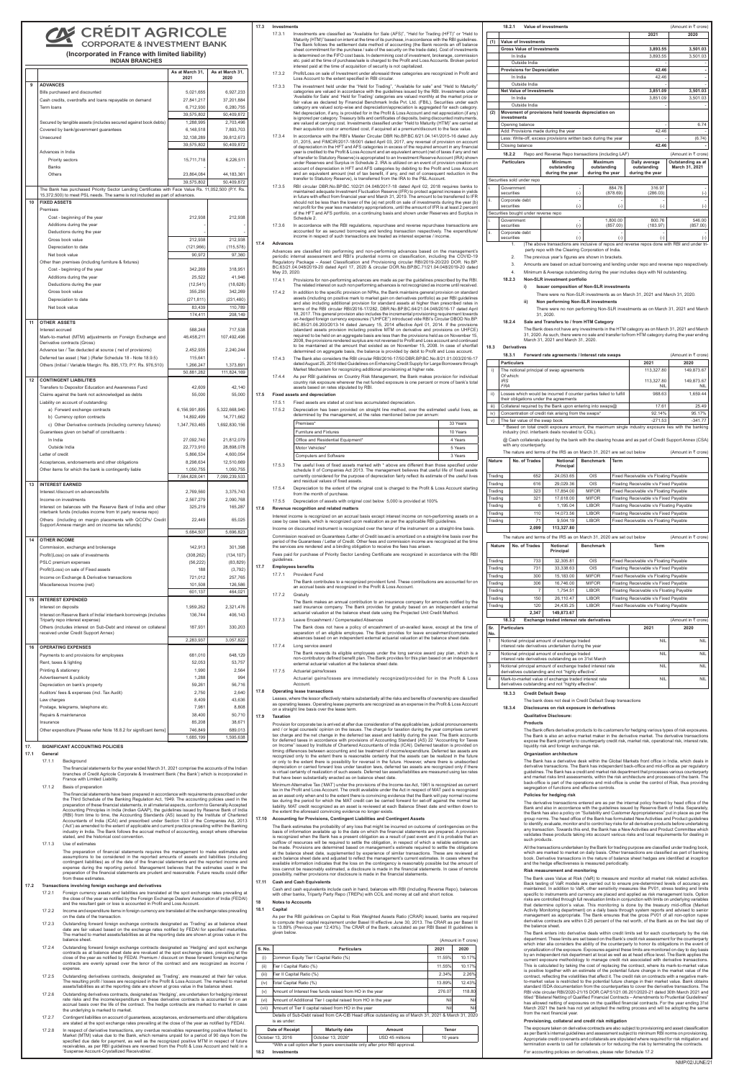# **CREDIT AGRICOLE**

**CORPORATE & INVESTMENT BANK (Incorporated in France with limited liability)**

## **INDIAN BRANCHES**

|    |                                                                                                                            | As at March 31,<br>2021 | As at March 31,<br>2020 |
|----|----------------------------------------------------------------------------------------------------------------------------|-------------------------|-------------------------|
| 9  | <b>ADVANCES</b>                                                                                                            |                         |                         |
|    | Bills purchased and discounted                                                                                             | 5,021,655               | 6,927,233               |
|    | Cash credits, overdrafts and loans repayable on demand                                                                     | 27,841,217              | 37,201,884              |
|    | Term loans                                                                                                                 | 6,712,930               | 6,280,755               |
|    |                                                                                                                            | 39,575,802              | 50,409,872              |
|    | Secured by tangible assets (includes secured against book debts)                                                           | 1,288,995               | 2,703,496               |
|    | Covered by bank/government guarantees                                                                                      | 6,148,518               | 7,893,703               |
|    | Unsecured                                                                                                                  | 32, 138, 289            | 39,812,673              |
|    |                                                                                                                            | 39,575,802              | 50,409,872              |
|    | Advances in India<br>Priority sectors                                                                                      | 15,711,718              | 6,226,511               |
|    | <b>Banks</b>                                                                                                               |                         |                         |
|    | Others                                                                                                                     | 23,864,084              | 44,183,361              |
|    | The Bank has purchased Priority Sector Lending Certificates with Face Value Rs. 11,052,500 (P.Y. Rs.                       | 39,575,802              | 50,409,872              |
|    | 15,372,500) to meet PSL needs. The same is not included as part of advances.                                               |                         |                         |
| 10 | <b>FIXED ASSETS</b>                                                                                                        |                         |                         |
|    | Premises                                                                                                                   |                         |                         |
|    | Cost - beginning of the year<br>Additions during the year                                                                  | 212,938                 | 212,938                 |
|    | Deductions during the year                                                                                                 |                         |                         |
|    | Gross book value                                                                                                           | 212,938                 | 212,938                 |
|    | Depreciation to date                                                                                                       | (121, 966)              | (115, 578)              |
|    | Net book value                                                                                                             | 90,972                  | 97,360                  |
|    | Other than premises (including furniture & fixtures)                                                                       |                         |                         |
|    | Cost - beginning of the year                                                                                               | 342,269                 | 318,951                 |
|    | Additions during the year                                                                                                  | 25,522                  | 41,946                  |
|    | Deductions during the year                                                                                                 | (12, 541)               | (18, 628)               |
|    | Gross book value                                                                                                           | 355,250                 | 342,269                 |
|    | Depreciation to date                                                                                                       | (271, 811)              | (231, 480)              |
|    | Net book value                                                                                                             | 83,439                  | 110,789                 |
|    |                                                                                                                            | 174,411                 | 208,149                 |
| 11 | <b>OTHER ASSETS</b>                                                                                                        |                         |                         |
|    | Interest accrued                                                                                                           | 588,248                 | 717,538                 |
|    | Mark-to-market (MTM) adjustments on Foreign Exchange and<br>Derivative contracts (Gross)                                   | 46,458,211              | 107,492,496             |
|    | Advance tax / Tax deducted at source (net of provisions)                                                                   | 2,452,935               | 2,240,244               |
|    | Deferred tax asset (Net) (Refer Schedule 18 - Note 18.9.5)                                                                 | 115,641                 |                         |
|    | Others (Initial / Variable Margin: Rs. 895,173; P.Y. Rs. 976,510)                                                          | 1,266,247               | 1,373,891               |
|    |                                                                                                                            | 50,881,282              | 111,824,169             |
| 12 | <b>CONTINGENT LIABILITIES</b>                                                                                              |                         |                         |
|    | Transfers to Depositor Education and Awareness Fund                                                                        | 42,609                  | 42,140                  |
|    | Claims against the bank not acknowledged as debts                                                                          | 55,000                  | 55,000                  |
|    | Liability on account of outstanding:                                                                                       |                         |                         |
|    | a) Forward exchange contracts                                                                                              | 6,156,991,895           | 5,322,668,940           |
|    | b) Currency option contracts                                                                                               | 14,892,499              | 14,771,662              |
|    | c) Other Derivative contracts (including currency futures)                                                                 | 1,347,763,465           | 1,692,830,156           |
|    | Guarantees given on behalf of constituents :<br>In India                                                                   | 27,092,740              | 21,812,079              |
|    | Outside India                                                                                                              | 22,773,910              | 28,898,078              |
|    | Letter of credit                                                                                                           | 5,866,534               | 4,600,054               |
|    | Acceptances, endorsements and other obligations                                                                            | 8,298,634               | 12,510,669              |
|    | Other items for which the bank is contingently liable                                                                      | 1,050,755               | 1,050,755               |
|    |                                                                                                                            | 7,584,828,041           | 7,099,239,533           |
| 13 | <b>INTEREST EARNED</b>                                                                                                     |                         |                         |
|    | Interest /discount on advances/bills                                                                                       | 2,769,560               | 3,375,743               |
|    | Income on investments                                                                                                      | 2,567,279               | 2,090,768               |
|    | Interest on balances with the Reserve Bank of India and other                                                              | 325,219                 | 165,287                 |
|    | interbank funds (includes income from tri party reverse repo)<br>Others (including on margin placements with QCCPs/ Credit |                         |                         |
|    | Support Annexe margin and on income tax refunds)                                                                           | 22,449                  | 65,025                  |
|    |                                                                                                                            | 5,684,507               | 5,696,823               |
| 14 | <b>OTHER INCOME</b>                                                                                                        |                         |                         |
|    | Commission, exchange and brokerage                                                                                         | 142,913                 | 301,398                 |
|    | Profit/(Loss) on sale of investments                                                                                       | (308, 262)              | (134, 107)              |
|    | PSLC premium expenses                                                                                                      | (56, 222)               | (83, 829)               |
|    | Profit/(Loss) on sale of Fixed assets                                                                                      | 188                     | (3,792)                 |
|    | Income on Exchange & Derivative transactions                                                                               | 721,012                 | 257,765                 |
|    | Miscellaneous Income (net)                                                                                                 | 101,508<br>601,137      | 126,586<br>464,021      |
| 15 | <b>INTEREST EXPENDED</b>                                                                                                   |                         |                         |
|    | Interest on deposits                                                                                                       | 1,959,262               | 2,321,476               |
|    | Interest on Reserve Bank of India/ interbank borrowings (includes                                                          | 136,744                 | 406,143                 |
|    | Triparty repo interest expense)                                                                                            |                         |                         |
|    | Others (includes interest on Sub-Debt and interest on collateral<br>received under Credit Support Annex)                   | 187,931                 | 330,203                 |
|    |                                                                                                                            | 2,283,937               | 3,057,822               |
| 16 | <b>OPERATING EXPENSES</b>                                                                                                  |                         |                         |
|    | Payments to and provisions for employees                                                                                   | 681,010                 | 648,129                 |
|    | Rent, taxes & lighting                                                                                                     | 52,053                  | 53,757                  |
|    | Printing & stationery                                                                                                      | 1,990                   | 2,564                   |
|    | Advertisement & publicity                                                                                                  | 1,288                   | 994                     |
|    | Depreciation on bank's property                                                                                            | 59.261                  | 56,716                  |
|    | Auditors' fees & expenses (incl. Tax Audit)                                                                                | 2,750                   | 2,640                   |
|    | Law charges                                                                                                                | 8,409                   | 43,636                  |
|    | Postage, telegrams, telephone etc.                                                                                         | 7,981                   | 8,808                   |
|    | Repairs & maintenance                                                                                                      | 38,400                  | 50,710                  |
|    | Insurance                                                                                                                  | 85,208                  | 38,671                  |
|    | Other expenditure [Please refer Note 18.8.2 for significant items]                                                         | 746,849<br>1,685,199    | 689,013<br>1,595,638    |

The preparation of financial statements requires the management to make estimates and assumptions to be considered in the reported amounts of assets and liabilities (including contingent liabilities) as of the date of the financial statements and the reported income and expense during the reporting period. Management believes that the estimates used in the preparation of the financial statements are prudent and reasonable. Future results could differ  $\mathop{\mathsf{im}}\nolimits$  these estimates

- 17.3.1 Investments are classified as "Available for Sale (AFS)", "Held for Trading (HFT)" or "Held to Maturity (HTM)" based on intent at the time of its purchase, in accordance with the RBI guidelines. The Bank follows the settlement date method of accounting (the Bank records an off balance sheet commitment for the purchase / sale of the security on the trade date). Cost of investments is determined on the FIFO cost basis. In determining cost of investment, brokerage, commission etc. paid at the time of purchase/sale is charged to the Profit and Loss Accounts. Broken period st paid at the time of acquisition of security is not capitalized
- 17.3.2 Profit/Loss on sale of Investment under aforesaid three categories are recognized in Profit and Loss Account to the extent specified in RBI circular.
- 17.3.3 The investment held under the "Held for Trading", "Available for sale" and "Held to Maturity" categories are valued in accordance with the guidelines issued by the RBI. Investments under 'Available for Sale' and 'Held for Trading' categories are valued monthly at the market price or fair value as declared by Financial Benchmark India Pvt. Ltd. (FBIL). Securities under each category are valued scrip-wise and depreciation/appreciation is aggregated for each category. Net depreciation, if any, is provided for in the Profit & Loss Account and net appreciation (if any) is ignored per category. Treasury bills and certificates of deposits, being discounted instruments valued at carrying cost. Investments classified under "Held to Maturity (HTM)" are carried at their acquisition cost or amortized cost, if acquired at a premium/discount to the face value.
- 17.3.4 In accordance with the RBI's Master Circular DBR No.BP.BC.6/21.04.141/2015-16 dated July 01, 2015, and FIMCIR/2017-18/001 dated April 03, 2017, any reversal of provision on account of depreciation in the HFT and AFS categories in excess of the required amount in any financial year is credited to the Profit & Loss Account and an equivalent amount (net of taxes if any and net of transfer to Statutory Reserve) is appropriated to an Investment Reserve Account (IRA) shown under Reserves and Surplus in Schedule 2. IRA is utilized on an event of provision creation on account of depreciation in HFT and AFS categories by debiting to the Profit and Loss Account and an equivalent amount (net of tax benefit, if any, and net of consequent reduction in the transfer to Statutory Reserve), is transferred from the IRA to the P&L Account.
- 17.3.5 RBI circular DBR.No.BP.BC.102/21.04.048/2017-18 dated April 02, 2018 requires banks to maintained adequate Investment Fluctuation Reserve (IFR) to protect against increase in yields in future with effect from financial year end March 31, 2019. The amount to be transferred to IFR should not be less than the lower of the (a) net profit on sale of investments during the year (b) net profit for the year less mandatory appropriations, until the amount of IFR is at least 2 percent of the HFT and AFS portfolio, on a continuing basis and shown under Reserves and Surplus in Schedule 2.
- 17.3.6 In accordance with the RBI regulations, repurchase and reverse repurchase transactions are accounted for as secured borrowing and lending transaction respectively. The expenditure/ income in respect of such transactions are treated as interest expense / income.

#### **17. SIGNIFICANT ACCOUNTING POLICIES**

#### **17.1 General**

17.1.1 Background

The financial statements for the year ended March 31, 2021 comprise the accounts of the Indian branches of Credit Agricole Corporate & Investment Bank ('the Bank') which is incorporated in France with Limited Liability.

17.1.2 Basis of preparation

The financial statements have been prepared in accordance with requirements prescribed under the Third Schedule of the Banking Regulation Act, 1949. The accounting policies used in the preparation of these financial statements, in all material aspects, conform to Generally Accepted Accounting Principles in India (Indian GAAP), the guidelines issued by Reserve Bank of India (RBI) from time to time, the Accounting Standards (AS) issued by the Institute of Chartered Accountants of India (ICAI) and prescribed under Section 133 of the Companies Act, 2013 ('Act') as amended to the extent of applicable and current practice prevailing within the Banking industry in India. The Bank follows the accrual method of accounting, except where otherwise stated, and the historical cost convention.

#### 17.1.3 Use of estimates

### **17.2 Transactions involving foreign exchange and derivatives**

- 17.2.1 Foreign currency assets and liabilities are translated at the spot exchange rates prevailing at the close of the year as notified by the Foreign Exchange Dealers' Association of India (FEDAI) and the resultant gain or loss is accounted in Profit and Loss Account.
- 17.2.2 Income and expenditure items in foreign currency are translated at the exchange rates prevailing on the date of the transaction.
- 17.2.3 Outstanding forward foreign exchange contracts designated as 'Trading' as at balance sheet date are fair valued based on the exchange rates notified by FEDAI for specified maturities. The marked to market assets/liabilities as at the reporting date are shown at gross value in the balance sheet.
- 17.2.4 Outstanding forward foreign exchange contracts designated as 'Hedging' and spot exchange contracts as at balance sheet date are revalued at the spot exchange rates, prevailing at the close of the year as notified by FEDAI. Premium / discount on these forward foreign exchange contracts are evenly spread over the tenor of the contract and are recognized as income expense.
- 17.2.5 Outstanding derivatives contracts, designated as 'Trading', are measured at their fair value. The resulting profit / losses are recognized in the Profit & Loss Account. The marked to market assets/liabilities as at the reporting date are shown at gross value in the balance sheet.
- 17.2.6 Outstanding derivatives contracts, designated as 'Hedging', are undertaken for hedging interest rate risks and the income/expenditure on these derivative contracts is accounted for on an accrual basis over the life of the contract. The hedge contracts are marked to market in case the underlying is marked to market.
- 17.2.7 Contingent liabilities on account of guarantees, acceptances, endorsements and other obligations are stated at the spot exchange rates prevailing at the close of the year as notified by FEDAI.
- 17.2.8 In respect of derivative transactions, any overdue receivables representing positive Marked to Market (MTM) value due to the Bank, which remains unpaid for a period of 90 days from the specified due date for payment, as well as the recognized positive MTM in respect of future receivables, as per RBI guidelines are reversed from the Profit & Loss Account and held in a 'Suspense Account-Crystallized Receivables'.

### **17.3 Investments**

Cash and cash equivalents include cash in hand, balances with RBI (Including Reverse Repo), balances with other banks, Triparty Party Repo (TREPs) with CCIL and money at call and short notice.

### **17.4 Advances**

- Advances are classified into performing and non-performing advances based on the management's periodic internal assessment and RBI's prudential norms on classification, including the COVID-19 Regulatory Package – Asset Classification and Provisioning circular RBI/2019-20/220 DOR. No.BP. BC.63/21.04.048/2019-20 dated April 17, 2020 & circular DOR.No.BP.BC.71/21.04.048/2019-20 dated May 23, 2020.
- 17.4.1 Provisions for non-performing advances are made as per the guidelines prescribed by the RBI The related interest on such non performing advances is not recognized as income until re
- 17.4.2 In addition to the specific provision on NPAs, the Bank maintains general provision on standard assets (including on positive mark to market gain on derivatives portfolio) as per RBI guidelines and also including additional provision for standard assets at higher than prescribed rates in terms of the RBI circular RBI/2016-17/282, DBR.No.BP.BC.64/21.04.048/2016-17 dated April 18, 2017. This general provision also includes the incremental provisioning requirement towards un-hedged foreign currency exposures ("UHFCE") introduced vide RBI's Circular DBOD No.BP. BC.85/21.06.200/2013-14 dated January 15, 2014 effective April 01, 2014. If the provisions (standard assets provision including positive MTM on derivative and provisions on UHFCE) required to be held on an aggregate basis are less than the provisions held as on November 15 2008, the provisions rendered surplus are not reversed to Profit and Loss account and continued to be maintained at the amount that existed as on November 15, 2008. In case of shortfall determined on aggregate basis, the balance is provided by debit to Profit and Loss account.
- 17.4.3 The Bank also considers the RBI circular RBI/2016-17/50 DBR.BP.BC.No.8/21.01.003/2016-17 dated August 25, 2016 titled Guidelines on Enhancing Credit Supply for Large Borrors through Market Mechanism for recognizing additional provisioning at higher rate.
- 17.4.4 As per RBI guidelines on Country Risk Management, the Bank makes provision for individual country risk exposure wherever the net funded exposure is one percent or more of bank's total assets based on rates stipulated by RBI.

### **Fixed assets and depreciational**

The derivative transactions entered are as per the internal policy framed by head office of the Bank and also in accordance with the guidelines issued by Reserve Bank of India. Separately, the Bank has also a policy on "Suitability and Customer Appropriateness" put in place as per the group norms. The head office of the Bank has formulated New Activities and Product guidelines to identify, evaluate, monitor and to control key risks for all derivative products before undertaking any transaction. Towards this end, the Bank has a New Activities and Product Committee which validates these products taking into account various risks and local requirements for dealing in such products.

- 17.5.1 Fixed assets are stated at cost less accumulated depreciation.
- 17.5.2 Depreciation has been provided on straight line method, over the estimated useful lives, as determined by the management, at the rates mentioned below per annum:

| Premises*                         | 33 Years |
|-----------------------------------|----------|
| <b>Furniture and Fixtures</b>     | 10 Years |
| Office and Residential Equipment* | 4 Years  |
| Motor Vehicles*                   | 5 Years  |
| <b>Computers and Software</b>     | 3 Years  |

- 17.5.3 The useful lives of fixed assets marked with \* above are different than those specified under schedule II of Companies Act 2013. The management believes that useful life of fixed assets currently considered for the purpose of depreciation fairly reflect its estimate of the useful lives and residual values of fixed assets.
- 17.5.4 Depreciation to the extent of the original cost is charged to the Profit & Loss Account starting from the month of purchase
- 17.5.5 Depreciation of assets with original cost below 5,000 is provided at 100%

### **17.6 Revenue recognition and related matters**

Interest income is recognized on an accrual basis except interest income on non-performing assets on a case by case basis, which is recognized upon realization as per the applicable RBI guidelines.

Income on discounted instrument is recognized over the tenor of the instrument on a straight-line basis. Commission received on Guarantees /Letter of Credit issued is amortized on a straight-line basis over the period of the Guarantees / Letter of Credit. Other fees and commission income are recognized at the time the services are rendered and a binding obligation to receive the fees has arisen.

Fees paid for purchase of Priority Sector Lending Certificate are recognized in accordance with the RBI guidelines.

### **17.7 Employees benefits**

- 17.7.1 Provident Fund
- The Bank contributes to a recognized provident fund. These contributions are accounted for on an accrual basis and recognized in the Profit & Loss Account.

### 17.7.2 Gratuity

- The Bank makes an annual contribution to an insurance company for amounts notified by the said insurance company. The Bank provides for gratuity based on an independent external actuarial valuation at the balance sheet date using the Projected Unit Credit Method.
- 17.7.3 Leave Encashment / Compensated Absences The Bank does not have a policy of encashment of un-availed leave, except at the time of separation of an eligible employee. The Bank provides for leave encashment/compensated absences based on an independent external actuarial valuation at the balance sheet date.
- Long service award
	- The Bank rewards its eligible employees under the long service award pay plan, which is a non-contributory defined benefit plan. The Bank provides for this plan based on an independent external actuarial valuation at the balance sheet date.

| 17.7.5 | Actuarial gains/losses                                                                          |
|--------|-------------------------------------------------------------------------------------------------|
|        | Actuarial gains/losses are immediately recognized/provided for in the Profit & Loss<br>Account. |

#### **17.8 Operating lease transactions**

Leases, where the lessor effectively retains substantially all the risks and benefits of ownership are classified as operating leases. Operating lease payments are recognized as an expense in the Profit & Loss Account on a straight line basis over the lease term.

### **17.9 Taxation**

 Provision for corporate tax is arrived at after due consideration of the applicable law, judicial pronouncements and / or legal counsels' opinion on the issues. The charge for taxation during the year comprises current tax charge and the net change in the deferred tax asset and liability during the year. The Bank accounts for deferred taxes in accordance with provisions of Accounting Standard (AS) 22 "Accounting for Taxes on Income" issued by Institute of Chartered Accountants of India (ICAI). Deferred taxation is provided on timing differences between accounting and tax treatment of income/expenditure. Deferred tax assets are cognized only to the extent there is reasonable certainty that the assets can be realized in the future or only to the extent there is possibility for reversal in the future. However, where there is unabsorbed depreciation or carried forward loss under taxation laws, deferred tax assets are recognized only if there is virtual certainty of realization of such assets. Deferred tax assets/liabilities are measured using tax rates that have been substantially enacted as on balance sheet date.

Minimum Alternative Tax ('MAT') under the provisions of the Income-tax Act, 1961 is recognized as current tax in the Profit and Loss Account. The credit available under the Act in respect of MAT paid is recognized as an asset only when and to the extent there is convincing evidence that the Bank will pay normal income tax during the period for which the MAT credit can be carried forward for set-off against the normal tax liability. MAT credit recognized as an asset is reviewed at each Balance Sheet date and written down to the extent the aforesaid convincing evidence no longer exists.

#### **17.10 Accounting for Provisions, Contingent Liabilities and Contingent Assets**

The Bank estimates the probability of any loss that might be incurred on outcome of contingencies on the basis of information available up to the date on which the financial statements are prepared. A provision basis of information available up to the date on which the financial statements are prepared. A provision is recognized when the Bank has a present obligation as a result of past event and it is probable that an outflow of resources will be required to settle the obligation, in respect of which a reliable estimate can be made. Provisions are determined based on management's estimate required to settle the obligations at the balance sheet date, supplemented by experience of similar transactions. These are reviewed at each balance sheet date and adjusted to reflect the management's current estimates. In cases where the available information indicates that the loss on the contingency is reasonably possible but the amount of loss cannot be reasonably estimated, a disclosure is made in the financial statements. In case of remote possibility, neither provisions nor disclosure is made in the financial statements.

#### **17.11 Cash and Cash Equivalents**

#### **18 Notes to Accounts**

#### **18.1 Capital**

As per the RBI guidelines on Capital to Risk Weighted Assets Ratio (CRAR) issued, banks are required to compute their capital requirement under Basel III effective June 30, 2013. The CRAR as per Basel III is 13.89% (Previous year 12.43%). The CRAR of the Bank, calculated as per RBI Basel III guidelines is given below.

| (Amount in $\bar{\tau}$ crore)                           |                                                                |                                                                                                      |        |        |          |  |  |
|----------------------------------------------------------|----------------------------------------------------------------|------------------------------------------------------------------------------------------------------|--------|--------|----------|--|--|
| S. No.                                                   |                                                                | 2021                                                                                                 | 2020   |        |          |  |  |
| (i)                                                      |                                                                | Common Equity Tier I Capital Ratio (%)                                                               |        | 11.55% | 10.17%   |  |  |
| (ii)                                                     | Tier I Capital Ratio (%)                                       |                                                                                                      |        | 11.55% | 10.17%   |  |  |
| (iii)                                                    | Tier II Capital Ratio (%)                                      |                                                                                                      |        | 2.34%  | 2.26%    |  |  |
| (iv)                                                     | Total Capital Ratio (%)                                        | 13.89%                                                                                               | 12.43% |        |          |  |  |
| (v)                                                      | Amount of Interest free funds raised from HO in the year       | 276.07                                                                                               | 118.80 |        |          |  |  |
| (vi)                                                     | Amount of Additional Tier I capital raised from HO in the year | Nil                                                                                                  | Nil    |        |          |  |  |
| (vii)                                                    | Amount of Tier II capital raised from HO in the year           | Nil                                                                                                  | Nil    |        |          |  |  |
|                                                          | is as under:                                                   | Details of Sub-Debt raised from CA-CIB Head office outstanding as of March 31, 2021 & March 31, 2020 |        |        |          |  |  |
|                                                          | Date of Receipt                                                | <b>Maturity date</b>                                                                                 | Amount | Tenor  |          |  |  |
| October 13, 2016<br>October 13, 2026*<br>USD 45 millions |                                                                |                                                                                                      |        |        | 10 years |  |  |

\*With a call option after 5 years exercisable only after prior RBI approval.

|     | 18.2.1                                                                              |               | Value of investments                                                                                                                               |                                                  |                                                 | (Amount in ₹ crore)                 |  |  |
|-----|-------------------------------------------------------------------------------------|---------------|----------------------------------------------------------------------------------------------------------------------------------------------------|--------------------------------------------------|-------------------------------------------------|-------------------------------------|--|--|
|     |                                                                                     |               |                                                                                                                                                    |                                                  | 2021                                            | 2020                                |  |  |
| (1) | Value of Investments                                                                |               |                                                                                                                                                    |                                                  |                                                 |                                     |  |  |
|     | <b>Gross Value of Investments</b>                                                   |               |                                                                                                                                                    |                                                  | 3,893.55                                        | 3,501.03                            |  |  |
|     | In India                                                                            |               |                                                                                                                                                    |                                                  | 3.893.55                                        | 3.501.03                            |  |  |
|     |                                                                                     | Outside India |                                                                                                                                                    |                                                  |                                                 |                                     |  |  |
|     | <b>Provisions for Depreciation</b>                                                  |               |                                                                                                                                                    |                                                  | 42.46                                           |                                     |  |  |
|     | In India                                                                            |               |                                                                                                                                                    |                                                  | 42.46                                           |                                     |  |  |
|     |                                                                                     | Outside India |                                                                                                                                                    |                                                  |                                                 |                                     |  |  |
|     | <b>Net Value of Investments</b>                                                     |               |                                                                                                                                                    |                                                  | 3,851.09                                        | 3,501.03                            |  |  |
|     | In India                                                                            |               |                                                                                                                                                    |                                                  | 3,851.09                                        | 3,501.03                            |  |  |
|     |                                                                                     | Outside India |                                                                                                                                                    |                                                  |                                                 |                                     |  |  |
| (2) | investments                                                                         |               | Movement of provisions held towards depreciation on                                                                                                |                                                  |                                                 |                                     |  |  |
|     | Opening balance                                                                     |               |                                                                                                                                                    |                                                  |                                                 | 6.74                                |  |  |
|     |                                                                                     |               | Add: Provisions made during the year                                                                                                               |                                                  | 42.46                                           |                                     |  |  |
|     |                                                                                     |               | Less: Write-off, excess provisions written back during the year                                                                                    |                                                  |                                                 | (6.74)                              |  |  |
|     | Closing balance                                                                     |               |                                                                                                                                                    |                                                  | 42.46                                           |                                     |  |  |
|     | 18.2.2<br>Repo and Reverse Repo transactions (including LAF)<br>(Amount in ₹ crore) |               |                                                                                                                                                    |                                                  |                                                 |                                     |  |  |
|     | <b>Particulars</b>                                                                  |               | <b>Minimum</b><br>outstanding<br>during the year                                                                                                   | <b>Maximum</b><br>outstanding<br>during the year | Daily average<br>outstanding<br>during the year | Outstanding as at<br>March 31, 2021 |  |  |
|     | Securities sold under repo                                                          |               |                                                                                                                                                    |                                                  |                                                 |                                     |  |  |
| i.  | Government<br>securities                                                            |               | $(-)$                                                                                                                                              | 884.78<br>(878.69)                               | 316.97<br>(286.03)                              | $(-)$                               |  |  |
| ii. | Corporate debt<br>securities                                                        |               | $(-)$                                                                                                                                              | $(-)$                                            | $(-)$                                           | $(-)$                               |  |  |
|     | Securities bought under reverse repo                                                |               |                                                                                                                                                    |                                                  |                                                 |                                     |  |  |
| i.  | Government<br>securities                                                            |               | $(-)$                                                                                                                                              | 1,800.00<br>(857.00)                             | 800.76<br>(183.97)                              | 546.00<br>(857.00)                  |  |  |
| ii. | Corporate debt<br>securities                                                        |               | $(-)$                                                                                                                                              | $(-)$                                            | $(-)$                                           | $(-)$                               |  |  |
|     | 1.                                                                                  |               | The above transactions are inclusive of repos and reverse repos done with RBI and under tri-<br>party repo with the Clearing Corporation of India. |                                                  |                                                 |                                     |  |  |
|     | 2.                                                                                  |               | The previous year's figures are shown in brackets.                                                                                                 |                                                  |                                                 |                                     |  |  |
|     | 3.                                                                                  |               | Amounts are based on actual borrowing and lending under repo and reverse repo respectively.                                                        |                                                  |                                                 |                                     |  |  |
|     | 4.                                                                                  |               | Minimum & Average outstanding during the year includes days with Nil outstanding.                                                                  |                                                  |                                                 |                                     |  |  |
|     | 18.2.3                                                                              |               | Non-SLR investment portfolio                                                                                                                       |                                                  |                                                 |                                     |  |  |

### **i) Issuer composition of Non-SLR investments**

- There were no Non-SLR investments as on March 31, 2021 and March 31, 2020. **ii) Non performing Non-SLR investments**
	- There were no non performing Non-SLR investments as on March 31, 2021 and March 31, 2020.
- **18.2.4 Sale and Transfers to / from HTM Category**

The Bank does not have any investments in the HTM category as on March 31, 2021 and March 31, 2020. As such, there were no sale and transfer to/from HTM category during the year ending March 31, 2021 and March 31, 2020.

#### **18.3 Derivatives**

|                 | 18.3.1                   |                                                                                                               | Forward rate agreements / Interest rate swaps |                  |                                          |                                                                                                         | (Amount in ₹ crore)            |
|-----------------|--------------------------|---------------------------------------------------------------------------------------------------------------|-----------------------------------------------|------------------|------------------------------------------|---------------------------------------------------------------------------------------------------------|--------------------------------|
|                 |                          | <b>Particulars</b>                                                                                            |                                               |                  |                                          | 2021                                                                                                    | 2020                           |
| i)              |                          | The notional principal of swap agreements<br>Of which:                                                        |                                               |                  |                                          | 113,327.80                                                                                              | 149,873.67                     |
|                 | <b>IRS</b><br><b>FRA</b> |                                                                                                               |                                               |                  |                                          | 113,327.80<br>NIL                                                                                       | 149,873.67<br>NIL              |
| $\mathsf{ii}$ ) |                          | Losses which would be incurred if counter parties failed to fulfill<br>their obligations under the agreements |                                               |                  |                                          | 988.63                                                                                                  | 1,659.44                       |
| iii)            |                          | Collateral required by the Bank upon entering into swaps@                                                     |                                               |                  |                                          | 17.61                                                                                                   | 25.49                          |
| iv)             |                          | Concentration of credit risk arising from the swaps*                                                          |                                               |                  |                                          | 92.14%                                                                                                  | 95.17%                         |
| V)              |                          | The fair value of the swap book                                                                               |                                               |                  |                                          | $-271.53$                                                                                               | $-341.77$                      |
|                 |                          | industry (incl. interbank deals novated to CCIL).                                                             |                                               |                  |                                          | * Based on total credit exposure amount, the maximum single industry exposure lies with the banking     |                                |
|                 |                          | with any counterparty.                                                                                        |                                               |                  |                                          | @ Cash collaterals placed by the bank with the clearing house and as part of Credit Support Annex (CSA) |                                |
|                 |                          | The nature and terms of the IRS as on March 31, 2021 are set out below                                        |                                               |                  |                                          |                                                                                                         | (Amount in $\bar{\tau}$ crore) |
| Nature          |                          | No. of Trades                                                                                                 | <b>Notional</b><br>Principal                  | <b>Benchmark</b> | Term                                     |                                                                                                         |                                |
| Trading         |                          | 652                                                                                                           | 24,053.65                                     | OIS              |                                          | Fixed Receivable v/s Floating Payable                                                                   |                                |
| Trading         |                          | 616                                                                                                           | 29,029.36                                     | OIS              |                                          | Floating Receivable v/s Fixed Payable                                                                   |                                |
| Trading         |                          | 323                                                                                                           | 17,854.00                                     | <b>MIFOR</b>     |                                          | Fixed Receivable v/s Floating Payable                                                                   |                                |
| Trading         |                          | 321                                                                                                           | 17,618.00                                     | <b>MIFOR</b>     | Floating Receivable v/s Fixed Payable    |                                                                                                         |                                |
| Trading         |                          | 6                                                                                                             | 1,195.04                                      | <b>LIBOR</b>     | Floating Receivable v/s Floating Payable |                                                                                                         |                                |
| Trading         |                          | 110                                                                                                           | 14,073.56                                     | <b>LIBOR</b>     | Floating Receivable v/s Fixed Payable    |                                                                                                         |                                |
| Trading         |                          | 71                                                                                                            | 9,504.19                                      | <b>LIBOR</b>     | Fixed Receivable v/s Floating Payable    |                                                                                                         |                                |
|                 |                          | 2,099                                                                                                         | 113,327.80                                    |                  |                                          |                                                                                                         |                                |
|                 |                          | The nature and terms of the IRS as on March 31, 2020 are set out below                                        |                                               |                  |                                          |                                                                                                         | (Amount in ₹ crore)            |
| <b>Nature</b>   |                          | No. of Trades                                                                                                 | Notional<br>Principal                         | <b>Benchmark</b> |                                          | <b>Term</b>                                                                                             |                                |
| Trading         |                          | 733                                                                                                           | 32,305.81                                     | OIS              |                                          | Fixed Receivable v/s Floating Payable                                                                   |                                |
| Trading         |                          | 731                                                                                                           | 33,338.63                                     | OIS              |                                          | Floating Receivable v/s Fixed Payable                                                                   |                                |
| Trading         |                          | 300                                                                                                           | 15,183.00                                     | <b>MIFOR</b>     |                                          | Fixed Receivable v/s Floating Payable                                                                   |                                |
| Trading         |                          | 306                                                                                                           | 16,746.00                                     | <b>MIFOR</b>     |                                          | Floating Receivable v/s Fixed Payable                                                                   |                                |
| Trading         |                          | $\overline{7}$                                                                                                | 1,754.51                                      | <b>LIBOR</b>     |                                          | Floating Receivable v/s Floating Payable                                                                |                                |
| Trading         |                          | 150                                                                                                           | 26,110.47                                     | <b>LIBOR</b>     |                                          | Floating Receivable v/s Fixed Payable                                                                   |                                |
| Trading         |                          | 120                                                                                                           | 24.435.25                                     | <b>LIBOR</b>     |                                          | Fixed Receivable v/s Floating Payable                                                                   |                                |
|                 |                          | 2,347                                                                                                         | 149,873.67                                    |                  |                                          |                                                                                                         |                                |
|                 | 18.3.2                   |                                                                                                               | Exchange traded interest rate derivatives     |                  |                                          |                                                                                                         | (Amount in ₹ crore)            |
| Sr.<br>No.      |                          | <b>Particulars</b>                                                                                            |                                               |                  |                                          | 2021                                                                                                    | 2020                           |
| 1               |                          | Notional principal amount of exchange traded<br>interest rate derivatives undertaken during the year          |                                               |                  |                                          | <b>NIL</b>                                                                                              | <b>NIL</b>                     |
| 2               |                          | Notional principal amount of exchange traded<br>interest rate derivatives outstanding as on 31st March        |                                               |                  |                                          | NIL                                                                                                     | <b>NIL</b>                     |
|                 |                          |                                                                                                               |                                               |                  |                                          |                                                                                                         |                                |

| Notional principal amount of exchange traded interest rate<br>derivatives outstanding and not "highly effective". | <b>NIL</b> | NIL.       |
|-------------------------------------------------------------------------------------------------------------------|------------|------------|
| Mark-to-market value of exchange traded interest rate<br>derivatives outstanding and not "highly effective".      | <b>NIL</b> | <b>NIL</b> |

#### **18.3.3 Credit Default Swap**

The bank does not deal in Credit Default Swap transactions

### **18.3.4 Disclosures on risk exposure in derivatives**

 **Qualitative Disclosure:**

#### **Products**

The Bank offers derivative products to its customers for hedging various types of risk exposures. The Bank is also an active market maker in the derivative market. The derivative transactions expose the Bank primarily to counterparty credit risk, market risk, operational risk, interest rate liquidity risk and foreign exchange risk.

### **Organization architecture**

The Bank has a derivative desk within the Global Markets front office in India, which deals in derivative transactions. The Bank has independent back-office and mid-office as per regulatory guidelines. The Bank has a credit and market risk department that processes various counterpart and market risks limit assessments, within the risk architecture and processes of the bank. The back-office is part of the operations and mid-office is under the control of Risk, thus providing segregation of functions and effective controls.

#### **Policies for hedging risk**

All the transactions undertaken by the Bank for trading purpose are classified under trading book, which are marked to market on daily basis. Other transactions are classified as part of banking book. Derivative transactions in the nature of balance sheet hedges are identified at inception and the hedge effectiveness is measured periodically.

#### **Risk measurement and monitoring**

The Bank uses Value at Risk (VaR) to measure and monitor all market risk related activities. Back testing of VaR models are carried out to ensure pre-determined levels of accuracy are maintained. In addition to VaR, other sensitivity measures like PV01, stress testing and limits specific to instruments and currency are placed and applied as risk management tools. Option risks are controlled through full revaluation limits in conjunction with limits on underlying variables that determine option's value. This monitoring is done by the treasury mid-office (Market Activity Monitoring department) on a daily basis through system reports and advised to senior management as appropriate. The Bank ensures that the gross PV01 of all non-option rupee derivative contracts are within 0.25 percent of the net worth, of the Bank as on the last day of the balance sheet.

The Bank enters into derivative deals within credit limits set for each counterparty by the risk department. These limits are set based on the Bank's credit risk assessment for the counterparty which inter alia considers the ability of the counterparty to honor its obligations in the event of crystallization of the exposure. Exposures against these limits are monitored on day to day basis by an independent risk department at local as well as at head office level. The Bank applies the current exposure methodology to manage credit risk associated with derivative transactions. This is calculated by taking the cost of replacing the contract, where its mark-to-market value is positive together with an estimate of the potential future change in the market value of the contract, reflecting the volatilities that affect it. The credit risk on contracts with a negative markto-market value is restricted to the potential future change in their market value. Bank obtains standard ISDA documentation from the counterparties to cover the derivative transactions. The RBI vide circular RBI/2020-21/15 DOR.CAP.51/21.06.201/2020-21 dated 30th March 2021 and titled "Bilateral Netting of Qualified Financial Contracts – Amendments to Prudential Guidelines" has allowed netting of exposures on the qualified financial contracts. For the year ending 31st March 2021 the bank has not yet adopted the netting process and will be adopting the same from the next financial year.

#### **Provisioning, collateral and credit risk mitigation**

The exposure taken on derivative contracts are also subject to provisioning and asset classification as per Bank's internal guidelines and assessment subject to minimum RBI norms on provisioning. Appropriate credit covenants and collaterals are stipulated where required for risk mitigation and termination events to call for collaterals or for reducing the risk by terminating the contracts.

For accounting policies on derivatives, please refer Schedule 17.2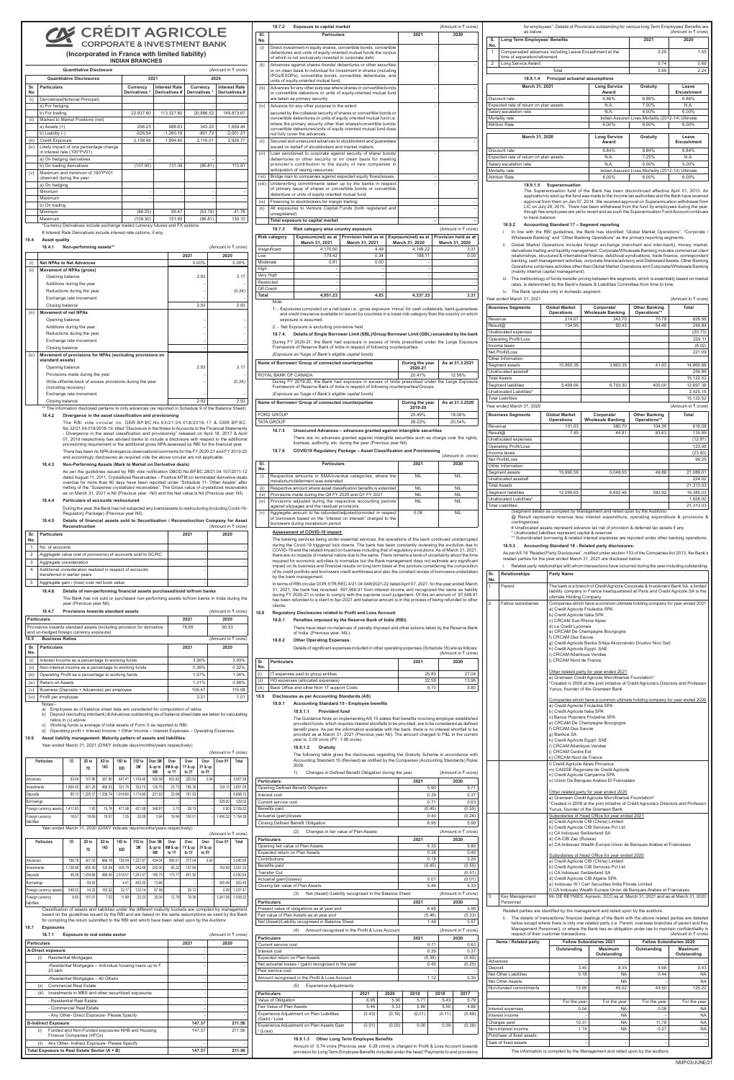## CHÉDIT AGRICOLE **CORPORATE & INVESTMENT BANK**

# **(Incorporated in France with limited liability)**

|                  | <b>INDIAN BRANCHES</b>                                                |                           |                                       |                           |                                      |  |  |  |  |
|------------------|-----------------------------------------------------------------------|---------------------------|---------------------------------------|---------------------------|--------------------------------------|--|--|--|--|
|                  | Quantitative Disclosure<br>(Amount in ₹ crore)                        |                           |                                       |                           |                                      |  |  |  |  |
|                  | <b>Quantitative Disclosures</b>                                       |                           | 2021                                  | 2020                      |                                      |  |  |  |  |
| Sr.<br><b>No</b> | <b>Particulars</b>                                                    | Currency<br>Derivatives * | <b>Interest Rate</b><br>Derivatives # | Currency<br>Derivatives * | <b>Interest Rate</b><br>Derivatives# |  |  |  |  |
| (i)              | Derivatives (Notional Principal)                                      |                           |                                       |                           |                                      |  |  |  |  |
|                  | a) For hedging                                                        |                           |                                       |                           |                                      |  |  |  |  |
|                  | b) For trading                                                        | 22,937.80                 | 113.327.80                            | 20.886.52                 | 149.873.67                           |  |  |  |  |
| (ii)             | Marked to Market Positions (net)                                      |                           |                                       |                           |                                      |  |  |  |  |
|                  | $a)$ Assets $(+)$                                                     | 298.23                    | 988.63                                | 343.20                    | 1.659.44                             |  |  |  |  |
|                  | b) Liability (-)                                                      | $-526.54$                 | $-1.260.16$                           | $-801.72$                 | $-2,001.21$                          |  |  |  |  |
| (iii)            | Credit Exposure                                                       | 2,158.49                  | 1.994.40                              | 2,116.01                  | 2,926.77                             |  |  |  |  |
| (iv)             | Likely impact of one percentage change<br>in interest rate (100*PV01) |                           |                                       |                           |                                      |  |  |  |  |
|                  | a) On hedging derivatives                                             |                           |                                       |                           |                                      |  |  |  |  |
|                  | b) On trading derivatives                                             | (107.95)                  | 131.09                                | (96.81)                   | 113.91                               |  |  |  |  |
| (v)              | Maximum and minimum of 100*PV01<br>observed during the year           |                           |                                       |                           |                                      |  |  |  |  |
|                  | a) On hedging                                                         |                           |                                       |                           |                                      |  |  |  |  |
|                  | Minimum                                                               |                           | ۰                                     | ٠                         |                                      |  |  |  |  |
|                  | Maximum                                                               |                           | ۰                                     |                           |                                      |  |  |  |  |
|                  | b) On trading                                                         |                           |                                       |                           |                                      |  |  |  |  |
|                  | Minimum                                                               | (86.25)                   | 95.47                                 | (53.79)                   | 41.78                                |  |  |  |  |
|                  | Maximum                                                               | (109.30)                  | 151.95                                | (96.81)                   | 130.10                               |  |  |  |  |

Closing balance 2.93 2.93 \*\* The information disclosed pertains to only advances (as reported in Schedule 9 of the Balance Sheet)

\*Currency Derivatives include exchange traded currency futures and FX options. # Interest Rate Derivatives include interest rate options, if any.

## **18.4 Asset quality**

As per the guidelines issued by RBI vide notification DBOD.No.BP.BC.28/21.04.157/2011-12 dated August 11, 2011, Crystallized Receivables – Positive MTM on terminated derivative deals overdue for more than 90 days have been reported under "Schedule 11- Other Assets" after<br>netting of the "Suspense crystallized receivables". The Gross value of crystallized receivables<br>as on March 31, 2021 is Nil (Previous

|       | 18.4.1<br>Non-performing assets**                                                 |          | (Amount in ₹ crore) |
|-------|-----------------------------------------------------------------------------------|----------|---------------------|
|       |                                                                                   | 2021     | 2020                |
| (i)   | <b>Net NPAs to Net Advances</b>                                                   | $0.00\%$ | $0.00\%$            |
| (ii)  | <b>Movement of NPAs (gross)</b>                                                   |          |                     |
|       | Opening balance                                                                   | 2.93     | 3.17                |
|       | Additions during the year                                                         |          |                     |
|       | Reductions during the year                                                        |          | (0.24)              |
|       | Exchange rate movement                                                            |          |                     |
|       | Closing balance                                                                   | 2.93     | 2.93                |
| (iii) | <b>Movement of net NPAs</b>                                                       |          |                     |
|       | Opening balance                                                                   |          |                     |
|       | Additions during the year                                                         |          |                     |
|       | Reductions during the year                                                        |          |                     |
|       | Exchange rate movement                                                            |          |                     |
|       | Closing balance                                                                   |          |                     |
| (iv)  | Movement of provisions for NPAs (excluding provisions on<br>standard assets)      |          |                     |
|       | Opening balance                                                                   | 2.93     | 3.17                |
|       | Provisions made during the year                                                   |          |                     |
|       | Write-off/write-back of excess provisions during the year<br>(including recovery) |          | (0.24)              |
|       | Exchange rate movement                                                            |          |                     |

#### **18.4.5 Details of financial assets sold to Securitisation / Reconstruction Company for Asset Reconstruction** (Amount in ₹ crore)

**18.4.2 Divergence in the asset classification and provisioning**

The RBI vide circular no. DBR.BP.BC.No.63/21.04.018/2016-17 & DBR.BP.BC. No.32/21.04.018/2018-19, titled "Disclosure in the Notes to Accounts to the Financial Statements - Divergence in the asset classification and provisioning" released on April 18, 2017 & April<br>01, 2019 respectively has advised banks to include a disclosure with respect to the additional<br>provisioning requirement or the a There has been no NPA divergence observations/comments for the FY 2020-21 and FY 2019-20 and accordingly disclosures as required vide the above circular are not applicable.

### **18.4.3 Non-Performing Assets (Mark to Market on Derivative deals)**

### **18.4.4 Particulars of accounts restructured**

During the year, the Bank has not subjected any loans/assets to restructuring (including Covid-19- Regulatory Package) (Previous year Nil).

| Sr.<br>No. | <b>Particulars</b>                                                                       | 2021 | 2020 |
|------------|------------------------------------------------------------------------------------------|------|------|
|            | No. of accounts                                                                          |      |      |
| 2          | Aggregate value (net of provisions) of accounts sold to SC/RC                            |      |      |
| 3          | Aggregate consideration                                                                  |      |      |
| 4          | Additional consideration realized in respect of accounts<br>transferred in earlier years |      |      |
| 5          | Aggregate gain / (loss) over net book value                                              |      |      |

### **18.4.6 Details of non-performing financial assets purchased/sold to/from banks**

The Bank has not sold or purchased non-performing assets to/from banks in India during the year (Previous year Nil).

|                | for employees". Details of Provisions outstanding for various long Term Employees' Benefits are<br>as below: |      | (Amount in ₹ crore) |
|----------------|--------------------------------------------------------------------------------------------------------------|------|---------------------|
| S.<br>No.      | Long Term Employees' Benefits                                                                                | 2021 | 2020                |
|                | Compensated absences including Leave Encashment at the<br>time of separation/retirement                      | 2.25 | 1.55                |
| $\overline{2}$ | Long Service Award                                                                                           | 0.74 | 0.69                |
|                | Total                                                                                                        | 2.99 | 2.24                |

### **18.9.1.4 Principal actuarial assumptions March 31, 2021 Long Service Award Gratuity Leave Encashment** Discount rate 6.86% 6.86% 6.86% 6.86% 6.86% Expected rate of return on plan assets N.A. N.A. 17.00% N.A. Salary escalation rate  $N.A.$  6.00% 6.00% 6.00% Mortality rate **Indian Assured Lives Mortality (2012-14)** Ultimate Attrition Rate 6.00% 6.00% 6.00% 6.00% 6.00% **March 31, 2020 Long Service Award Gratuity Leave Encashment** Discount rate 6.84% 6.84% 6.84% 6.84% 6.84% Expected rate of return on plan assets N.A. 7.25% N.A. Salary escalation rate **N.A.** 5.00% 5.00% Mortality rate **Indian Assured Lives Mortality (2012-14)** Ultimate<br>Attrition Rate 6 00% 6 00% 6 00% 6 00% 6 00%

Attrition Rate 6.00%  $\vert$  6.00%  $\vert$  6.00%  $\vert$  6.00% 6.00%

|            | 18.7.2               | <b>Exposure to capital market</b>                                                                                                                                                                                                                                                                                   |                                        |  |                                       |                          | (Amount in ₹ crore)                    |
|------------|----------------------|---------------------------------------------------------------------------------------------------------------------------------------------------------------------------------------------------------------------------------------------------------------------------------------------------------------------|----------------------------------------|--|---------------------------------------|--------------------------|----------------------------------------|
| SI.<br>No. |                      | <b>Particulars</b><br>2021                                                                                                                                                                                                                                                                                          |                                        |  |                                       |                          | 2020                                   |
| (i)        |                      | Direct investment in equity shares, convertible bonds, convertible<br>debentures and units of equity-oriented mutual funds the corpus<br>of which is not exclusively invested in corporate debt;                                                                                                                    |                                        |  |                                       |                          |                                        |
| (ii)       |                      | Advances against shares /bonds/ debentures or other securities<br>or on clean basis to individual for investment in shares (including<br>IPOs/ESOPs), convertible bonds, convertible debentures, and<br>units of equity-oriented mutual fund;                                                                       |                                        |  |                                       |                          |                                        |
| (iii)      |                      | Advances for any other purpose where shares or convertible bonds<br>or convertible debenture or units of equity-oriented mutual fund<br>are taken as primary security;                                                                                                                                              |                                        |  |                                       | L,                       |                                        |
| (iv)       |                      | Advance for any other purpose to the extent                                                                                                                                                                                                                                                                         |                                        |  |                                       |                          |                                        |
|            |                      | secured by the collateral security of shares or convertible bonds or<br>convertible debentures or units of equity oriented mutual fund i.e.<br>where the primary security other than shares/convertible bonds/<br>convertible debentures/units of equity oriented mutual fund does<br>not fully cover the advances; |                                        |  |                                       |                          |                                        |
| (v)        |                      | Secured and unsecured advances to stockbrokers and quarantees<br>issued on behalf of stockbrokers and market makers;                                                                                                                                                                                                |                                        |  |                                       |                          |                                        |
| (vi)       |                      | Loan sanctioned to corporate against security of share/ bonds/<br>debentures or other security or on clean basis for meeting<br>promoter's contribution to the equity of new companies in<br>anticipation of raising resources;                                                                                     |                                        |  |                                       |                          |                                        |
| (vii)      |                      | Bridge loan to companies against expected equity flows/issues;                                                                                                                                                                                                                                                      |                                        |  |                                       | ä,                       |                                        |
| (viii)     |                      | Underwriting commitments taken up by the banks in respect<br>of primary issue of shares or convertible bonds or convertible<br>debenture or units of equity oriented mutual fund;                                                                                                                                   |                                        |  |                                       |                          |                                        |
| (ix)       |                      | Financing to stockbrokers for margin trading;                                                                                                                                                                                                                                                                       |                                        |  |                                       | L,                       |                                        |
| (x)        | unregistered)        | All exposures to Venture Capital Funds (both registered and                                                                                                                                                                                                                                                         |                                        |  |                                       |                          |                                        |
|            |                      | Total exposure to capital market                                                                                                                                                                                                                                                                                    |                                        |  |                                       | $\overline{\phantom{a}}$ |                                        |
|            | 18.7.3               | Risk category wise country exposure                                                                                                                                                                                                                                                                                 |                                        |  |                                       |                          | (Amount in ₹ crore)                    |
|            | <b>Risk category</b> | Exposure(net) as at<br>March 31, 2021                                                                                                                                                                                                                                                                               | Provision held as at<br>March 31, 2021 |  | Exposure(net) as at<br>March 31, 2020 |                          | Provision held as at<br>March 31, 2020 |
|            | Insignificant        | 4,170.90                                                                                                                                                                                                                                                                                                            | 4.49                                   |  | 4,149.22                              |                          | 3.31                                   |
| Low        |                      | 779.42                                                                                                                                                                                                                                                                                                              | 0.34                                   |  | 188.11                                |                          | 0.00                                   |
| Moderate   |                      | 0.91                                                                                                                                                                                                                                                                                                                | 0.00                                   |  |                                       |                          |                                        |
| High       |                      |                                                                                                                                                                                                                                                                                                                     |                                        |  | ÷.                                    |                          |                                        |
| Very High  |                      | ÷.                                                                                                                                                                                                                                                                                                                  | $\mathbf{r}$                           |  | ÷<br>ä,                               |                          |                                        |
| Restricted |                      | ä,<br>÷.                                                                                                                                                                                                                                                                                                            |                                        |  |                                       |                          |                                        |
| Off-Credit |                      |                                                                                                                                                                                                                                                                                                                     |                                        |  |                                       |                          |                                        |
| Total      | Note:                | 4.951.23                                                                                                                                                                                                                                                                                                            | 4.83                                   |  | 4,337.33                              |                          | 3.31                                   |
|            |                      | 1: - Exposures computed on a net basis i.e., gross exposure 'minus' for cash collaterals, bank guarantees<br>and credit insurance available in/ issued by countries in a lower risk category than the country on which<br>exposure is assumed.<br>2. Not Exposure is excluding provisions hold                      |                                        |  |                                       |                          |                                        |

- i. In line with the RBI guidelines, the Bank has identified "Global Market Operations", "Corporate /<br>Wholesale Banking" and "Other Banking Operations" as the primary reporting segments.
- ii. Global Market Operations includes foreign exchange (merchant and inter-bank), money market,<br>derivatives trading and liquidity management. Corporate/Wholesale Banking includes commercial client<br>relationships, structured banking, cash management activities, corporate finance/advisory and Distressed Assets. Other Banking Operations comprises activities other than Global Market Operations and Corporate/Wholesale Banking (mainly internal capital management).
- iii. The methodology of funds transfer pricing between the segments, which is essentially based on market rates, is determined by the Bank's Assets & Liabilities Committee from time to time. iv. The Bank operates only in domestic segment.

|                    | 18.4.7                                                                                                                                                                                                                                                                                                                                                                                                                                                | Provisions towards standard assets                                          |             |                  |                           |                    |                          |                          |                          |                          | (Amount in ₹ crore) |                                            |
|--------------------|-------------------------------------------------------------------------------------------------------------------------------------------------------------------------------------------------------------------------------------------------------------------------------------------------------------------------------------------------------------------------------------------------------------------------------------------------------|-----------------------------------------------------------------------------|-------------|------------------|---------------------------|--------------------|--------------------------|--------------------------|--------------------------|--------------------------|---------------------|--------------------------------------------|
| <b>Particulars</b> |                                                                                                                                                                                                                                                                                                                                                                                                                                                       |                                                                             |             |                  |                           |                    |                          |                          | 2021                     |                          | 2020                |                                            |
|                    | Provisions towards standard assets (including provision for derivative<br>and un-hedged foreign currency exposure)                                                                                                                                                                                                                                                                                                                                    |                                                                             |             |                  |                           |                    |                          |                          | 78.69                    |                          | 90.53               |                                            |
| 18.5               | <b>Business Ratios</b>                                                                                                                                                                                                                                                                                                                                                                                                                                |                                                                             |             |                  |                           |                    |                          |                          |                          |                          | (Amount in ₹ crore) |                                            |
| Sr.<br>No.         | <b>Particulars</b>                                                                                                                                                                                                                                                                                                                                                                                                                                    |                                                                             |             |                  |                           |                    |                          |                          | 2021                     |                          | 2020                |                                            |
| (i)                | Interest Income as a percentage to working funds                                                                                                                                                                                                                                                                                                                                                                                                      |                                                                             |             |                  |                           |                    |                          |                          |                          | 3.36%                    |                     | 3.93%                                      |
| (ii)               | Non-Interest income as a percentage to working funds                                                                                                                                                                                                                                                                                                                                                                                                  |                                                                             |             |                  |                           |                    |                          |                          |                          | 0.36%                    |                     | 0.32%                                      |
| (iii)              | Operating Profit as a percentage to working funds                                                                                                                                                                                                                                                                                                                                                                                                     |                                                                             |             |                  |                           |                    |                          |                          |                          | 1.37%                    |                     | 1.04%                                      |
| (iv)               | Return on Assets                                                                                                                                                                                                                                                                                                                                                                                                                                      |                                                                             |             |                  |                           |                    |                          |                          |                          | 1.31%                    |                     | 0.68%                                      |
| (v)                | Business (Deposits + Advances) per employee                                                                                                                                                                                                                                                                                                                                                                                                           |                                                                             |             |                  |                           |                    |                          |                          |                          | 106.47                   |                     | 115.08                                     |
| (vi)               | Profit per employee<br>Notes:-                                                                                                                                                                                                                                                                                                                                                                                                                        |                                                                             |             |                  |                           |                    |                          |                          |                          | 2.21                     |                     | 1.01                                       |
| 18.6               | a) Employees as of balance sheet date are considered for computation of ratios.<br>b) Deposit (excluding interbank) & Advances outstanding as of balance sheet date are taken for calculating<br>c) Working funds is average of total assets of Form X as reported to RBI.<br>d) Operating profit = Interest Income + Other Income - Interest Expenses - Operating Expenses<br>Asset liability management: Maturity pattern of assets and liabilities | ratios in (v) above.                                                        |             |                  |                           |                    |                          |                          |                          |                          |                     |                                            |
|                    | Year ended March 31, 2021 (D/M/Y indicate days/months/years respectively)                                                                                                                                                                                                                                                                                                                                                                             |                                                                             |             |                  |                           |                    |                          |                          |                          |                          |                     |                                            |
|                    | <b>Particulars</b>                                                                                                                                                                                                                                                                                                                                                                                                                                    | 1D                                                                          | 2D to<br>7D | 8D to<br>14D     | 15D to<br>30 <sub>D</sub> | 31D to<br>3M       | Over 3M<br>& up to<br>6M | Over<br>6M & up<br>to 1Y | Over<br>1Y & up<br>to 3Y | Over<br>3Y & up<br>to 5Y | Over 5Y             | (Amount in ₹ crore)<br>Total               |
| Advances           |                                                                                                                                                                                                                                                                                                                                                                                                                                                       | 93.94                                                                       | 107.96      | 357.90           | 847.41                    | 1,109.40           | 562.58                   | 653.82                   | 220.63                   | 3.94                     |                     | 3,957.58                                   |
| Investments        |                                                                                                                                                                                                                                                                                                                                                                                                                                                       | 1,864.55                                                                    | 401.20      | 466.53           | 331.75                    | 333.15             | 120.70                   | 23.73                    | 185.35                   |                          | 124.13              | 3,851.09                                   |
| Deposits           |                                                                                                                                                                                                                                                                                                                                                                                                                                                       | 95.13                                                                       | 1,225.37    | 1,336.74         | 1,918.60                  | 1,174.85           | 221.92                   | 23.98                    | 701.53                   |                          |                     | 6,698.12                                   |
| Borrowings         |                                                                                                                                                                                                                                                                                                                                                                                                                                                       |                                                                             |             |                  |                           |                    |                          |                          |                          |                          | 329.00              | 329.00                                     |
|                    | Foreign currency assets                                                                                                                                                                                                                                                                                                                                                                                                                               | 1,417.83                                                                    | 1.83        | 15.78            | 471.98                    | 421.08             | 348.87                   | 3.70                     | 28.15                    |                          | 0.00                | 2,709.22                                   |
| Foreign currency   |                                                                                                                                                                                                                                                                                                                                                                                                                                                       | 18.57                                                                       | 18.69       | 18.57            | 7.25                      | 30.09              | 3.94                     | 16.94                    | 150.01                   |                          | 1.490.32            | 1,754.38                                   |
| liabilities        | Year ended March 31, 2020 (D/M/Y indicate days/months/years respectively)                                                                                                                                                                                                                                                                                                                                                                             |                                                                             |             |                  |                           |                    |                          |                          |                          |                          |                     |                                            |
|                    |                                                                                                                                                                                                                                                                                                                                                                                                                                                       |                                                                             |             |                  |                           |                    |                          |                          |                          |                          | (Amount in ₹ crore) |                                            |
|                    | <b>Particulars</b>                                                                                                                                                                                                                                                                                                                                                                                                                                    | 1D                                                                          | 2D to<br>7D | 8D to<br>14D     | 15D to<br>30 <sub>D</sub> | 31D to<br>3M       | Over 3M<br>& up to<br>6M | Over<br>6M & up<br>to 1Y | Over<br>1Y & up<br>to 3Y | Over<br>3Y & up<br>to 5Y | Over 5Y             | Total                                      |
| Advances           |                                                                                                                                                                                                                                                                                                                                                                                                                                                       |                                                                             | 307.05      |                  |                           |                    |                          |                          | 377.04                   |                          |                     |                                            |
|                    |                                                                                                                                                                                                                                                                                                                                                                                                                                                       |                                                                             |             |                  |                           |                    |                          |                          |                          |                          |                     |                                            |
| Investments        |                                                                                                                                                                                                                                                                                                                                                                                                                                                       | 199.76<br>1,728.98                                                          | 655.49      | 866.18<br>100.54 | 728.54<br>205.79          | 1,227.87<br>242.48 | 434.04<br>202.00         | 895.51<br>65.22          | 157.84                   | 5.00                     | 142.69              | 5,040.99<br>3,501.03                       |
| Deposits           |                                                                                                                                                                                                                                                                                                                                                                                                                                                       | 48.38                                                                       | 1,434.68    | 489.06           | 2,518.51                  | 1,253.57           | 180.75                   | 173.77                   | 451.92                   |                          |                     | 6,550.64                                   |
| Borrowings         |                                                                                                                                                                                                                                                                                                                                                                                                                                                       |                                                                             | 93.93       |                  | 4.41                      | 400.00             | 13.66                    |                          |                          |                          | 340.49              | 852.49                                     |
|                    | Foreign currency assets                                                                                                                                                                                                                                                                                                                                                                                                                               | 549.03                                                                      | 54.32       | 183.02           | 32.17                     | 122.14             | 67.58                    |                          | 29.12                    |                          | 0.09                | 1,037.47                                   |
| Foreign currency   |                                                                                                                                                                                                                                                                                                                                                                                                                                                       | 8.40                                                                        | 101.01      | 7.02             | 11.89                     | 22.23              | 25.04                    | 12.79                    | 78.36                    |                          | 1,241.58            | 1,508.32                                   |
| liabilities        | Classification of assets and liabilities under the different maturity buckets are compiled by management                                                                                                                                                                                                                                                                                                                                              |                                                                             |             |                  |                           |                    |                          |                          |                          |                          |                     |                                            |
|                    | based on the guidelines issued by the RBI and are based on the same assumptions as used by the Bank                                                                                                                                                                                                                                                                                                                                                   |                                                                             |             |                  |                           |                    |                          |                          |                          |                          |                     |                                            |
| 18.7               | for compiling the return submitted to the RBI and which have been relied upon by the Auditors.<br><b>Exposures</b>                                                                                                                                                                                                                                                                                                                                    |                                                                             |             |                  |                           |                    |                          |                          |                          |                          |                     |                                            |
|                    | 18.7.1                                                                                                                                                                                                                                                                                                                                                                                                                                                | <b>Exposure to real estate sector</b>                                       |             |                  |                           |                    |                          |                          |                          |                          | (Amount in ₹ crore) |                                            |
| <b>Particulars</b> |                                                                                                                                                                                                                                                                                                                                                                                                                                                       |                                                                             |             |                  |                           |                    |                          |                          | 2021                     |                          | 2020                |                                            |
|                    | <b>A-Direct exposure</b>                                                                                                                                                                                                                                                                                                                                                                                                                              |                                                                             |             |                  |                           |                    |                          |                          |                          | $\overline{\phantom{m}}$ |                     | $\overline{a}$                             |
| (i)                |                                                                                                                                                                                                                                                                                                                                                                                                                                                       | <b>Residential Mortgages</b>                                                |             |                  |                           |                    |                          |                          |                          | ٠                        |                     | ÷,                                         |
|                    |                                                                                                                                                                                                                                                                                                                                                                                                                                                       | -Residential Mortgages - Individual housing loans up to $\bar{\tau}$        |             |                  |                           |                    |                          |                          |                          |                          |                     |                                            |
|                    | 20 lakh                                                                                                                                                                                                                                                                                                                                                                                                                                               |                                                                             |             |                  |                           |                    |                          |                          |                          |                          |                     |                                            |
|                    |                                                                                                                                                                                                                                                                                                                                                                                                                                                       | -Residential Mortgages - All Others                                         |             |                  |                           |                    |                          |                          |                          | ٠                        |                     | ÷,                                         |
| (ii)               |                                                                                                                                                                                                                                                                                                                                                                                                                                                       | <b>Commercial Real Estate</b>                                               |             |                  |                           |                    |                          |                          |                          | $\overline{\phantom{m}}$ |                     | $\overline{\phantom{m}}$                   |
|                    | (iii) Investments in MBS and other securitized exposures                                                                                                                                                                                                                                                                                                                                                                                              |                                                                             |             |                  |                           |                    |                          |                          |                          | ÷,<br>٠                  |                     | $\overline{\phantom{a}}$                   |
|                    |                                                                                                                                                                                                                                                                                                                                                                                                                                                       | - Residential Real Estate                                                   |             |                  |                           |                    |                          |                          |                          | $\overline{\phantom{m}}$ |                     | $\overline{a}$<br>$\overline{\phantom{m}}$ |
|                    |                                                                                                                                                                                                                                                                                                                                                                                                                                                       | - Commercial Real Estate                                                    |             |                  |                           |                    |                          |                          |                          |                          |                     |                                            |
|                    | <b>B-Indirect Exposure</b>                                                                                                                                                                                                                                                                                                                                                                                                                            | - Any Other- Direct Exposure- Please Specify                                |             |                  |                           |                    |                          |                          |                          | 147.37                   |                     | 211.56                                     |
| (i)                |                                                                                                                                                                                                                                                                                                                                                                                                                                                       | Funded and Non-Funded exposures NHB and Housing<br>Finance Companies (HFCs) |             |                  |                           |                    |                          |                          |                          | 147.37                   |                     | 211.56                                     |
| (ii)               | Total Exposure to Real Estate Sector (A + B)                                                                                                                                                                                                                                                                                                                                                                                                          | Any Other- Indirect Exposure- Please Specify                                |             |                  |                           |                    |                          |                          |                          | 147.37                   |                     | 211.56                                     |

2: - Net Exposure is excluding provisions held

### **18.7.4. Details of Single Borrower Limit (SBL)/Group Borrower Limit (GBL) exceeded by the bank**

During FY 2020-21, the Bank had exposure in excess of limits prescribed under the Large Exposure Framework of Reserve Bank of India in respect of following counterparties: *(Exposure as %age of Bank's eligible capital funds)*

| Name of Borrower/ Group of connected counterparties                                              | During the year<br>2020-21 | As at 31.3.2021 |  |  |  |  |
|--------------------------------------------------------------------------------------------------|----------------------------|-----------------|--|--|--|--|
| ROYAL BANK OF CANADA                                                                             | 20.41%                     | 12.56%          |  |  |  |  |
| During FY 2019-20, the Bank had exposure in excess of limits prescribed under the Large Exposure |                            |                 |  |  |  |  |
| Framework of Reserve Bank of India in respect of following counterparties/Groups:                |                            |                 |  |  |  |  |

*(Exposure as %age of Bank's eligible capital funds)*

**Name of Borrower/ Group of connected counterparties <b>During the year 2019-20 As at 31.3.2020** FORD GROUP 25.49% 18.08% TATA GROUP 20.54% 20.54%

**18.7.5 Unsecured Advances – advances granted against intangible securities** There are no advances granted against intangible securities such as charge over the rights, licenses, authority, etc. during the year (Previous year Nil).

**18.7.6 COVID19 Regulatory Package – Asset Classification and Provisioning**

(Amount in crore)

| SI.<br>No. | <b>Particulars</b>                                                                                                                                                    | 2021       | 2020       |
|------------|-----------------------------------------------------------------------------------------------------------------------------------------------------------------------|------------|------------|
| (i)        | Respective amounts in SMA/overdue categories, where the<br>moratorium/deferment was extended                                                                          | <b>NIL</b> | <b>NIL</b> |
| (ii)       | Respective amount where asset classification benefits is extended                                                                                                     | <b>NIL</b> | <b>NIL</b> |
| (iii)      | Provisions made during the Q4 FY 2020 and Q1 FY 2021                                                                                                                  | <b>NIL</b> | <b>NIL</b> |
| (iv)       | Provisions adjusted during the respective accounting periods<br>against slippages and the residual provisions                                                         | <b>NIL</b> | <b>NIL</b> |
| (v)        | Aggregate amount to be refunded/adjusted/provided in respect<br>of borrowers based on the "interest on interest" charged to the<br>borrowers during moratorium period | 0.06       | <b>NIL</b> |

### **Assessment of COVID-19 impact:**

The banking services being under essential services, the operations of the bank continued uninterrupted during the Covid-19 triggered lock downs. The bank has been constantly reviewing the evolution due to<br>COVID-19 and the related impact on business including that of regulatory evolutions. As of March 31, 2021,<br>there are no required for economic activities to normalize but the Bank management does not estimate any significant impact on its business and financial results on long term basis at this juncture considering the composition of its credit portfolio and borrowers credit worthiness and also the constant review of borrowers undertaken by the bank management.

In terms of RBI circular DOR.STR.REC.4/21.04.048/2021-22 dated April 07, 2021, for the year ended March 31, 2021, the bank has reversed 597,568.91 from interest income and recognized the same as liability during FY 2020-21 in order to comply with the supreme court judgement. Of this an amount of 97,568.91 has been refunded to a client in Apr-2021 and balance amount is in the process of being refunded to other clients.

### **18.8 Regulatory Disclosures related to Profit and Loss Account**

**18.8.1 Penalties imposed by the Reserve Bank of India (RBI).** 

There have been no instances of penalty imposed and other actions taken by the Reserve Bank of India. (Previous year: NIL).

|                      | a.a. ,. .ooao ,oa                                                                                                                                                                                                                                                                                                                                                                                                                                                                                                                                                                                                                                                   |        |                     |
|----------------------|---------------------------------------------------------------------------------------------------------------------------------------------------------------------------------------------------------------------------------------------------------------------------------------------------------------------------------------------------------------------------------------------------------------------------------------------------------------------------------------------------------------------------------------------------------------------------------------------------------------------------------------------------------------------|--------|---------------------|
| 18.8.2               | <b>Other Operating Expenses.</b>                                                                                                                                                                                                                                                                                                                                                                                                                                                                                                                                                                                                                                    |        |                     |
|                      | Details of significant expenses included in other operating expenses (Schedule 16) are as follows:                                                                                                                                                                                                                                                                                                                                                                                                                                                                                                                                                                  |        | (Amount in ₹ crore) |
| Sr                   | <b>Particulars</b>                                                                                                                                                                                                                                                                                                                                                                                                                                                                                                                                                                                                                                                  | 2021   | 2020                |
| No.                  |                                                                                                                                                                                                                                                                                                                                                                                                                                                                                                                                                                                                                                                                     |        |                     |
| (i)                  | IT expenses paid to group entities                                                                                                                                                                                                                                                                                                                                                                                                                                                                                                                                                                                                                                  | 25.80  | 27.04               |
| (ii)                 | HO expenses (allocated expenses)                                                                                                                                                                                                                                                                                                                                                                                                                                                                                                                                                                                                                                    | 22.59  | 13.96               |
| (iii)                | Back Office and other Non- IT support Costs                                                                                                                                                                                                                                                                                                                                                                                                                                                                                                                                                                                                                         | 9.70   | 9.80                |
| 18.9                 | Disclosures as per Accounting Standards (AS)                                                                                                                                                                                                                                                                                                                                                                                                                                                                                                                                                                                                                        |        |                     |
| 18.9.1               | <b>Accounting Standard 15 - Employee benefits</b>                                                                                                                                                                                                                                                                                                                                                                                                                                                                                                                                                                                                                   |        |                     |
|                      | 18.9.1.1<br><b>Provident fund</b>                                                                                                                                                                                                                                                                                                                                                                                                                                                                                                                                                                                                                                   |        |                     |
|                      | The Guidance Note on implementing AS 15 states that benefits involving employer established<br>provident funds, which requires interest shortfalls to be provided, are to be considered as defined<br>benefit plans. As per the information available with the bank, there is no interest shortfall to be<br>provided as at March 31, 2021 (Previous year Nil). The amount charged to P&L in the current<br>year is 2.09 crore (PY 1.99 crore).<br>18.9.1.2<br>Gratuity<br>The following table gives the disclosures regarding the Gratuity Scheme in accordance with<br>Accounting Standard 15 (Revised) as notified by the Companies (Accounting Standards) Rules |        |                     |
|                      | 2006.<br>1)<br>Changes in Defined Benefit Obligation during the year                                                                                                                                                                                                                                                                                                                                                                                                                                                                                                                                                                                                |        | (Amount in ₹ crore) |
| <b>Particulars</b>   |                                                                                                                                                                                                                                                                                                                                                                                                                                                                                                                                                                                                                                                                     | 2021   | 2020                |
|                      | Opening Defined Benefit Obligation                                                                                                                                                                                                                                                                                                                                                                                                                                                                                                                                                                                                                                  | 5.90   | 5.71                |
| Interest cost        |                                                                                                                                                                                                                                                                                                                                                                                                                                                                                                                                                                                                                                                                     | 0.39   | 0.37                |
| Current service cost |                                                                                                                                                                                                                                                                                                                                                                                                                                                                                                                                                                                                                                                                     | 0.71   | 0.63                |
| Benefits paid        |                                                                                                                                                                                                                                                                                                                                                                                                                                                                                                                                                                                                                                                                     | (0.45) | (0.55)              |
|                      | Actuarial (gain)/losses                                                                                                                                                                                                                                                                                                                                                                                                                                                                                                                                                                                                                                             | 0.40   | (0.26)              |
|                      | Closing Defined Benefit Obligation                                                                                                                                                                                                                                                                                                                                                                                                                                                                                                                                                                                                                                  | 6.95   | 5.90                |
|                      | (2)<br>Changes in fair value of Plan Assets                                                                                                                                                                                                                                                                                                                                                                                                                                                                                                                                                                                                                         |        | (Amount in ₹ crore) |
| <b>Particulars</b>   |                                                                                                                                                                                                                                                                                                                                                                                                                                                                                                                                                                                                                                                                     | 2021   | 2020                |
|                      | Opening fair value of Plan Assets                                                                                                                                                                                                                                                                                                                                                                                                                                                                                                                                                                                                                                   | 5.33   | 5.80                |
|                      | Expected return on Plan Assets                                                                                                                                                                                                                                                                                                                                                                                                                                                                                                                                                                                                                                      | 0.38   | 0.40                |
| Contributions        |                                                                                                                                                                                                                                                                                                                                                                                                                                                                                                                                                                                                                                                                     | 0.19   | 0.20                |
| Benefits paid        |                                                                                                                                                                                                                                                                                                                                                                                                                                                                                                                                                                                                                                                                     | (0.45) | (0.55)              |
| Transfer Out         |                                                                                                                                                                                                                                                                                                                                                                                                                                                                                                                                                                                                                                                                     | ÷,     | (0.51)              |
|                      | Actuarial gain/(losses)                                                                                                                                                                                                                                                                                                                                                                                                                                                                                                                                                                                                                                             | 0.01   | (0.01)              |
|                      | Closing fair value of Plan Assets                                                                                                                                                                                                                                                                                                                                                                                                                                                                                                                                                                                                                                   | 5.46   | 5.33                |
|                      | (3)<br>Net (Asset) /Liability recognised in the Balance Sheet                                                                                                                                                                                                                                                                                                                                                                                                                                                                                                                                                                                                       |        | (Amount in ₹ crore) |
| <b>Particulars</b>   |                                                                                                                                                                                                                                                                                                                                                                                                                                                                                                                                                                                                                                                                     | 2021   | 2020                |
|                      | Present value of obligations as at year end                                                                                                                                                                                                                                                                                                                                                                                                                                                                                                                                                                                                                         | 6.95   | 5.90                |
|                      | Fair value of Plan Assets as at year end                                                                                                                                                                                                                                                                                                                                                                                                                                                                                                                                                                                                                            | (5.46) | (5.33)              |
|                      | Net (Asset)/Liability recognised in Balance Sheet                                                                                                                                                                                                                                                                                                                                                                                                                                                                                                                                                                                                                   | 1.49   | 0.57                |
|                      | (4)<br>Amount recognised in the Profit & Loss Account                                                                                                                                                                                                                                                                                                                                                                                                                                                                                                                                                                                                               |        | (Amount in ₹ crore) |
| <b>Particulars</b>   |                                                                                                                                                                                                                                                                                                                                                                                                                                                                                                                                                                                                                                                                     | 2021   | 2020                |
| Current service cost |                                                                                                                                                                                                                                                                                                                                                                                                                                                                                                                                                                                                                                                                     | 0.71   | 0.63                |
| Interest cost        |                                                                                                                                                                                                                                                                                                                                                                                                                                                                                                                                                                                                                                                                     | 0.39   | 0.37                |
|                      | Expected return on Plan Assets                                                                                                                                                                                                                                                                                                                                                                                                                                                                                                                                                                                                                                      | (0.38) | (0.40)              |
|                      | Net actuarial losses / (gain) recognised in the year                                                                                                                                                                                                                                                                                                                                                                                                                                                                                                                                                                                                                | 0.40   | (0.25)              |
|                      |                                                                                                                                                                                                                                                                                                                                                                                                                                                                                                                                                                                                                                                                     |        |                     |
|                      | Past service cost<br>Amount recognised in the Profit & Loss Account                                                                                                                                                                                                                                                                                                                                                                                                                                                                                                                                                                                                 | 1.12   | 0.35                |

| <b>Experience Adjustments</b><br>(5)                       |        |        |        |        |        |
|------------------------------------------------------------|--------|--------|--------|--------|--------|
| <b>Particulars</b>                                         | 2021   | 2020   | 2019   | 2018   | 2017   |
| Value of Obligation                                        | 6.95   | 5.90   | 5.71   | 5.43   | 5.79   |
| Fair Value of Plan Assets                                  | 5.46   | 5.33   | 5.80   | 5.50   | 4.86   |
| Experience Adjustment on Plan Liabilities<br>(Gain) / Loss | (0.43) | (0.16) | (0.01) | (0.11) | (0.88) |
| Experience Adjustment on Plan Assets Gain<br>$/$ (Loss)    | (0.01) | (0.03) | 0.00   | 0.39   | (0.38) |

### **18.9.1.3 Other Long Term Employee Benefits**

Amount of 0.74 crore [Previous year 0.28 crore] is charged in Profit & Loss Account towards provision for Long Term Employee Benefits included under the head "Payments to and provisions

### **18.9.1.5 Superannuation**

The Superannuation fund of the Bank has been discontinued effective April 01, 2010. An application to wind up the fund was made to the Income tax authorities and the Bank have received approval from them on Jan 07, 2014. We received approval on Superannuation withdrawal from LIC on July 29, 2015. There has been withdrawal from the fund by employees during the year, though few employees are yet to revert and as such the Superannuation Fund Account continues to have balance.

### **18.9.2 Accounting Standard 17 – Segment reporting**

|                          | Year ended March 31, 2021    |                                                           |                                                                                                                                                                                                                                                                                                                                                                                                                                     |                                      | (Amount in ₹ crore)            |
|--------------------------|------------------------------|-----------------------------------------------------------|-------------------------------------------------------------------------------------------------------------------------------------------------------------------------------------------------------------------------------------------------------------------------------------------------------------------------------------------------------------------------------------------------------------------------------------|--------------------------------------|--------------------------------|
|                          | <b>Business Segments</b>     | <b>Global Market</b><br><b>Operations</b>                 | Corporate/<br><b>Wholesale Banking</b>                                                                                                                                                                                                                                                                                                                                                                                              | <b>Other Banking</b><br>Operations** | Total                          |
| Revenue                  |                              | 214.07                                                    | 343.70                                                                                                                                                                                                                                                                                                                                                                                                                              | 70.79                                | 628.56                         |
| Result@                  |                              | 134.95                                                    | 60.43                                                                                                                                                                                                                                                                                                                                                                                                                               | 54.46                                | 249.84                         |
|                          | Unallocated expenses         |                                                           |                                                                                                                                                                                                                                                                                                                                                                                                                                     |                                      | (20.73)                        |
|                          | <b>Operating Profit/Loss</b> |                                                           |                                                                                                                                                                                                                                                                                                                                                                                                                                     |                                      | 229.11                         |
| Income taxes             |                              |                                                           |                                                                                                                                                                                                                                                                                                                                                                                                                                     |                                      | (8.02)                         |
| Net Profit/Loss          |                              |                                                           |                                                                                                                                                                                                                                                                                                                                                                                                                                     |                                      | 221.09                         |
|                          | Other Information            |                                                           |                                                                                                                                                                                                                                                                                                                                                                                                                                     |                                      |                                |
| Segment assets           |                              | 10,860.38                                                 | 3.963.35                                                                                                                                                                                                                                                                                                                                                                                                                            | 41.93                                | 14,865.66                      |
|                          | Unallocated assets#          |                                                           |                                                                                                                                                                                                                                                                                                                                                                                                                                     |                                      | 256.86                         |
| <b>Total Assets</b>      |                              |                                                           |                                                                                                                                                                                                                                                                                                                                                                                                                                     |                                      | 15.122.52                      |
|                          | Segment liabilities          | 5,499.06                                                  | 6,793.30                                                                                                                                                                                                                                                                                                                                                                                                                            | 405.00                               | 12,697.36                      |
|                          | Unallocated Liabilities*     |                                                           |                                                                                                                                                                                                                                                                                                                                                                                                                                     |                                      | 2,425.16                       |
| <b>Total Liabilities</b> |                              |                                                           |                                                                                                                                                                                                                                                                                                                                                                                                                                     |                                      | 15,122.52                      |
|                          | Year ended March 31, 2020    |                                                           |                                                                                                                                                                                                                                                                                                                                                                                                                                     |                                      | (Amount in $\bar{\tau}$ crore) |
|                          | <b>Business Segments</b>     | <b>Global Market</b><br><b>Operations</b>                 | Corporate/<br><b>Wholesale Banking</b>                                                                                                                                                                                                                                                                                                                                                                                              | <b>Other Banking</b><br>Operations** | <b>Total</b>                   |
| Revenue                  |                              | 131.03                                                    | 380.70                                                                                                                                                                                                                                                                                                                                                                                                                              | 104.35                               | 616.08                         |
| Result@                  |                              | 7.45                                                      | 44.81                                                                                                                                                                                                                                                                                                                                                                                                                               | 83.63                                | 135.89                         |
|                          | Unallocated expenses         |                                                           |                                                                                                                                                                                                                                                                                                                                                                                                                                     |                                      | (12.81)                        |
|                          | <b>Operating Profit/Loss</b> |                                                           |                                                                                                                                                                                                                                                                                                                                                                                                                                     |                                      | 123.08                         |
| Income taxes             |                              |                                                           |                                                                                                                                                                                                                                                                                                                                                                                                                                     |                                      | (23.83)                        |
| Net Profit/Loss          |                              |                                                           |                                                                                                                                                                                                                                                                                                                                                                                                                                     |                                      | 99.25                          |
|                          | Other Information            |                                                           |                                                                                                                                                                                                                                                                                                                                                                                                                                     |                                      |                                |
| Segment assets           |                              | 15,990.58                                                 | 5,048.55                                                                                                                                                                                                                                                                                                                                                                                                                            | 49.88                                | 21,089.01                      |
|                          | Unallocated assets#          |                                                           |                                                                                                                                                                                                                                                                                                                                                                                                                                     |                                      | 224.02                         |
| <b>Total Assets</b>      |                              |                                                           |                                                                                                                                                                                                                                                                                                                                                                                                                                     |                                      | 21,313.03                      |
|                          | Segment liabilities          | 12,299.65                                                 | 6,692.46                                                                                                                                                                                                                                                                                                                                                                                                                            | 392.92                               | 19,385.03                      |
|                          | Unallocated Liabilities*     |                                                           |                                                                                                                                                                                                                                                                                                                                                                                                                                     |                                      | 1,928.00                       |
| <b>Total Liabilities</b> |                              |                                                           |                                                                                                                                                                                                                                                                                                                                                                                                                                     |                                      | 21,313.03                      |
|                          | contingencies<br>18.9.3      | * Unallocated liabilities represent capital & reserves    | (Segment details as compiled by Management and relied upon by the Auditors)<br>@ Result represents revenue less interest expenditure, operating expenditure & provisions &<br># Unallocated assets represent advance tax net of provision & deferred tax assets if any<br>** Subordinated borrowing & related interest expenses are reported under other banking operations.<br>Accounting Standard 18 - Related party disclosures: |                                      |                                |
|                          |                              |                                                           |                                                                                                                                                                                                                                                                                                                                                                                                                                     |                                      |                                |
|                          |                              |                                                           | As per AS 18 "Related Party Disclosures", notified under section 133 of the Companies Act 2013, the Bank's<br>related parties for the year ended March 31, 2021 are disclosed below:                                                                                                                                                                                                                                                |                                      |                                |
| i.                       |                              |                                                           | Related party relationships with whom transactions have occurred during the year including outstanding:                                                                                                                                                                                                                                                                                                                             |                                      |                                |
| Sr.<br>No.               | Relationships                | <b>Party Name</b>                                         |                                                                                                                                                                                                                                                                                                                                                                                                                                     |                                      |                                |
| 1.                       | Parent                       | ultimate Holding Company.                                 | The bank is a branch of Credit Agricole Corporate & Investment Bank SA, a limited<br>liability company in France headquartered at Paris and Credit Agricole SA is the                                                                                                                                                                                                                                                               |                                      |                                |
| 2.                       | Fellow subsidiaries          | b) Credit Agricole Italia SPA<br>c) CRCAM Sud Rhone Alpes | Companies which have a common ultimate holding company for year ended 2021<br>a) Credit Agricole Friuladria SPA                                                                                                                                                                                                                                                                                                                     |                                      |                                |

c) CRCAM Sud Rhone Alpes d) Le Credit Lyonnais e) CRCAM De Champagne Bourgogne f) CRCAM Des Savoie g) Credit Agricole Banka Srbija Akcionarsko Drustvo Novi Sad h) Credit Agricole Egypt. SAE i) CRCAM Atlantique Vendee

i) CRCAM Nord de France

|          |                                                                                   | Other related party for year ended 2021                                                                                                          |                    |                                 |                                |
|----------|-----------------------------------------------------------------------------------|--------------------------------------------------------------------------------------------------------------------------------------------------|--------------------|---------------------------------|--------------------------------|
|          |                                                                                   | a) Grameen Credit Agricole Microfinance Foundation*                                                                                              |                    |                                 |                                |
|          |                                                                                   | *Created in 2008 at the joint initiative of Crédit Agricole's Directors and Professor<br>Yunus, founder of the Grameen Bank                      |                    |                                 |                                |
|          |                                                                                   |                                                                                                                                                  |                    |                                 |                                |
|          |                                                                                   | Companies which have a common ultimate holding company for year ended 2020                                                                       |                    |                                 |                                |
|          |                                                                                   | a) Credit Agricole Friuladria SPA                                                                                                                |                    |                                 |                                |
|          |                                                                                   | b) Credit Agricole Italia SPA                                                                                                                    |                    |                                 |                                |
|          |                                                                                   | c) Banca Popolare Friuladria SPA                                                                                                                 |                    |                                 |                                |
|          |                                                                                   | e) CRCAM De Champagne Bourgogne<br>f) CRCAM Des Savoie                                                                                           |                    |                                 |                                |
|          |                                                                                   | g) Bankoa SA                                                                                                                                     |                    |                                 |                                |
|          |                                                                                   | h) Credit Agricole Egypt. SAE                                                                                                                    |                    |                                 |                                |
|          |                                                                                   | i) CRCAM Atlantique Vendee                                                                                                                       |                    |                                 |                                |
|          |                                                                                   | j) CRCAM Centre Est                                                                                                                              |                    |                                 |                                |
|          |                                                                                   | k) CRCAM Nord de France                                                                                                                          |                    |                                 |                                |
|          |                                                                                   | I) Credit Agricole Alpes Provence<br>m) CAISSE Regionale de Credit Agricole                                                                      |                    |                                 |                                |
|          |                                                                                   | n) Credit Agricole Cariparma SPA                                                                                                                 |                    |                                 |                                |
|          |                                                                                   | o) Union De Banques Arabes Et Francaises                                                                                                         |                    |                                 |                                |
|          |                                                                                   |                                                                                                                                                  |                    |                                 |                                |
|          |                                                                                   | Other related party for year ended 2020<br>a) Grameen Credit Agricole Microfinance Foundation*                                                   |                    |                                 |                                |
|          |                                                                                   | *Created in 2008 at the joint initiative of Crédit Agricole's Directors and Professor                                                            |                    |                                 |                                |
|          |                                                                                   | Yunus, founder of the Grameen Bank                                                                                                               |                    |                                 |                                |
|          |                                                                                   | Subsidiaries of Head Office for year ended 2021                                                                                                  |                    |                                 |                                |
|          |                                                                                   | a) Credit Agricole CIB (China) Limited                                                                                                           |                    |                                 |                                |
|          |                                                                                   | b) Credit Agricole CIB Services Pvt Ltd<br>c) CA Indosuez Switzerland SA                                                                         |                    |                                 |                                |
|          |                                                                                   | d) CA-CIB Zao (Russia)                                                                                                                           |                    |                                 |                                |
|          |                                                                                   | e) CA Indosuez Wealth Europe Union de Banques Arabes et Francaises                                                                               |                    |                                 |                                |
|          |                                                                                   |                                                                                                                                                  |                    |                                 |                                |
|          |                                                                                   | Subsidiaries of Head Office for year ended 2020<br>a) Credit Agricole CIB (China) Limited                                                        |                    |                                 |                                |
|          |                                                                                   | b) Credit Agricole CIB Services Pvt Ltd                                                                                                          |                    |                                 |                                |
|          |                                                                                   | c) CA Indosuez Switzerland SA                                                                                                                    |                    |                                 |                                |
|          |                                                                                   | d) Credit Agricole CIB Algerie SPA                                                                                                               |                    |                                 |                                |
|          |                                                                                   | e) Indosuez W I Carr Securities India Private Limited                                                                                            |                    |                                 |                                |
| 3.       | Key Management                                                                    | f) CA Indosuez Wealth Europe Union de Banques Arabes et Francaises<br>Mr. DE REYNIES, Aymeric, SCO as at March 31, 2021 and as at March 31, 2020 |                    |                                 |                                |
|          | Personnel                                                                         |                                                                                                                                                  |                    |                                 |                                |
|          | Related parties are identified by the management and relied upon by the auditors. |                                                                                                                                                  |                    |                                 |                                |
|          | ii.                                                                               | The details of transactions/ financial dealings of the Bank with the above related parties are detailed                                          |                    |                                 |                                |
|          |                                                                                   | below except where there is only one related party (i.e. Parent, overseas branches of parent and Key                                             |                    |                                 |                                |
|          |                                                                                   | Management Personnel), or where the Bank has an obligation under law to maintain confidentiality in                                              |                    |                                 |                                |
|          |                                                                                   | respect of their customer transactions.                                                                                                          |                    |                                 | (Amount in $\bar{\tau}$ crore) |
|          | Items / Related party                                                             | <b>Fellow Subsidiaries 2021</b>                                                                                                                  |                    | <b>Fellow Subsidiaries 2020</b> |                                |
|          |                                                                                   | Outstanding                                                                                                                                      | Maximum            | Outstanding                     | Maximum                        |
|          |                                                                                   |                                                                                                                                                  | Outstanding        |                                 | Outstanding                    |
| Advances |                                                                                   |                                                                                                                                                  |                    |                                 |                                |
| Deposit  |                                                                                   | 3.45                                                                                                                                             | 8.35               | 4.68                            | 9.43                           |
|          | Net Other Liabilities                                                             | 0.18                                                                                                                                             | <b>NA</b>          | 0.44                            | <b>NA</b>                      |
|          | <b>Net Other Assets</b><br>Non-funded commitments                                 | 13.05                                                                                                                                            | <b>NA</b><br>45.02 | 44.50                           | <b>NA</b><br>125.22            |
|          |                                                                                   |                                                                                                                                                  |                    |                                 |                                |
|          |                                                                                   | For the year                                                                                                                                     | For the year       | For the year                    | For the year                   |
|          | Interest expenses                                                                 | 0.04                                                                                                                                             | <b>NA</b>          | 0.08                            | <b>NA</b>                      |
|          | Interest income                                                                   |                                                                                                                                                  | <b>NA</b>          |                                 | <b>NA</b>                      |
|          |                                                                                   |                                                                                                                                                  |                    |                                 |                                |

Charges paid **10.31** NA 10.31 NA 11.78 NA Non-interest income 1.74 NA 0.27 NA

The information is compiled by the Management and relied upon by the auditors.

Purchase of fixed assets Sale of fixed assets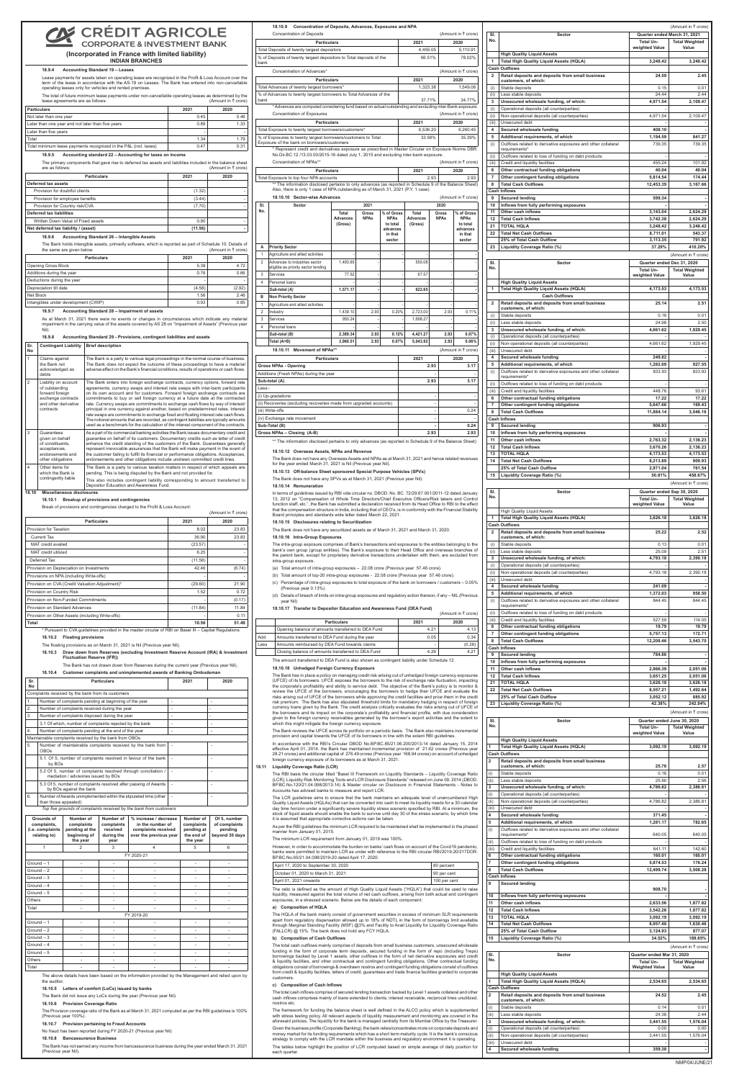# **CRÉDIT AGRICOLE**

**CORPORATE & INVESTMENT BANK (Incorporated in France with limited liability)**

**INDIAN BRANCHES**

**Sl. No.**

**Total Unweighted Value**

**Total Weighted Value**

**Sector Quarter ended March 31, 2021** 

**High Quality Liquid Assets**

Total amount of top-20 intra-group exposures - 22.08 crore (Previous year 57.46 crore).

Lease payments for assets taken on operating lease are recognized in the Profit & Loss Account over the term of the lease in accordance with the AS-19 on Leases. The Bank has entered into non-cancellable operating leases only for vehicles and rented premises. The total of future minimum lease payments under non-cancellable operating leases as

|                         | <b>Total High Quality Liquid Assets (HQLA)</b><br><b>Cash Outflows</b>                                       | 3,248.42                                | 3,248.42                                           |
|-------------------------|--------------------------------------------------------------------------------------------------------------|-----------------------------------------|----------------------------------------------------|
| $\overline{2}$          | Retail deposits and deposits from small business<br>customers, of which:                                     | 24.59                                   | 2.45                                               |
| (i)<br>(ii)             | Stable deposits<br>Less stable deposits                                                                      | 0.15<br>24.44                           | 0.01<br>2.44                                       |
| 3                       | Unsecured wholesale funding, of which:                                                                       | 4,971.54                                | 2,109.47                                           |
| (i)<br>(ii)             | Operational deposits (all counterparties)<br>Non-operational deposits (all counterparties)                   | 4,971.54                                | 2,109.47                                           |
| (iii)<br>4              | Unsecured debt<br>Secured wholesale funding                                                                  | 408.10                                  |                                                    |
| 5<br>(i)                | Additional requirements, of which<br>Outflows related to derivative exposures and other collateral           | 1,194.59<br>739.35                      | 841.27<br>739.35                                   |
| (ii)                    | requirements*<br>Outflows related to loss of funding on debt products                                        |                                         |                                                    |
| (iii)<br>6              | Credit and liquidity facilities<br>Other contractual funding obligations                                     | 455.24<br>40.04                         | 101.92<br>40.04                                    |
| $\overline{7}$          | Other contingent funding obligations                                                                         | 5,814.54                                | 174.44                                             |
| 8                       | <b>Total Cash Outflows</b><br><b>Cash Inflows</b>                                                            | 12,453.39                               | 3,167.66                                           |
| 9<br>10                 | <b>Secured lending</b><br>Inflows from fully performing exposures                                            | 599.34                                  |                                                    |
| 11<br>12                | Other cash inflows<br><b>Total Cash Inflows</b>                                                              | 3,143.04<br>3.742.38                    | 2,624.29<br>2.624.29                               |
| 21<br>22                | <b>TOTAL HQLA</b><br><b>Total Net Cash Outflows</b>                                                          | 3,248.42<br>8,711.01                    | 3,248.42<br>543.37                                 |
| 23                      | 25% of Total Cash Outflow                                                                                    | 3,113.35<br>37.29%                      | 791.92<br>410.20%                                  |
|                         | Liquidity Coverage Ratio (%)                                                                                 |                                         | (Amount in ₹ crore)                                |
| SI.<br>No.              | Sector                                                                                                       | Quarter ended Dec 31, 2020<br>Total Un- | <b>Total Weighted</b>                              |
|                         | <b>High Quality Liquid Assets</b>                                                                            | weighted Value                          | Value                                              |
| 1                       | <b>Total High Quality Liquid Assets (HQLA)</b><br><b>Cash Outflows</b>                                       | 4,173.53                                | 4,173.53                                           |
| $\overline{\mathbf{2}}$ | Retail deposits and deposits from small business<br>customers, of which:                                     | 25.14                                   | 2.51                                               |
| (i)                     | Stable deposits<br>Less stable deposits                                                                      | 0.16<br>24.98                           | 0.01<br>2.50                                       |
| (ii)<br>3               | Unsecured wholesale funding, of which:                                                                       | 4,661.62                                | 1,929.45                                           |
| (i)<br>(ii)             | Operational deposits (all counterparties)<br>Non-operational deposits (all counterparties)                   | 4,661.62                                | 1,929.45                                           |
| (iii)<br>4              | Unsecured debt<br>Secured wholesale funding                                                                  | 249.82                                  | ٠                                                  |
| 5<br>(i)                | Additional requirements, of which<br>Outflows related to derivative exposures and other collateral           | 1,282.69<br>833.93                      | 927.55<br>833.93                                   |
| (ii)                    | requirements*<br>Outflows related to loss of funding on debt products                                        | $\overline{\phantom{a}}$                | ×,                                                 |
| (iii)<br>6              | Credit and liquidity facilities<br>Other contractual funding obligations                                     | 448.76<br>17.22                         | 93.61<br>17.22                                     |
| 7<br>8                  | Other contingent funding obligations<br><b>Total Cash Outflows</b>                                           | 5,647.66<br>11,884.14                   | 169.43<br>3,046.16                                 |
| 9                       | <b>Cash Inflows</b>                                                                                          | 906.93                                  |                                                    |
| 10                      | <b>Secured lending</b><br>Inflows from fully performing exposures                                            |                                         |                                                    |
| 11<br>12                | Other cash inflows<br><b>Total Cash Inflows</b>                                                              | 2,763.32<br>3,670.26                    | 2,136.23<br>2,136.23                               |
| 13<br>14                | <b>TOTAL HQLA</b><br><b>Total Net Cash Outflows</b>                                                          | 4,173.53<br>8,213.89                    | 4,173.53<br>909.93                                 |
| 15                      | 25% of Total Cash Outflow<br>Liquidity Coverage Ratio (%)                                                    | 2,971.04<br>50.81%                      | 761.54<br>458.67%                                  |
|                         |                                                                                                              |                                         | (Amount in ₹ crore)                                |
| SI.<br>No.              | Sector                                                                                                       | Quarter ended Sep 30, 2020<br>Total Un- | <b>Total Weighted</b><br>Value                     |
|                         | <b>High Quality Liquid Assets</b>                                                                            | weighted Value                          |                                                    |
| 1                       | <b>Total High Quality Liquid Assets (HQLA)</b><br><b>Cash Outflows</b>                                       | 3,626.18                                | 3,626.18                                           |
| 2                       | Retail deposits and deposits from small business<br>customers, of which:                                     | 25.22                                   | 2.52                                               |
| (i)<br>(ii)             | Stable deposits<br>Less stable deposits                                                                      | 0.13<br>25.09                           | 0.01<br>2.51                                       |
| 3<br>(i)                | Unsecured wholesale funding, of which:<br>Operational deposits (all counterparties)                          | 4,793.18                                | 2,390.18                                           |
| (ii)<br>(iii)           | Non-operational deposits (all counterparties)<br>Unsecured debt                                              | 4,793.18                                | 2,390.18                                           |
| 4<br>5                  | Secured wholesale funding<br>Additional requirements, of which                                               | 241.09                                  |                                                    |
|                         |                                                                                                              | 1,372.03                                | 958.50                                             |
| (i)                     | Outflows related to derivative exposures and other collateral<br>requirements*                               | 844.45                                  | 844.45                                             |
| (ii)<br>(iii)           | Outflows related to loss of funding on debt products                                                         | 527.59                                  | 114.05                                             |
| 6                       | Credit and liquidity facilities<br>Other contractual funding obligations                                     | 19.79                                   | 19.79                                              |
| $\overline{7}$<br>8     | Other contingent funding obligations<br><b>Total Cash Outflows</b>                                           | 5,757.13<br>12,208.46                   | 172.71<br>3,543.70                                 |
| 9                       | <b>Cash Inflows</b><br><b>Secured lending</b>                                                                | 784.86                                  | ×                                                  |
| 10<br>11                | Inflows from fully performing exposures<br>Other cash inflows                                                | 2,866.39                                | 2,051.06                                           |
| 12<br>21                | <b>Total Cash Inflows</b><br><b>TOTAL HOLA</b>                                                               | 3,651.25<br>3,626.18                    | 2,051.06<br>3,626.18                               |
| 22                      | <b>Total Net Cash Outflows</b><br>25% of Total Cash Outflow                                                  | 8,557.21<br>3,052.12                    | 1,492.64<br>885.92                                 |
| 23                      | Liquidity Coverage Ratio (%)                                                                                 | 42.38%                                  | 242.94%                                            |
| SI.                     | Sector                                                                                                       |                                         | (Amount in ₹ crore)<br>Quarter ended June 30, 2020 |
| No.                     |                                                                                                              | <b>Total Un-</b><br>weighted Value      | <b>Total Weighted</b><br>Value                     |
| 1                       | <b>High Quality Liquid Assets</b><br><b>Total High Quality Liquid Assets (HQLA)</b>                          | 3,092.19                                | 3,092.19                                           |
| $\overline{\mathbf{2}}$ | <b>Cash Outflows</b><br>Retail deposits and deposits from small business                                     |                                         |                                                    |
| (i)                     | customers, of which:<br>Stable deposits                                                                      | 25.76<br>0.16                           | 2.57<br>0.01                                       |
| (ii)<br>3               | Less stable deposits<br>Unsecured wholesale funding, of which:                                               | 25.60<br>4,786.82                       | 2.56<br>2,386.81                                   |
| (i)<br>(ii)             | Operational deposits (all counterparties)<br>Non-operational deposits (all counterparties)                   | 4,786.82                                | 2,386.81                                           |
| (iii)<br>4              | Unsecured debt<br>Secured wholesale funding                                                                  | 371.45                                  |                                                    |
| 5<br>(i)                | Additional requirements, of which<br>Outflows related to derivative exposures and other collateral           | 1,281.17                                | 782.65                                             |
| (ii)                    | requirements*<br>Outflows related to loss of funding on debt products                                        | 640.05                                  | 640.05                                             |
| (iii)<br>6              | Credit and liquidity facilities<br>Other contractual funding obligations                                     | 641.11<br>160.01                        | 142.60<br>160.01                                   |
| $\overline{7}$<br>8     | Other contingent funding obligations<br><b>Total Cash Outflows</b>                                           | 5.874.53<br>12,499.74                   | 176.24<br>3,508.28                                 |
| 9                       | <b>Cash Inflows</b>                                                                                          |                                         |                                                    |
| 10                      | <b>Secured lending</b><br>Inflows from fully performing exposures                                            | 908.70                                  |                                                    |
| 11<br>12                | Other cash inflows                                                                                           | 2,633.56                                | 1,877.82                                           |
| 13                      | <b>Total Cash Inflows</b><br><b>TOTAL HQLA</b>                                                               | 3,542.26<br>3,092.19                    | 1,877.82<br>3,092.19                               |
| 14                      | <b>Total Net Cash Outflows</b><br>25% of Total Cash Outflow                                                  | 8,957.48<br>3,124.93                    | 1,630.46<br>877.07                                 |
| 15                      | Liquidity Coverage Ratio (%)                                                                                 | 34.52%                                  | 189.65%<br>(Amount in ₹ crore)                     |
| SI.<br>No.              | <b>Sector</b>                                                                                                | Quarter ended Mar 31, 2020<br>Total Un- |                                                    |
|                         | <b>High Quality Liquid Assets</b>                                                                            | <b>Weighted Value</b>                   | <b>Total Weighted</b><br>Value                     |
| 1                       | <b>Total High Quality Liquid Assets (HQLA)</b><br><b>Cash Outflows</b>                                       | 2,534.65                                | 2,534.65                                           |
| $\overline{2}$          | Retail deposits and deposits from small business<br>customers, of which:                                     | 24.52                                   | 2.45                                               |
| (i)<br>(ii)             | Stable deposits                                                                                              | 0.14<br>24.38                           | 0.01<br>2.44                                       |
| 3                       | Less stable deposits<br>Unsecured wholesale funding, of which:                                               | 3,441.55                                | 1,576.04                                           |
| (i)<br>(ii)<br>(iii)    | Operational deposits (all counterparties)<br>Non-operational deposits (all counterparties)<br>Unsecured debt | 0.00<br>3,441.55                        | 0.00<br>1,576.04                                   |

(Amount in  $\bar{\tau}$  crore)

#### **18.10.3 Draw down from Reserves (excluding Investment Reserve Account (IRA) & Investment Fluctuation Reserve (IFR))** The Bank has not drawn

### **18.9.4 Accounting Standard 19 – Leases**

| The total or ratare minimitant reade payments ander non-cancellable operating readed as actemnica by the<br>lease agreements are as follows: | (Amount in ₹ crore) |      |  |
|----------------------------------------------------------------------------------------------------------------------------------------------|---------------------|------|--|
| <b>Particulars</b>                                                                                                                           | 2021                | 2020 |  |
| Not later than one year                                                                                                                      | 0.45                | 0.46 |  |
| Later than one year and not later than five years                                                                                            | 0.89                | 1.33 |  |
| Later than five years                                                                                                                        | ۰                   |      |  |
| Total                                                                                                                                        | 1.34                | 1.79 |  |
| Total minimum lease payments recognized in the P&L (incl. taxes)                                                                             | 0.47                | 0.31 |  |

### **18.9.5 Accounting standard 22 – Accounting for taxes on income**

The primary components that gave rise to deferred tax assets and liabilities included in the balance sheet are as follows:<br>(Amount in  $\bar{\tau}$  crore) (Amount in  $\bar{\tau}$  crore)

| <b>Particulars</b>                   | 2021    | 2020 |
|--------------------------------------|---------|------|
| Deferred tax assets                  |         |      |
| Provision for doubtful clients       | (1.32)  |      |
| Provision for employee benefits      | (3.44)  |      |
| Provision for Country risk/CVA       | (7.70)  |      |
| Deferred tax liabilities             |         |      |
| Written Down Value of Fixed assets   | 0.90    |      |
| Net deferred tax liability / (asset) | (11.56) |      |

### **18.9.6 Accounting Standard 26 – Intangible Assets**

The Bank holds intangible assets, primarily software, which is reported as part of Schedule 10. Details of the same are given below the same are given below.

| <b>Particulars</b>                   | 2021   | 2020   |
|--------------------------------------|--------|--------|
| <b>Opening Gross Block</b>           | 5.38   | 4.72   |
| Additions during the year            | 0.76   | 0.66   |
| Deductions during the year           | ۰      |        |
| Depreciation till date               | (4.58) | (2.92) |
| Net Block                            | 1.56   | 2.46   |
| Intangibles under development (CWIP) | 0.93   | 0.85   |

### **18.9.7 Accounting Standard 28 – Impairment of assets**

 As at March 31, 2021 there were no events or changes in circumstances which indicate any material impairment in the carrying value of the assets covered by AS 28 on "Impairment of Assets" (Previous year Nil).

|    | 18.9.8                                       | Accounting Standard 29 - Provisions, contingent liabilities and assets |
|----|----------------------------------------------|------------------------------------------------------------------------|
| No | Sr. Contingent Liability   Brief description |                                                                        |

| $\mathbf{1}$   | Claims against<br>the Bank not<br>acknowledged as<br>debts                                                           | The Bank is a party to various legal proceedings in the normal course of business.<br>The Bank does not expect the outcome of these proceedings to have a material<br>adverse effect on the Bank's financial conditions, results of operations or cash flows.                                                                                                                                                                                                                                                                                                                                                                                                                                                                                                                         |
|----------------|----------------------------------------------------------------------------------------------------------------------|---------------------------------------------------------------------------------------------------------------------------------------------------------------------------------------------------------------------------------------------------------------------------------------------------------------------------------------------------------------------------------------------------------------------------------------------------------------------------------------------------------------------------------------------------------------------------------------------------------------------------------------------------------------------------------------------------------------------------------------------------------------------------------------|
| $\overline{2}$ | Liability on account<br>of outstanding<br>forward foreign<br>exchange contracts<br>and other derivative<br>contracts | The Bank enters into foreign exchange contracts, currency options, forward rate<br>agreements, currency swaps and interest rate swaps with inter-bank participants<br>on its own account and for customers. Forward foreign exchange contracts are<br>commitments to buy or sell foreign currency at a future date at the contracted<br>rate. Currency swaps are commitments to exchange cash flows by way of interest/<br>principal in one currency against another, based on predetermined rates. Interest<br>rate swaps are commitments to exchange fixed and floating interest rate cash flows.<br>The notional amounts that are recorded, as contingent liabilities are typically amounts<br>used as a benchmark for the calculation of the interest component of the contracts. |
| 3              | Guarantees<br>given on behalf<br>of constituents.<br>acceptances,<br>endorsements and<br>other obligations           | As a part of its commercial banking activities the Bank issues documentary credit and<br>guarantee on behalf of its customers. Documentary credits such as letter of credit<br>enhance the credit standing of the customers of the Bank. Guarantees generally<br>represent irrevocable assurances that the Bank will make payment in the event of<br>the customer failing to fulfill its financial or performance obligations. Acceptances,<br>endorsements and other obligations include undrawn committed credit lines.                                                                                                                                                                                                                                                             |
| $\overline{4}$ | Other items for<br>which the Bank is<br>contingently liable                                                          | The Bank is a party to various taxation matters in respect of which appeals are<br>pending. This is being disputed by the Bank and not provided for.<br>This also includes contingent liability corresponding to amount transferred to                                                                                                                                                                                                                                                                                                                                                                                                                                                                                                                                                |
|                |                                                                                                                      | Depositor Education and Awareness Fund.                                                                                                                                                                                                                                                                                                                                                                                                                                                                                                                                                                                                                                                                                                                                               |

The Bank has in place a policy on managing credit risk arising out of unhedged foreign currency exposures<br>(UFCE) of its borrowers. UFCE exposes the borrowers to the risk of exchange rate fluctuation, impacting<br>the corporat review the UFCE of the borrowers, encouraging the borrowers to hedge their UFCE and evaluate the risks arising out of UFCE of the borrowers while approving the credit facilities and price them in the credit risk premium. The Bank has also stipulated threshold limits for mandatory hedging in respect of foreign<br>currency loans given by the Bank. The credit analysis critically evaluates the risks arising out of UFCE of<br>the borro given to the foreign currency receivables generated by the borrower's export activities and the extent to which this might mitigate the foreign currency exposure.

**18.10 Miscellaneous disclosures**

### **18.10.1 Breakup of provisions and contingencies**

Break of provisions and contingencies charged to the Profit & Loss Account:

| Break of provisions and contingencies charged to the Profit & Loss Account.<br>(Amount in $\bar{\tau}$ crore) |         |        |
|---------------------------------------------------------------------------------------------------------------|---------|--------|
| <b>Particulars</b>                                                                                            | 2021    | 2020   |
| Provision for Taxation                                                                                        | 8.02    | 23.83  |
| <b>Current Tax</b>                                                                                            | 36.90   | 23.83  |
| MAT credit availed                                                                                            | (23.57) |        |
| MAT credit utilized                                                                                           | 6.25    |        |
| Deferred Tax                                                                                                  | (11.56) |        |
| Provision on Depreciation on Investments                                                                      | 42.46   | (6.74) |
| Provisions on NPA (including Write-offs)                                                                      | ۰       |        |
| Provision on CVA (Credit Valuation Adjustment)*                                                               | (29.60) | 21.90  |
| Provision on Country Risk                                                                                     | 1.52    | 0.72   |
| Provision on Non-Funded Commitments                                                                           | ۰       | (0.17) |
| Provision on Standard Advances                                                                                | (11.84) | 11.84  |
| Provision on Other Assets (including Write-offs)                                                              | ۰       | 0.11   |
| Total                                                                                                         | 10.56   | 51.49  |

 \* Pursuant to CVA guidelines provided in the master circular of RBI on Basel III – Capital Regulations **18.10.2 Floating provisions** 

The floating provisions as on March 31, 2021 is Nil (Previous year Nil).

**18.10.4 Customer complaints and unimplemented awards of Banking Ombudsman**

| Sr.<br><b>No</b>                                              |                                                                                          | <b>Particulars</b>                                                    |                                                           |                                                                                            | 2021 | 2020                                                            |                                                            |
|---------------------------------------------------------------|------------------------------------------------------------------------------------------|-----------------------------------------------------------------------|-----------------------------------------------------------|--------------------------------------------------------------------------------------------|------|-----------------------------------------------------------------|------------------------------------------------------------|
|                                                               |                                                                                          | Complaints received by the bank from its customers                    |                                                           |                                                                                            |      |                                                                 |                                                            |
| 1.                                                            |                                                                                          | Number of complaints pending at beginning of the year                 |                                                           |                                                                                            | ÷,   |                                                                 | ÷,                                                         |
| 2.                                                            |                                                                                          | Number of complaints received during the year                         |                                                           |                                                                                            | ÷,   |                                                                 | ä,                                                         |
| 3.                                                            |                                                                                          | Number of complaints disposed during the year                         |                                                           |                                                                                            | ÷,   |                                                                 | $\overline{a}$                                             |
|                                                               |                                                                                          | 3.1 Of which, number of complaints rejected by the bank               |                                                           |                                                                                            | ÷,   |                                                                 | ÷,                                                         |
| 4.                                                            |                                                                                          | Number of complaints pending at the end of the year                   |                                                           |                                                                                            | ÷,   |                                                                 | L,                                                         |
|                                                               |                                                                                          | Maintainable complaints received by the bank from OBOs                |                                                           |                                                                                            |      |                                                                 |                                                            |
| 5.                                                            | OBOs                                                                                     |                                                                       |                                                           | Number of maintainable complaints received by the bank from                                |      |                                                                 |                                                            |
|                                                               | by BOs                                                                                   |                                                                       |                                                           | 5.1. Of 5, number of complaints resolved in favour of the bank                             |      |                                                                 |                                                            |
|                                                               |                                                                                          | mediation / advisories issued by BOs                                  |                                                           | 5.2 Of 5, number of complaints resolved through conciliation /                             | ÷,   |                                                                 |                                                            |
|                                                               |                                                                                          | by BOs against the bank                                               |                                                           | 5.3 Of 5, number of complaints resolved after passing of Awards                            | ÷.   |                                                                 | ÷,                                                         |
| 6.                                                            | Number of Awards unimplemented within the stipulated time (other<br>than those appealed) |                                                                       |                                                           |                                                                                            |      |                                                                 |                                                            |
|                                                               |                                                                                          |                                                                       |                                                           | Top five grounds of complaints received by the bank from customers                         |      |                                                                 |                                                            |
| Grounds of<br>complaints,<br>(i.e. complaints<br>relating to) |                                                                                          | Number of<br>complaints<br>pending at the<br>beginning of<br>the year | Number of<br>complaints<br>received<br>during the<br>year | % increase / decrease<br>in the number of<br>complaints received<br>over the previous year |      | Number of<br>complaints<br>pending at<br>the end of<br>the year | Of 5, number<br>of complaints<br>pending<br>beyond 30 days |
|                                                               | $\mathbf{1}$                                                                             | $\overline{2}$                                                        | 3                                                         | 4                                                                                          |      | 5                                                               | 6                                                          |
|                                                               |                                                                                          |                                                                       |                                                           | FY 2020-21                                                                                 |      |                                                                 |                                                            |
|                                                               | Ground - 1                                                                               | $\overline{a}$                                                        |                                                           |                                                                                            |      |                                                                 |                                                            |
|                                                               | $Ground - 2$                                                                             | ÷,                                                                    |                                                           | ä,                                                                                         |      | ÷,                                                              | ÷                                                          |
|                                                               | $Ground - 3$                                                                             | ÷                                                                     | ÷                                                         | $\mathbf{r}$                                                                               |      | ÷                                                               | ÷.                                                         |
|                                                               | $Ground - 4$                                                                             | ÷,                                                                    | ÷,                                                        | ä,                                                                                         |      | ÷,                                                              | ÷,                                                         |
|                                                               | Ground - 5                                                                               | ä,                                                                    |                                                           | ä,                                                                                         |      | ä,                                                              | ä,                                                         |
| Others                                                        |                                                                                          | ä,                                                                    | ÷                                                         | ä,                                                                                         |      | ä,                                                              | ä,                                                         |
| Total                                                         |                                                                                          | ä,                                                                    | ÷,                                                        | ٠                                                                                          |      | ä,                                                              | ä,                                                         |
|                                                               |                                                                                          |                                                                       |                                                           | FY 2019-20                                                                                 |      |                                                                 |                                                            |
|                                                               | Ground - 1                                                                               | ä,                                                                    | ÷,                                                        | ÷,                                                                                         |      | ä,                                                              |                                                            |
|                                                               | $Ground - 2$                                                                             | ÷,                                                                    |                                                           | ٠                                                                                          |      |                                                                 |                                                            |
|                                                               | $Ground - 3$                                                                             | ÷,                                                                    | ä,                                                        | ä,                                                                                         |      | ä,                                                              | ä,                                                         |
|                                                               | $Ground - 4$                                                                             | ä,                                                                    | $\frac{1}{2}$                                             | ÷,                                                                                         |      | $\frac{1}{2}$                                                   | $\sim$                                                     |
|                                                               | Ground - 5                                                                               | ä,                                                                    | ÷,                                                        | ä,                                                                                         |      | ä,                                                              | ä,                                                         |
| Others                                                        |                                                                                          | ÷,                                                                    | $\overline{\phantom{m}}$                                  | $\overline{\phantom{m}}$                                                                   |      | $\overline{\phantom{0}}$                                        | ÷,                                                         |
| Total                                                         |                                                                                          |                                                                       |                                                           |                                                                                            |      |                                                                 |                                                            |

The above details have been based on the information provided by the Management and relied upon by the auditor.

#### **18.10.5 Letters of comfort (LoCs) issued by banks**

The Bank did not issue any LoCs during the year (Previous year Nil).

### **18.10.6 Provision Coverage Ratio**

The Provision coverage ratio of the Bank as at March 31, 2021 computed as per the RBI guidelines is 100% (Previous year 100%).

#### **18.10.7 Provision pertaining to Fraud Accounts**

No fraud has been reported during FY 2020-21 (Previous year Nil)

### **18.10.8 Bancassurance Business**

The Bank has not earned any income from bancassurance business during the year ended March 31, 2021 (Previous year Nil).

| % of Deposits of twenty largest depositors to Total deposits of the<br>% of Advances to twenty largest borrowers to Total Advances of the<br>* Advances are computed considering fund based on actual outstanding and excluding inter-Bank exposure.<br>Total Exposure to twenty largest borrowers/customers*<br>% of Exposures to twenty largest borrowers/customers to Total<br>* Represent credit and derivatives exposure as prescribed in Master Circular on Exposure Norms DBR.<br>No.Dir.BC.12 /13.03.00/2015-16 dated July 1, 2015 and excluding inter-bank exposure.<br>** The information disclosed pertains to only advances (as reported in Schedule 9 of the Balance Sheet)<br>Also, there is only 1 case of NPA outstanding as of March 31, 2021 (P.Y. 1 case)<br>2021<br>Gross<br><b>NPAs</b> | % of Gross<br><b>NPAs</b><br>to total<br>advances          |                                                                                                                                                      | 2021<br>4,455.05<br>66.51%<br>2021<br>1,323.38<br>37.71%<br>2021<br>6,536.20<br>33.56%<br>2021 | 2.93                                                                                                                                                                                                 |                                                                                                                                                | 2020<br>5,110.91<br>78.02%<br>(Amount in ₹ crore)<br>2020<br>1,549.06<br>34.77%<br>(Amount in ₹ crore)<br>2020<br>6,260.45<br>35.39%<br>(Amount in ₹ crore)<br>2020<br>2.93                                                                                                                                                                                                                                                                                                                                                                                                                                                                                                                                                                                                                                                                                                                                                                                                                                                                                                                                    |
|--------------------------------------------------------------------------------------------------------------------------------------------------------------------------------------------------------------------------------------------------------------------------------------------------------------------------------------------------------------------------------------------------------------------------------------------------------------------------------------------------------------------------------------------------------------------------------------------------------------------------------------------------------------------------------------------------------------------------------------------------------------------------------------------------------------|------------------------------------------------------------|------------------------------------------------------------------------------------------------------------------------------------------------------|------------------------------------------------------------------------------------------------|------------------------------------------------------------------------------------------------------------------------------------------------------------------------------------------------------|------------------------------------------------------------------------------------------------------------------------------------------------|----------------------------------------------------------------------------------------------------------------------------------------------------------------------------------------------------------------------------------------------------------------------------------------------------------------------------------------------------------------------------------------------------------------------------------------------------------------------------------------------------------------------------------------------------------------------------------------------------------------------------------------------------------------------------------------------------------------------------------------------------------------------------------------------------------------------------------------------------------------------------------------------------------------------------------------------------------------------------------------------------------------------------------------------------------------------------------------------------------------|
|                                                                                                                                                                                                                                                                                                                                                                                                                                                                                                                                                                                                                                                                                                                                                                                                              |                                                            |                                                                                                                                                      |                                                                                                |                                                                                                                                                                                                      |                                                                                                                                                |                                                                                                                                                                                                                                                                                                                                                                                                                                                                                                                                                                                                                                                                                                                                                                                                                                                                                                                                                                                                                                                                                                                |
|                                                                                                                                                                                                                                                                                                                                                                                                                                                                                                                                                                                                                                                                                                                                                                                                              |                                                            |                                                                                                                                                      |                                                                                                |                                                                                                                                                                                                      |                                                                                                                                                |                                                                                                                                                                                                                                                                                                                                                                                                                                                                                                                                                                                                                                                                                                                                                                                                                                                                                                                                                                                                                                                                                                                |
|                                                                                                                                                                                                                                                                                                                                                                                                                                                                                                                                                                                                                                                                                                                                                                                                              |                                                            |                                                                                                                                                      |                                                                                                |                                                                                                                                                                                                      |                                                                                                                                                |                                                                                                                                                                                                                                                                                                                                                                                                                                                                                                                                                                                                                                                                                                                                                                                                                                                                                                                                                                                                                                                                                                                |
|                                                                                                                                                                                                                                                                                                                                                                                                                                                                                                                                                                                                                                                                                                                                                                                                              |                                                            |                                                                                                                                                      |                                                                                                |                                                                                                                                                                                                      |                                                                                                                                                |                                                                                                                                                                                                                                                                                                                                                                                                                                                                                                                                                                                                                                                                                                                                                                                                                                                                                                                                                                                                                                                                                                                |
|                                                                                                                                                                                                                                                                                                                                                                                                                                                                                                                                                                                                                                                                                                                                                                                                              |                                                            |                                                                                                                                                      |                                                                                                |                                                                                                                                                                                                      |                                                                                                                                                |                                                                                                                                                                                                                                                                                                                                                                                                                                                                                                                                                                                                                                                                                                                                                                                                                                                                                                                                                                                                                                                                                                                |
|                                                                                                                                                                                                                                                                                                                                                                                                                                                                                                                                                                                                                                                                                                                                                                                                              |                                                            |                                                                                                                                                      |                                                                                                |                                                                                                                                                                                                      |                                                                                                                                                |                                                                                                                                                                                                                                                                                                                                                                                                                                                                                                                                                                                                                                                                                                                                                                                                                                                                                                                                                                                                                                                                                                                |
|                                                                                                                                                                                                                                                                                                                                                                                                                                                                                                                                                                                                                                                                                                                                                                                                              |                                                            |                                                                                                                                                      |                                                                                                |                                                                                                                                                                                                      |                                                                                                                                                |                                                                                                                                                                                                                                                                                                                                                                                                                                                                                                                                                                                                                                                                                                                                                                                                                                                                                                                                                                                                                                                                                                                |
|                                                                                                                                                                                                                                                                                                                                                                                                                                                                                                                                                                                                                                                                                                                                                                                                              |                                                            |                                                                                                                                                      |                                                                                                |                                                                                                                                                                                                      |                                                                                                                                                |                                                                                                                                                                                                                                                                                                                                                                                                                                                                                                                                                                                                                                                                                                                                                                                                                                                                                                                                                                                                                                                                                                                |
|                                                                                                                                                                                                                                                                                                                                                                                                                                                                                                                                                                                                                                                                                                                                                                                                              |                                                            |                                                                                                                                                      |                                                                                                |                                                                                                                                                                                                      |                                                                                                                                                |                                                                                                                                                                                                                                                                                                                                                                                                                                                                                                                                                                                                                                                                                                                                                                                                                                                                                                                                                                                                                                                                                                                |
|                                                                                                                                                                                                                                                                                                                                                                                                                                                                                                                                                                                                                                                                                                                                                                                                              |                                                            |                                                                                                                                                      |                                                                                                |                                                                                                                                                                                                      |                                                                                                                                                |                                                                                                                                                                                                                                                                                                                                                                                                                                                                                                                                                                                                                                                                                                                                                                                                                                                                                                                                                                                                                                                                                                                |
|                                                                                                                                                                                                                                                                                                                                                                                                                                                                                                                                                                                                                                                                                                                                                                                                              |                                                            |                                                                                                                                                      |                                                                                                |                                                                                                                                                                                                      |                                                                                                                                                |                                                                                                                                                                                                                                                                                                                                                                                                                                                                                                                                                                                                                                                                                                                                                                                                                                                                                                                                                                                                                                                                                                                |
|                                                                                                                                                                                                                                                                                                                                                                                                                                                                                                                                                                                                                                                                                                                                                                                                              |                                                            |                                                                                                                                                      |                                                                                                |                                                                                                                                                                                                      |                                                                                                                                                |                                                                                                                                                                                                                                                                                                                                                                                                                                                                                                                                                                                                                                                                                                                                                                                                                                                                                                                                                                                                                                                                                                                |
|                                                                                                                                                                                                                                                                                                                                                                                                                                                                                                                                                                                                                                                                                                                                                                                                              |                                                            |                                                                                                                                                      |                                                                                                |                                                                                                                                                                                                      |                                                                                                                                                |                                                                                                                                                                                                                                                                                                                                                                                                                                                                                                                                                                                                                                                                                                                                                                                                                                                                                                                                                                                                                                                                                                                |
|                                                                                                                                                                                                                                                                                                                                                                                                                                                                                                                                                                                                                                                                                                                                                                                                              |                                                            |                                                                                                                                                      |                                                                                                |                                                                                                                                                                                                      |                                                                                                                                                |                                                                                                                                                                                                                                                                                                                                                                                                                                                                                                                                                                                                                                                                                                                                                                                                                                                                                                                                                                                                                                                                                                                |
|                                                                                                                                                                                                                                                                                                                                                                                                                                                                                                                                                                                                                                                                                                                                                                                                              |                                                            |                                                                                                                                                      |                                                                                                |                                                                                                                                                                                                      |                                                                                                                                                |                                                                                                                                                                                                                                                                                                                                                                                                                                                                                                                                                                                                                                                                                                                                                                                                                                                                                                                                                                                                                                                                                                                |
|                                                                                                                                                                                                                                                                                                                                                                                                                                                                                                                                                                                                                                                                                                                                                                                                              |                                                            |                                                                                                                                                      |                                                                                                |                                                                                                                                                                                                      |                                                                                                                                                |                                                                                                                                                                                                                                                                                                                                                                                                                                                                                                                                                                                                                                                                                                                                                                                                                                                                                                                                                                                                                                                                                                                |
|                                                                                                                                                                                                                                                                                                                                                                                                                                                                                                                                                                                                                                                                                                                                                                                                              |                                                            |                                                                                                                                                      |                                                                                                |                                                                                                                                                                                                      |                                                                                                                                                | (Amount in $\bar{\tau}$ crore)                                                                                                                                                                                                                                                                                                                                                                                                                                                                                                                                                                                                                                                                                                                                                                                                                                                                                                                                                                                                                                                                                 |
|                                                                                                                                                                                                                                                                                                                                                                                                                                                                                                                                                                                                                                                                                                                                                                                                              |                                                            |                                                                                                                                                      |                                                                                                |                                                                                                                                                                                                      | 2020                                                                                                                                           |                                                                                                                                                                                                                                                                                                                                                                                                                                                                                                                                                                                                                                                                                                                                                                                                                                                                                                                                                                                                                                                                                                                |
|                                                                                                                                                                                                                                                                                                                                                                                                                                                                                                                                                                                                                                                                                                                                                                                                              |                                                            |                                                                                                                                                      | <b>Total</b>                                                                                   |                                                                                                                                                                                                      | Gross                                                                                                                                          | % of Gross                                                                                                                                                                                                                                                                                                                                                                                                                                                                                                                                                                                                                                                                                                                                                                                                                                                                                                                                                                                                                                                                                                     |
|                                                                                                                                                                                                                                                                                                                                                                                                                                                                                                                                                                                                                                                                                                                                                                                                              | in that<br>sector                                          |                                                                                                                                                      | <b>Advances</b><br>(Gross)                                                                     |                                                                                                                                                                                                      | <b>NPAs</b>                                                                                                                                    | <b>NPAs</b><br>to total<br>advances<br>in that<br>sector                                                                                                                                                                                                                                                                                                                                                                                                                                                                                                                                                                                                                                                                                                                                                                                                                                                                                                                                                                                                                                                       |
|                                                                                                                                                                                                                                                                                                                                                                                                                                                                                                                                                                                                                                                                                                                                                                                                              |                                                            |                                                                                                                                                      |                                                                                                |                                                                                                                                                                                                      |                                                                                                                                                |                                                                                                                                                                                                                                                                                                                                                                                                                                                                                                                                                                                                                                                                                                                                                                                                                                                                                                                                                                                                                                                                                                                |
|                                                                                                                                                                                                                                                                                                                                                                                                                                                                                                                                                                                                                                                                                                                                                                                                              |                                                            |                                                                                                                                                      |                                                                                                |                                                                                                                                                                                                      |                                                                                                                                                |                                                                                                                                                                                                                                                                                                                                                                                                                                                                                                                                                                                                                                                                                                                                                                                                                                                                                                                                                                                                                                                                                                                |
|                                                                                                                                                                                                                                                                                                                                                                                                                                                                                                                                                                                                                                                                                                                                                                                                              |                                                            |                                                                                                                                                      |                                                                                                |                                                                                                                                                                                                      |                                                                                                                                                |                                                                                                                                                                                                                                                                                                                                                                                                                                                                                                                                                                                                                                                                                                                                                                                                                                                                                                                                                                                                                                                                                                                |
|                                                                                                                                                                                                                                                                                                                                                                                                                                                                                                                                                                                                                                                                                                                                                                                                              |                                                            |                                                                                                                                                      |                                                                                                |                                                                                                                                                                                                      |                                                                                                                                                |                                                                                                                                                                                                                                                                                                                                                                                                                                                                                                                                                                                                                                                                                                                                                                                                                                                                                                                                                                                                                                                                                                                |
|                                                                                                                                                                                                                                                                                                                                                                                                                                                                                                                                                                                                                                                                                                                                                                                                              |                                                            |                                                                                                                                                      | 622.65                                                                                         |                                                                                                                                                                                                      |                                                                                                                                                |                                                                                                                                                                                                                                                                                                                                                                                                                                                                                                                                                                                                                                                                                                                                                                                                                                                                                                                                                                                                                                                                                                                |
|                                                                                                                                                                                                                                                                                                                                                                                                                                                                                                                                                                                                                                                                                                                                                                                                              |                                                            |                                                                                                                                                      |                                                                                                |                                                                                                                                                                                                      |                                                                                                                                                |                                                                                                                                                                                                                                                                                                                                                                                                                                                                                                                                                                                                                                                                                                                                                                                                                                                                                                                                                                                                                                                                                                                |
|                                                                                                                                                                                                                                                                                                                                                                                                                                                                                                                                                                                                                                                                                                                                                                                                              |                                                            |                                                                                                                                                      |                                                                                                |                                                                                                                                                                                                      |                                                                                                                                                | 0.11%                                                                                                                                                                                                                                                                                                                                                                                                                                                                                                                                                                                                                                                                                                                                                                                                                                                                                                                                                                                                                                                                                                          |
|                                                                                                                                                                                                                                                                                                                                                                                                                                                                                                                                                                                                                                                                                                                                                                                                              |                                                            |                                                                                                                                                      | 1,698.27                                                                                       |                                                                                                                                                                                                      |                                                                                                                                                |                                                                                                                                                                                                                                                                                                                                                                                                                                                                                                                                                                                                                                                                                                                                                                                                                                                                                                                                                                                                                                                                                                                |
|                                                                                                                                                                                                                                                                                                                                                                                                                                                                                                                                                                                                                                                                                                                                                                                                              |                                                            |                                                                                                                                                      |                                                                                                |                                                                                                                                                                                                      |                                                                                                                                                |                                                                                                                                                                                                                                                                                                                                                                                                                                                                                                                                                                                                                                                                                                                                                                                                                                                                                                                                                                                                                                                                                                                |
| 2.93                                                                                                                                                                                                                                                                                                                                                                                                                                                                                                                                                                                                                                                                                                                                                                                                         |                                                            |                                                                                                                                                      | 4,421.27                                                                                       |                                                                                                                                                                                                      | 2.93                                                                                                                                           | 0.07%                                                                                                                                                                                                                                                                                                                                                                                                                                                                                                                                                                                                                                                                                                                                                                                                                                                                                                                                                                                                                                                                                                          |
|                                                                                                                                                                                                                                                                                                                                                                                                                                                                                                                                                                                                                                                                                                                                                                                                              |                                                            |                                                                                                                                                      |                                                                                                |                                                                                                                                                                                                      |                                                                                                                                                | 0.06%                                                                                                                                                                                                                                                                                                                                                                                                                                                                                                                                                                                                                                                                                                                                                                                                                                                                                                                                                                                                                                                                                                          |
|                                                                                                                                                                                                                                                                                                                                                                                                                                                                                                                                                                                                                                                                                                                                                                                                              |                                                            |                                                                                                                                                      |                                                                                                |                                                                                                                                                                                                      |                                                                                                                                                | (Amount in ₹ crore)                                                                                                                                                                                                                                                                                                                                                                                                                                                                                                                                                                                                                                                                                                                                                                                                                                                                                                                                                                                                                                                                                            |
|                                                                                                                                                                                                                                                                                                                                                                                                                                                                                                                                                                                                                                                                                                                                                                                                              |                                                            |                                                                                                                                                      |                                                                                                |                                                                                                                                                                                                      |                                                                                                                                                | 2020                                                                                                                                                                                                                                                                                                                                                                                                                                                                                                                                                                                                                                                                                                                                                                                                                                                                                                                                                                                                                                                                                                           |
|                                                                                                                                                                                                                                                                                                                                                                                                                                                                                                                                                                                                                                                                                                                                                                                                              |                                                            |                                                                                                                                                      |                                                                                                |                                                                                                                                                                                                      |                                                                                                                                                | 3.17                                                                                                                                                                                                                                                                                                                                                                                                                                                                                                                                                                                                                                                                                                                                                                                                                                                                                                                                                                                                                                                                                                           |
|                                                                                                                                                                                                                                                                                                                                                                                                                                                                                                                                                                                                                                                                                                                                                                                                              |                                                            |                                                                                                                                                      |                                                                                                |                                                                                                                                                                                                      |                                                                                                                                                | 3.17                                                                                                                                                                                                                                                                                                                                                                                                                                                                                                                                                                                                                                                                                                                                                                                                                                                                                                                                                                                                                                                                                                           |
|                                                                                                                                                                                                                                                                                                                                                                                                                                                                                                                                                                                                                                                                                                                                                                                                              |                                                            |                                                                                                                                                      |                                                                                                | $\blacksquare$                                                                                                                                                                                       |                                                                                                                                                |                                                                                                                                                                                                                                                                                                                                                                                                                                                                                                                                                                                                                                                                                                                                                                                                                                                                                                                                                                                                                                                                                                                |
|                                                                                                                                                                                                                                                                                                                                                                                                                                                                                                                                                                                                                                                                                                                                                                                                              |                                                            |                                                                                                                                                      |                                                                                                | ä,                                                                                                                                                                                                   |                                                                                                                                                |                                                                                                                                                                                                                                                                                                                                                                                                                                                                                                                                                                                                                                                                                                                                                                                                                                                                                                                                                                                                                                                                                                                |
|                                                                                                                                                                                                                                                                                                                                                                                                                                                                                                                                                                                                                                                                                                                                                                                                              |                                                            |                                                                                                                                                      |                                                                                                |                                                                                                                                                                                                      |                                                                                                                                                | 0.24                                                                                                                                                                                                                                                                                                                                                                                                                                                                                                                                                                                                                                                                                                                                                                                                                                                                                                                                                                                                                                                                                                           |
|                                                                                                                                                                                                                                                                                                                                                                                                                                                                                                                                                                                                                                                                                                                                                                                                              |                                                            |                                                                                                                                                      |                                                                                                | ä,                                                                                                                                                                                                   |                                                                                                                                                | 0.24                                                                                                                                                                                                                                                                                                                                                                                                                                                                                                                                                                                                                                                                                                                                                                                                                                                                                                                                                                                                                                                                                                           |
|                                                                                                                                                                                                                                                                                                                                                                                                                                                                                                                                                                                                                                                                                                                                                                                                              |                                                            |                                                                                                                                                      |                                                                                                |                                                                                                                                                                                                      |                                                                                                                                                | 2.93                                                                                                                                                                                                                                                                                                                                                                                                                                                                                                                                                                                                                                                                                                                                                                                                                                                                                                                                                                                                                                                                                                           |
|                                                                                                                                                                                                                                                                                                                                                                                                                                                                                                                                                                                                                                                                                                                                                                                                              |                                                            |                                                                                                                                                      |                                                                                                |                                                                                                                                                                                                      |                                                                                                                                                |                                                                                                                                                                                                                                                                                                                                                                                                                                                                                                                                                                                                                                                                                                                                                                                                                                                                                                                                                                                                                                                                                                                |
|                                                                                                                                                                                                                                                                                                                                                                                                                                                                                                                                                                                                                                                                                                                                                                                                              |                                                            |                                                                                                                                                      |                                                                                                |                                                                                                                                                                                                      |                                                                                                                                                |                                                                                                                                                                                                                                                                                                                                                                                                                                                                                                                                                                                                                                                                                                                                                                                                                                                                                                                                                                                                                                                                                                                |
|                                                                                                                                                                                                                                                                                                                                                                                                                                                                                                                                                                                                                                                                                                                                                                                                              |                                                            |                                                                                                                                                      |                                                                                                |                                                                                                                                                                                                      |                                                                                                                                                |                                                                                                                                                                                                                                                                                                                                                                                                                                                                                                                                                                                                                                                                                                                                                                                                                                                                                                                                                                                                                                                                                                                |
|                                                                                                                                                                                                                                                                                                                                                                                                                                                                                                                                                                                                                                                                                                                                                                                                              |                                                            |                                                                                                                                                      |                                                                                                |                                                                                                                                                                                                      |                                                                                                                                                |                                                                                                                                                                                                                                                                                                                                                                                                                                                                                                                                                                                                                                                                                                                                                                                                                                                                                                                                                                                                                                                                                                                |
|                                                                                                                                                                                                                                                                                                                                                                                                                                                                                                                                                                                                                                                                                                                                                                                                              |                                                            |                                                                                                                                                      |                                                                                                |                                                                                                                                                                                                      |                                                                                                                                                |                                                                                                                                                                                                                                                                                                                                                                                                                                                                                                                                                                                                                                                                                                                                                                                                                                                                                                                                                                                                                                                                                                                |
|                                                                                                                                                                                                                                                                                                                                                                                                                                                                                                                                                                                                                                                                                                                                                                                                              |                                                            |                                                                                                                                                      |                                                                                                |                                                                                                                                                                                                      |                                                                                                                                                |                                                                                                                                                                                                                                                                                                                                                                                                                                                                                                                                                                                                                                                                                                                                                                                                                                                                                                                                                                                                                                                                                                                |
|                                                                                                                                                                                                                                                                                                                                                                                                                                                                                                                                                                                                                                                                                                                                                                                                              |                                                            |                                                                                                                                                      |                                                                                                |                                                                                                                                                                                                      |                                                                                                                                                |                                                                                                                                                                                                                                                                                                                                                                                                                                                                                                                                                                                                                                                                                                                                                                                                                                                                                                                                                                                                                                                                                                                |
|                                                                                                                                                                                                                                                                                                                                                                                                                                                                                                                                                                                                                                                                                                                                                                                                              |                                                            |                                                                                                                                                      |                                                                                                |                                                                                                                                                                                                      |                                                                                                                                                |                                                                                                                                                                                                                                                                                                                                                                                                                                                                                                                                                                                                                                                                                                                                                                                                                                                                                                                                                                                                                                                                                                                |
| 18.10.15 Disclosures relating to Securitization                                                                                                                                                                                                                                                                                                                                                                                                                                                                                                                                                                                                                                                                                                                                                              |                                                            |                                                                                                                                                      |                                                                                                |                                                                                                                                                                                                      |                                                                                                                                                |                                                                                                                                                                                                                                                                                                                                                                                                                                                                                                                                                                                                                                                                                                                                                                                                                                                                                                                                                                                                                                                                                                                |
|                                                                                                                                                                                                                                                                                                                                                                                                                                                                                                                                                                                                                                                                                                                                                                                                              |                                                            |                                                                                                                                                      |                                                                                                |                                                                                                                                                                                                      |                                                                                                                                                |                                                                                                                                                                                                                                                                                                                                                                                                                                                                                                                                                                                                                                                                                                                                                                                                                                                                                                                                                                                                                                                                                                                |
|                                                                                                                                                                                                                                                                                                                                                                                                                                                                                                                                                                                                                                                                                                                                                                                                              |                                                            |                                                                                                                                                      |                                                                                                |                                                                                                                                                                                                      |                                                                                                                                                |                                                                                                                                                                                                                                                                                                                                                                                                                                                                                                                                                                                                                                                                                                                                                                                                                                                                                                                                                                                                                                                                                                                |
|                                                                                                                                                                                                                                                                                                                                                                                                                                                                                                                                                                                                                                                                                                                                                                                                              | 2.93<br>2.93<br>18.10.12 Overseas Assets, NPAs and Revenue | (ii) Recoveries (excluding recoveries made from upgraded accounts)<br>for the year ended March 31, 2021 is Nil (Previous year Nil).<br>$22.08$ arasa | 0.20%<br>0.12%<br>0.07%<br>Board principles and standards wide letter dated March 22, 2021.    | 555.08<br>67.57<br>2,723.00<br>5,043.92<br>2021<br>18.10.13 Off-balance Sheet sponsored Special Purpose Vehicles (SPVs)<br>The Bank does not have any SPVs as at March 31, 2021 (Previous year Nil). | 2.93<br>2.93<br>÷,<br>$\overline{\phantom{a}}$<br>2.93<br>(a) Total amount of intra-group exposures – 22.08 crore (Previous year 57.46 crore). | 2.93<br>2.93<br>** The information disclosed pertains to only advances (as reported in Schedule 9 of the Balance Sheet)<br>The Bank does not have any Overseas Assets and NPAs as at March 31, 2021 and hence related revenues<br>In terms of guidelines issued by RBI vide circular no. DBOD. No. BC. 72/29.67.001/2011-12 dated January<br>13, 2012 on "Compensation of Whole Time Directors/Chief Executive Officers/Risk takers and Control<br>function staff, etc.", the Bank has submitted a declaration received from its Head Office to RBI to the effect<br>that the compensation structure in India, including that of CEO's, is in conformity with the Financial Stability<br>The Bank does not have any securitized assets as of March 31, 2021 and March 31, 2020.<br>The intra-group exposure comprises of Bank's transactions and exposures to the entities belonging to the<br>bank's own group (group entities). The Bank's exposure to their Head Office and overseas branches of<br>the parent bank, except for proprietary derivative transactions undertaken with them, are excluded from |

(c) Percentage of intra-group exposures to total exposure of the bank on borrowers / customers – 0.05% (Previous year 0.13%).

(d) Details of breach of limits on intra-group exposures and regulatory action thereon, if any – NIL (Previous year Nil)

### **18.10.17 Transfer to Depositor Education and Awareness Fund (DEA Fund)**

|                                                    |      | (Amount in ₹ crore) |
|----------------------------------------------------|------|---------------------|
| <b>Particulars</b>                                 | 2021 | 2020                |
| Opening balance of amounts transferred to DEA Fund | 4.21 | 4.13                |

Add Amounts transferred to DEA Fund during the year 0.05 0.34 Less Amounts reimbursed by DEA Fund towards claims and the contract of the contract of the contract of the contract of the contract of the contract of the contract of the contract of the contract of the contract of the con Closing balance of amounts transferred to DEA Fund 4.26 4.26

The amount transferred to DEA Fund is also shown as contingent liability under Schedule 12.

### **18.10.18 Unhedged Foreign Currency Exposure**

The Bank reviews the UFCE across its portfolio on a periodic basis. The Bank also maintains incremental provision and capital towards the UFCE of its borrowers in line with the extant RBI guidelines.

In accordance with the RBI's Circular DBOD No.BP.BC.85/21.06.200/2013-14 dated January 15, 2014 effective April 01, 2014, the Bank has maintained incremental provision of 21.62 crores (Previous year 28.21 crores) and additional capital of 276.49 crores (Previous year 168.94 crores) on account of unhedged foreign currency exposure of its borrowers as at March 31, 2021.

### **18.11 Liquidity Coverage Ratio (LCR)**

The RBI basis the circular titled "Basel III Framework on Liquidity Standards – Liquidity Coverage Ratio (LCR), Liquidity Risk Monitoring Tools and LCR Disclosure Standards" released on June 09, 2014 (DBOD. BP.BC.No.120/21.04.098/2013-14) & Master circular on Disclosure in Financial Statements - Notes to Accounts has advised banks to measure and report LCR.

The LCR guidelines aims to ensure that the bank maintains an adequate level of unencumbered High Quality Liquid Assets (HQLAs) that can be converted into cash to meet its liquidity needs for a 30 calendar day time horizon under a significantly severe liquidity stress scenario specified by RBI. At a minimum, the stock of liquid assets should enable the bank to survive until day 30 of the stress scenario, by which time it is assumed that appropriate corrective actions can be taken.

As per the RBI guidelines the minimum LCR required to be maintained shall be implemented in the phased manner from January 01, 2015.

The minimum LCR requirement from January 01, 2019 was 100%.

However, in order to accommodate the burden on banks' cash flows on account of the Covid19 pandemic, banks were permitted to maintain LCR as under with reference to the RBI circular RBI/2019-20/217DOR. BP.BC.No.65/21.04.098/2019-20 dated April 17, 2020:

| April 17, 2020 to September 30, 2020 | 80 percent    |
|--------------------------------------|---------------|
| October 01, 2020 to March 31, 2021   | ' 90 per cent |
| April 01, 2021 onwards               | 100 per cent  |

The ratio is defined as the amount of High Quality Liquid Assets ("HQLA") that could be used to raise liquidity, measured against the total volume of net cash outflows, arising from both actual and contingent exposures, in a stressed scenario. Below are the details of each component:

#### **a) Composition of HQLA**

The HQLA of the bank mainly consist of government securities in excess of minimum SLR requirements apart from regulatory dispensation allowed up to 18% of NDTL in the form of borrowings limit available through Marginal Standing Facility (MSF) @3% and Facility to Avail Liquidity for Liquidity Coverage Ratio (FALLCR) @ 15%. The bank does not hold any FCY HQLA.

### **b) Composition of Cash Outflows**

The total cash outflows mainly comprise of deposits from small business customers, unsecured wholesale funding in the form of corporate term deposits, secured funding in the form of repo (including Treps) borrowings backed by Level 1 assets, other outflows in the form of net derivative exposures and credit & liquidity facilities, and other contractual and contingent funding obligations. Other contractual funding obligations consist of borrowings & overdrawn nostros and contingent funding obligations consist of outflows from credit & liquidity facilities, letters of credit, guarantees and trade finance facilities granted to corporate customers.

#### **c) Composition of Cash Inflows**

The total cash inflows comprise of secured lending transaction backed by Level 1 assets collateral and other cash inflows comprises mainly of loans extended to clients, interest receivable, reciprocal lines unutilized, nostros etc.

The framework for funding the balance sheet is well defined in the ALCO policy which is supplemented with stress testing policy. All relevant aspects of liquidity measurement and monitoring are covered in the aforesaid policies. The liquidity for the bank is managed centrally from its Mumbai Office by the Treasurer.

Given the business profile (Corporate Banking), the bank relies/concentrates more on corporate deposits and money market for its funding requirements which has a short term maturity cycle. It is the bank's conscious strategy to comply with the LCR mandate within the business and regulatory environment it is operating.

The tables below highlight the position of LCR computed based on simple average of daily position for each quarter.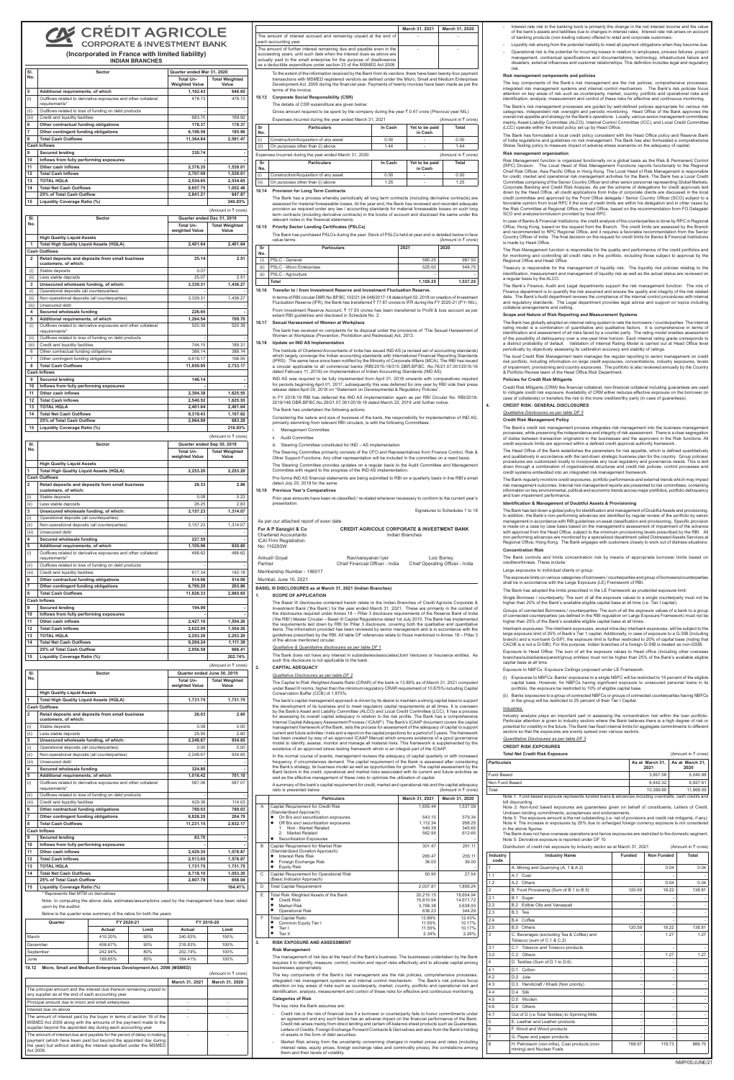## **CRÉDIT AGRICOLE CORPORATE & INVESTMENT BANK**

### **(Incorporated in France with limited liability) INDIAN BRANCHES**

| SI.            | Sector                                                                         | Quarter ended Mar 31, 2020         |                                |  |
|----------------|--------------------------------------------------------------------------------|------------------------------------|--------------------------------|--|
| No.            |                                                                                | Total Un-<br><b>Weighted Value</b> | <b>Total Weighted</b><br>Value |  |
| 5              | Additional requirements, of which                                              | 1,162.43                           | 648.65                         |  |
| (i)            | Outflows related to derivative exposures and other collateral<br>requirements* | 478.73                             | 478.73                         |  |
| (ii)           | Outflows related to loss of funding on debt products                           |                                    |                                |  |
| (iii)          | Credit and liquidity facilities                                                | 683.70                             | 169.92                         |  |
| 6              | Other contractual funding obligations                                          | 178.37                             | 178.37                         |  |
| 7              | Other contingent funding obligations                                           | 6,198.59                           | 185.96                         |  |
| 8              | <b>Total Cash Outflows</b>                                                     | 11,364.84                          | 2,591.47                       |  |
|                | <b>Cash Inflows</b>                                                            |                                    |                                |  |
| 9              | <b>Secured lending</b>                                                         | 330.74                             |                                |  |
| 10             | Inflows from fully performing exposures                                        |                                    |                                |  |
| 11             | Other cash inflows                                                             | 2,376.35                           | 1,539.01                       |  |
| 12             | <b>Total Cash Inflows</b>                                                      | 2,707.09                           | 1,539.01                       |  |
| 13             | <b>TOTAL HQLA</b>                                                              | 2,534.65                           | 2,534.65                       |  |
| 14             | <b>Total Net Cash Outflows</b>                                                 | 8.657.75                           | 1,052.46                       |  |
|                | 25% of Total Cash Outflow                                                      | 2.841.21                           | 647.87                         |  |
| 15             | Liquidity Coverage Ratio (%)                                                   |                                    | 240.83%                        |  |
|                |                                                                                |                                    | (Amount in ₹ crore)            |  |
| SI.            | <b>Sector</b>                                                                  | Quarter ended Dec 31, 2019         |                                |  |
| No.            |                                                                                | <b>Total Un-</b><br>weighted Value | <b>Total Weighted</b><br>Value |  |
|                | <b>High Quality Liquid Assets</b>                                              |                                    |                                |  |
| 1              | <b>Total High Quality Liquid Assets (HQLA)</b>                                 | 2,401.64                           | 2,401.64                       |  |
|                | <b>Cash Outflows</b>                                                           |                                    |                                |  |
| $\overline{2}$ | Retail deposits and deposits from small business<br>customers, of which:       | 25.14                              | 2.51                           |  |
| (i)            | Stable deposits                                                                | 0.07                               |                                |  |
| (ii)           | Less stable deposits                                                           | 25.07                              | 2.51                           |  |
| 3              | Unsecured wholesale funding, of which:                                         | 3,339.31                           | 1,436.27                       |  |
| (i)            | Operational deposits (all counterparties)                                      |                                    |                                |  |
| (ii)           | Non-operational deposits (all counterparties)                                  | 3,339.31                           | 1,436.27                       |  |
| (iii)          | Unsecured debt                                                                 |                                    |                                |  |
| 4              | Secured wholesale funding                                                      | 226.65                             |                                |  |
| 5              | Additional requirements, of which                                              | 1,264.54                           | 709.70                         |  |
| (i)            | Outflows related to derivative exposures and other collateral<br>requirements* | 520.39                             | 520.39                         |  |
| (ii)           | Outflows related to loss of funding on debt products                           |                                    |                                |  |
| (iii)          | Credit and liquidity facilities                                                | 744.15                             | 189.31                         |  |
| 6              | Other contractual funding obligations                                          | 386.14                             | 386.14                         |  |
| $\overline{7}$ | Other contingent funding obligations                                           | 6,618.17                           | 198.55                         |  |
| 8              | <b>Total Cash Outflows</b>                                                     | 11,859.95                          | 2,733.17                       |  |
|                | <b>Cash Inflows</b>                                                            |                                    |                                |  |
| 9              | <b>Secured lending</b>                                                         | 146.14                             |                                |  |
| 10             | Inflows from fully performing exposures                                        |                                    |                                |  |
| 11             | Other cash inflows                                                             | 2,394.38                           | 1,625.55                       |  |
| 12             | <b>Total Cash Inflows</b>                                                      | 2,540.52                           | 1,625.55                       |  |
| 13             | <b>TOTAL HQLA</b>                                                              | 2,401.64                           | 2,401.64                       |  |
| 14             | <b>Total Net Cash Outflows</b>                                                 | 9.319.43                           | 1,107.62                       |  |
|                | 25% of Total Cash Outflow                                                      | 2,964.99                           | 683.29                         |  |
| 15             | Liquidity Coverage Ratio (%)                                                   |                                    | 216.83%                        |  |
|                |                                                                                |                                    |                                |  |

| SI.            | <b>Sector</b>                                                                  | Quarter ended Sep 30, 2019  |                                |
|----------------|--------------------------------------------------------------------------------|-----------------------------|--------------------------------|
| No.            |                                                                                | Total Un-<br>weighted Value | <b>Total Weighted</b><br>Value |
|                | <b>High Quality Liquid Assets</b>                                              |                             |                                |
| 1              | <b>Total High Quality Liquid Assets (HQLA)</b>                                 | 2,253.20                    | 2,253.20                       |
|                | <b>Cash Outflows</b>                                                           |                             |                                |
| $\overline{2}$ | Retail deposits and deposits from small business<br>customers, of which:       | 26.33                       | 2.86                           |
| (i)            | Stable deposits                                                                | 0.08                        | 0.23                           |
| (ii)           | Less stable deposits                                                           | 26.25                       | 2.63                           |
| 3              | Unsecured wholesale funding, of which:                                         | 3,157.23                    | 1,314.07                       |
| (i)            | Operational deposits (all counterparties)                                      |                             |                                |
| (ii)           | Non-operational deposits (all counterparties)                                  | 3,157.23                    | 1,314.07                       |
| (iii)          | Unsecured debt                                                                 |                             |                                |
| 4              | Secured wholesale funding                                                      | 227.55                      |                                |
| 5              | Additional requirements, of which                                              | 1,105.96<br>488.62          | 630.80<br>488.62               |
| (i)            | Outflows related to derivative exposures and other collateral<br>requirements* |                             |                                |
| (ii)           | Outflows related to loss of funding on debt products                           |                             |                                |
| (iii)          | Credit and liquidity facilities                                                | 617.34                      | 142.18                         |
| 6              | Other contractual funding obligations                                          | 514.06                      | 514.06                         |
| 7<br>8         | Other contingent funding obligations<br><b>Total Cash Outflows</b>             | 6,795.20<br>11.826.33       | 203.86<br>2,665.65             |
|                | <b>Cash Inflows</b>                                                            |                             |                                |
| 9              | <b>Secured lending</b>                                                         | 194.99                      |                                |
| 10             | Inflows from fully performing exposures                                        |                             |                                |
| 11             | Other cash inflows                                                             | 2,427.10                    | 1,554.26                       |
| 12             | <b>Total Cash Inflows</b>                                                      | 2,622.09                    | 1,554.26                       |
| 13             | <b>TOTAL HOLA</b>                                                              | 2.253.20                    | 2,253.20                       |
| 14             | <b>Total Net Cash Outflows</b>                                                 | 9,204.24                    | 1,111.39                       |
|                | 25% of Total Cash Outflow                                                      | 2,956.58                    | 666.41                         |
| 15             | Liquidity Coverage Ratio (%)                                                   |                             | 202.74%                        |
|                |                                                                                |                             | (Amount in ₹ crore)            |
| SI.            | <b>Sector</b>                                                                  |                             |                                |
| No.            |                                                                                |                             |                                |
|                |                                                                                |                             | Quarter ended June 30, 2019    |
|                |                                                                                | Total Un-<br>weighted Value | <b>Total Weighted</b><br>Value |
|                | <b>High Quality Liquid Assets</b>                                              |                             |                                |
| 1              | Total High Quality Liquid Assets (HQLA)                                        | 1,731.75                    | 1,731.75                       |
|                | <b>Cash Outflows</b>                                                           |                             |                                |
| $\overline{2}$ | Retail deposits and deposits from small business<br>customers, of which:       | 26.03                       | 2.60                           |
| (i)            | Stable deposits                                                                | 0.08                        | 0.00                           |
| (ii)           | Less stable deposits                                                           | 25.95                       | 2.60                           |
| 3              | Unsecured wholesale funding, of which:                                         | 2,248.67                    | 934.65                         |
| (i)            | Operational deposits (all counterparties)                                      | 0.00                        | 0.00                           |
| (ii)           | Non-operational deposits (all counterparties)                                  | 2,248.67                    | 934.65                         |
| (iii)          | Unsecured debt                                                                 | ä,                          | ä,                             |
| 4              | Secured wholesale funding                                                      | 324.80                      |                                |
| 5              | Additional requirements, of which                                              | 1,016.42                    | 701.10                         |
| (i)            | Outflows related to derivative exposures and other collateral<br>requirements* | 587.06                      | 587.07                         |
| (ii)           | Outflows related to loss of funding on debt products                           |                             |                                |
| (iii)          | Credit and liquidity facilities                                                | 429.36                      | 114.03                         |
| 6              | Other contractual funding obligations                                          | 789.03                      | 789.03                         |
| 7              | Other contingent funding obligations                                           | 6,826.20                    | 204.79                         |
| 8              | <b>Total Cash Outflows</b>                                                     | 11,231.15                   | 2,632.17                       |
|                | <b>Cash Inflows</b>                                                            |                             |                                |
| 9              | <b>Secured lending</b>                                                         | 83.70                       |                                |
| 10             | Inflows from fully performing exposures                                        |                             |                                |
| 11             | Other cash inflows                                                             | 2,429.35                    | 1,578.87                       |
| 12             | <b>Total Cash Inflows</b>                                                      | 2,513.05                    | 1,578.87                       |
| 13             | <b>TOTAL HQLA</b>                                                              | 1,731.75                    | 1,731.75                       |
| 14             | <b>Total Net Cash Outflows</b>                                                 | 8,718.10                    | 1,053.30                       |
| 15             | 25% of Total Cash Outflow<br>Liquidity Coverage Ratio (%)                      | 2,807.79                    | 658.04<br>164.41%              |

The Bank has a process whereby periodically all long term contracts (including derivative contracts) are<br>assessed for material foreseeable losses. At the year end, the Bank has reviewed and recorded adequate<br>provision as r term contracts (including derivative contracts) in the books of account and disclosed the same under the relevant notes in the financial statements.

In terms of RBI circular DBR.No.BP.BC.102/21.04.048/2017-18 dated April 02, 2018 on creation of Invest Fluctuation Reserve (IFR), the Bank has transferred  $\bar{z}$  77.87 crores to IFR during the FY 2020-21 (P.Y: NIL). From Investment Reserve Account, ₹ 17.93 crores has been transferred to Profit & loss account as per extant RBI guidelines and disclosed in Schedule No. 2.

\* Represents Net MTM on derivatives

Note: In computing the above data, estimates/assumptions used by the management have been relied upon by the auditor

 Considering the nature and size of business of the bank, the responsibility for implementation of IND AS, primarily stemming from relevant RBI circulars, is with the following Committees

#### Below is the quarter wise summary of the ratios for both the years:

- Management Committee
- ii. Audit Committee

| Quarter   |         | FY 2020-21 |         | FY 2019-20 |
|-----------|---------|------------|---------|------------|
|           | Actual  | Limit      | Actual  | Limit      |
| March     | 410.20% | 90%        | 240.83% | 100%       |
| December  | 458.67% | 90%        | 216.83% | 100%       |
| September | 242.94% | 80%        | 202.74% | 100%       |
| June      | 189.65% | 80%        | 164.41% | 100%       |

The Steering Committee provides updates on a regular basis to the Audit Committee and Management Committee with regard to the progress of the IND AS implementation. Pro-forma IND AS financial statements are being submitted to RBI on a quarterly basis in line RBI's email dated July 20, 2018 for the same

#### **18.12 Micro, Small and Medium Enterprises Development Act, 2006 (MSMED)**

|                                                                                                                                                                                                                                   |                | (Amount in ₹ crore) |
|-----------------------------------------------------------------------------------------------------------------------------------------------------------------------------------------------------------------------------------|----------------|---------------------|
|                                                                                                                                                                                                                                   | March 31, 2021 | March 31, 2020      |
| The principal amount and the interest due thereon remaining unpaid to<br>any supplier as at the end of each accounting year                                                                                                       |                |                     |
| Principal amount due to micro and small enterprises                                                                                                                                                                               |                |                     |
| Interest due on above                                                                                                                                                                                                             |                |                     |
| The amount of interest paid by the buyer in terms of section 16 of the<br>MSMED Act 2006 along with the amounts of the payment made to the<br>supplier beyond the appointed day during each accounting year                       |                |                     |
| The amount of interest due and payable for the period of delay in making<br>payment (which have been paid but beyond the appointed day during<br>the year) but without adding the interest specified under the MSMED<br>Act 2006. |                |                     |

|                                                                                                                                                                                                                                                                                              | March 31, 2021 | March 31, 2020 |
|----------------------------------------------------------------------------------------------------------------------------------------------------------------------------------------------------------------------------------------------------------------------------------------------|----------------|----------------|
| The amount of interest accrued and remaining unpaid at the end of<br>each accounting year                                                                                                                                                                                                    |                |                |
| The amount of further interest remaining due and payable even in the<br>succeeding years, until such date when the interest dues as above are<br>actually paid to the small enterprise for the purpose of disallowance<br>as a deductible expenditure under section 23 of the MSMED Act 2006 |                |                |

To the extent of the information received by the Bank from its vendors, there have been twenty-four payment transactions with MSMED registered vendors as defined under the Micro, Small and Medium Enterprises Development Act, 2006 during the financial year. Payments of twenty invoices have been made as per the terms of the invoice.

### **18.13 Corporate Social Responsibility (CSR)**

### The details of CSR expenditure are given below:

Gross amount required to be spent by the company during the year  $\bar{\tau}$  0.47 crore (Previous year NIL)

|                                                        | Expenses incurred during the year ended March 31, 2021 |         |                           | (Amount in ₹ crore) |
|--------------------------------------------------------|--------------------------------------------------------|---------|---------------------------|---------------------|
| Sr<br>No.                                              | <b>Particulars</b>                                     | In Cash | Yet to be paid<br>in Cash | Total               |
| (i)                                                    | Construction/Acquisition of any asset                  | 0.00    |                           | 0.00                |
| (ii)                                                   | On purposes other than (i) above                       | 1.44    |                           | 1.44                |
| Expenses incurred during the year ended March 31, 2020 |                                                        |         |                           | (Amount in ₹ crore) |
| Sr<br>No.                                              | <b>Particulars</b>                                     | In Cash | Yet to be paid<br>in Cash | Total               |
| (i)                                                    | Construction/Acquisition of any asset                  | 0.00    |                           | 0.00                |
| (ii)                                                   | On purposes other than (i) above                       | 1.25    |                           | 1.25                |

### **18.14 Provision for Long Term Contracts**

#### **18.15 Priority Sector Lending Certificates (PSLCs)**

The key components of the Bank's risk management are the risk policies, comprehensive processes integrated risk management systems and internal control mechanism. The Bank's risk policies focus attention on key areas of risks such as counterparty, market, country, portfolio and operational risk and identification, analysis, measurement and control of these risks for effective and continuous monitoring.

The Bank has purchased PSLCs during the year. Stock of PSLCs held at year end is detailed below in face

|           | value terms.                    |          | (Amount in $\bar{\tau}$ crore) |
|-----------|---------------------------------|----------|--------------------------------|
| Sr<br>No. | <b>Particulars</b>              | 2021     | 2020                           |
| (i)       | PSLC - General                  | 580.25   | 987.50                         |
| (iii)     | <b>PSLC - Micro Enterprises</b> | 525.00   | 549.75                         |
| (iii)     | <b>PSLC</b> - Agriculture       |          |                                |
|           | Total                           | 1,105.25 | 1,537.25                       |

### **18.16 Transfer to / from Investment Reserve and Investment Fluctuation Reserve.**

- Credit risk is the risk of financial loss if a borrower or counterparty fails to honor commitments under an agreement and any such failure has an adverse impact on the financial performance of the Bank. Credit risk arises mainly from direct lending and certain off-balance sheet products such as Guarantees, Letters of Credits, Foreign Exchange Forward Contracts & Derivatives and also from the Bank's holding of assets in the form of debt securities.
- Market Risk arising from the uncertainty concerning changes in market prices and rates (including interest rates, equity prices, foreign exchange rates and commodity prices), the correlations among them and their levels of volatility.

#### **18.17 Sexual Harassment of Women at Workplace**

The bank has received no complaints for its disposal under the provisions of "The Sexual Harassment of Women at Workplace (Prevention, Prohibition and Redressal) Act, 2013.

### **18.18 Update on IND AS Implementation**

The Institute of Chartered Accountants of India has issued IND AS (a revised set of accounting standards) which largely converge the Indian accounting standards with International Financial Reporting Standards (IFRS). The same have since been notified by the Ministry of Corporate Affairs (MCA). The RBI has issued a circular applicable to all commercial banks (RBI/2015-16/315 DBR.BP.BC. No.76/21.07.001/2015-16 dated February 11, 2016) on Implementation of Indian Accounting Standards (IND AS).

IND AS was required to be fully implemented from April 01, 2018 onwards with comparatives required for periods beginning April 01, 2017, subsequently this was deferred for one year by RBI vide their press release dated April 05, 2018 on "Statement on Developmental & Regulatory Policies".

In FY 2018-19 RBI has deferred the IND AS implementation again as per RBI Circular No. RBI/2018- 2019/146 DBR.BP.BC.No.29/21.07.001/2018-19 dated March 22, 2019 until further notice.

Risk Management function is organized functionally on a global basis as the Risk & Permanent Control<br>(RPC) Division. The Local Head of Risk Management Functions reports functionally to the Regional<br>Chief Risk Officer, As for credit, market and operational risk management activities for the Bank. The Bank has a Local Credit Committee comprising of the Senior Country Officer and other senior personnel representing Global Markets, Corporate Banking and Credit Risk Analysis. As per the scheme of delegations for credit approvals laid<br>down by the Head Office, all credit applications from India of corporate clients are discussed in the local<br>credit comm favorable opinion from local RPC if the size of credit limits are within his delegation and in other cases by the Risk Committee at Regional Office or Head Office, based on the recommendation from FO Delegate/ SCO and analysis/conclusion provided by local RPC.

### The Bank has undertaken the following actions:

In case of Banks & Financial Institutions, the credit analysis of the counterparties is done by RPC in Regiona Office, Hong Kong, based on the request from the Branch. The credit limits are assessed by the Branch and recommended to RPC Regional Office, and it requires a favorable recommendation from the Senior Country Officer of India. The final decision on the request for credit limits for Banks & Financial Institutions is made by Head Office.

iii. Steering Committee constituted for IND – AS implementation

The Steering Committee primarily consists of the CFO and Representatives from Finance Control, Risk & Other Support Functions. Any other representation will be included in the committee on a need basis.

### **18.19 Previous Year's Comparatives**

Prior year amounts have been re-classified / re-stated wherever necessary to conform to the current year's presentation.

## Signatures to Schedules 1 to 18

| As per our attached report of even date                                                               |                                                                           |          |
|-------------------------------------------------------------------------------------------------------|---------------------------------------------------------------------------|----------|
| For A P Sanzgiri & Co<br><b>Chartered Accountants</b><br><b>ICAI Firm Registration</b><br>No: 116293W | <b>CREDIT AGRICOLE CORPORATE &amp; INVESTMENT BANK</b><br>Indian Branches |          |
| $\cdots$                                                                                              |                                                                           | $\cdots$ |

| Ankush Goyal               | Ravinarayanan Iyer              | Loic Borrey                     |
|----------------------------|---------------------------------|---------------------------------|
| Partner                    | Chief Financial Officer - India | Chief Operating Officer - India |
| Membership Number - 146017 |                                 |                                 |

Mumbai, June 10, 2021

### **BASEL III DISCLOSURES as at March 31, 2021 (Indian Branches)**

### **1. SCOPE OF APPLICATION**

The Bank's credit risk management process integrates risk management into the business manager processes, while preserving the independence and integrity of risk assessment. There is a clear segregation of duties between transaction originators in the businesses and the approvers in the Risk functions. All credit exposure limits are approved within a defined credit approval authority framework.

The Basel III disclosures contained herein relate to the Indian Branches of Credit Agricole Corporate & Investment Bank ('the Bank') for the year ended March 31, 2021. These are primarily in the context of<br>the disclosures required under Annex 18 – Pillar 3 disclosure requirements of the Reserve Bank of India<br>('the RBI') Mas the requirements laid down by RBI for Pillar 3 disclosure, covering both the qualitative and quantitative<br>items. The information provided has been reviewed by senior management and is in accordance with the<br>guidelines pres of the above mentioned circular.

### *Qualitative & Quantitative disclosures as per table DF 1*

The Bank does not have any interest in subsidiaries/associates/Joint Ventures or Insurance entities. As such this disclosure is not applicable to the bank.

Interest rate risk in the banking book is primarily the change in the net interest income and the value of the bank's assets and liabilities due to changes in interest rates. Interest rate risk arises on account of banking products (non-trading nature) offered to retail and corporate customers.

Liquidity risk arising from the potential inability to meet all payment obligations when they become due.

#### **2. CAPITAL ADEQUACY**

### *Qualitative Disclosures as per table DF 2*

The Capital to Risk Weighted Assets Ratio (CRAR) of the bank is 13.89% as of March 31, 2021 computed under Basel III norms, higher than the minimum regulatory CRAR requirement of 10.875% including Capital Conservation Buffer (CCB) of 1.875%.

The bank's capital management approach is driven by its desire to maintain a strong capital base to support the development of its business and to meet regulatory capital requirements at all times. It is overseen by the Bank's Asset and Liability Committee (ALCO) and Local Credit Committee (LCC). It has a process for assessing its overall capital adequacy in relation to the risk profile. The Bank has a comprehensive Internal Capital Adequacy Assessment Process ('ICAAP'). The Bank's ICAAP document covers the capital ent framework of the Bank, sets the process for assessment of the adequacy of capital to support current and future activities / risks and a report on the capital projections for a period of 3 years. The framework has been created by way of an approved ICAAP Manual which ensures existence of a good governance model to identify, assess, monitor and manage all material risks. This framework is supplemented by the existence of an approved stress testing framework which is an integral part of the ICAAP.

 Industry analysis plays an important part in assessing the concentration risk within the loan portfolio. Particular attention is given to industry sectors where the Bank believes there is a high degree of risk or potential for volatility in the future. The Bank has fixed internal limits for aggregate commitments to differen ctors so that the exposures are evenly spread over various sectors.

In the normal course of events, management reviews the adequacy of capital quarterly or with increased frequency, if circumstances demand. The capital requirement of the Bank is assessed after considering the Bank's strategy, its business model as well as opportunities for growth. The capital assessment by the Bank factors in the credit, operational and market risks associated with its current and future activities as well as the effective management of these risks to optimize the utilization of capital.

A summary of the bank's capital requirement for credit, market and operational risk and the capital adequacy<br>ratio is presented below:  $\frac{1}{2}$  crore) ratio is presented below

|   | <b>Particulars</b>                                                      | March 31, 2021 | March 31, 2020 |
|---|-------------------------------------------------------------------------|----------------|----------------|
| A | Capital Requirement for Credit Risk<br>(Standardized Approach)          | 1,655.44       | 1,537.59       |
|   | On B/s excl securitization exposures<br>٠                               | 543.10         | 579.34         |
|   | Off B/s excl securitization exposures<br>٠                              | 1,112.34       | 958.25         |
|   | Non - Market Related<br>1                                               | 549.39         | 345.65         |
|   | $\mathcal{P}$<br>Market Related                                         | 562.95         | 612.60         |
|   | Securitization Exposures                                                |                |                |
| B | Capital Requirement for Market Risk<br>(Standardized Duration Approach) | 301.47         | 291.11         |
|   | <b>Interest Rate Risk</b>                                               | 265.47         | 255.11         |
|   | Foreign Exchange Risk                                                   | 36.00          | 36.00          |
|   | <b>Equity Risk</b>                                                      |                |                |
| C | Capital Requirement for Operational Risk<br>(Basic Indicator Approach)  | 50.90          | 27.54          |
| D | <b>Total Capital Requirement</b>                                        | 2,007.81       | 1,856.24       |
| E | Total Risk Weighted Assets of the Bank                                  | 20,215.15      | 18,654.94      |
|   | <b>Credit Risk</b>                                                      | 15,810.54      | 14,671.72      |
|   | <b>Market Risk</b>                                                      | 3.768.38       | 3.638.93       |
|   | <b>Operational Risk</b>                                                 | 636.23         | 344.29         |
| F | <b>Total Capital Ratio</b>                                              | 13.89%         | 12.43%         |
|   | Common Equity Tier I                                                    | 11.55%         | 10.17%         |
|   | Tier I                                                                  | 11.55%         | 10.17%         |
|   | Tier II                                                                 | 2.34%          | 2.26%          |

#### **3. RISK EXPOSURE AND ASSESSMENT**

#### **Risk Management**

The management of risk lies at the heart of the Bank's business. The businesses undertaken by the Bank quires it to identify, measure, control, monitor and report risks effectively and to allocate capital among businesses appropriately.

### **Categories of Risk**

The key risks the Bank assumes are:

- Operational risk is the potential for incurring losses in relation to employees, process failures, project management, contractual specifications and documentations, technology, infrastructure failure and disasters, external influences and customer relationships. This definition includes legal and regulatory risk.

### **Risk management components and policies**

The key components of the Bank's risk management are the risk policies, comprehensive processes, integrated risk management systems and internal control mechanism. The Bank's risk policies focus attention on key areas of risk such as counterparty, market, country, portfolio and operational risks and identification, analysis, measurement and control of these risks for effective and continuous monitoring.

The Bank's risk management processes are guided by well-defined policies appropriate for various risk categories, independent risk oversight and periodic monitoring. Head Office of the Bank approves the overall risk appetite and strategy for the Bank's operations. Locally, various senior management committees mainly, Asset-Liability Committee (ALCO), Internal Control Committee (ICC), and Local Credit Committee (LCC) operate within the broad policy set up by Head Office.

The Bank has formulated a local credit policy consistent with the Head Office policy and Reserve Bank of India regulations and guidelines on risk management. The Bank has also formulated a compreh Stress Testing policy to measure impact of adverse stress scenarios on the adequacy of capital.

### **Risk management organization**

The Risk Management function is responsible for the quality and performance of the credit portfolios and for monitoring and controlling all credit risks in the portfolio, including those subject to approval by the Regional Office and Head Office.

Treasury is responsible for the management of liquidity risk. The liquidity risk policies relating to the identification, measurement and management of liquidity risk as well as the actual status are reviewed on a regular basis by the ALCO.

The Bank's Finance, Audit and Legal departments support the risk management function. The role of Finance department is to quantify the risk assumed and ensure the quality and integrity of the risk related data. The Bank's Audit department reviews the compliance of the internal control procedures with internal and regulatory standards. The Legal department provides legal advice and support on topics including collateral arrangements and netting.

### **Scope and Nature of Risk Reporting and Measurement Systems**

The Bank has globally adopted an internal rating system to rate the borrowers / counterparties. The internal rating model is a combination of quantitative and qualitative factors. It is comprehensive in terms of identification and assessment of all risks faced by a counter party. The rating model enables assessment of the possibility of delinquency over a one-year time horizon. Each internal rating grade corresponds to a distinct probability of default. Validation of Internal Rating Model is carried out at Head Office level periodically by objectively assessing its calibration accuracy and stability of ratings.

The local Credit Risk Management team manages the regular reporting to senior management on credit risk portfolio, including information on large credit exposures, concentrations, industry exposures, levels of impairment, provisioning and country exposures. The portfolio is also reviewed annually by the Country & Portfolio Review team of the Head Office Risk Department.

### **Policies for Credit Risk Mitigants**

Credit Risk Mitigants (CRM) like financial collateral, non-financial collateral including guarantees are used to mitigate credit risk exposure. Availability of CRM either reduces effective exposure on the borrower (in case of collaterals) or transfers the risk to the more creditworthy party (in case of guarantees).

### **4. CREDIT RISK: GENERAL DISCLOSURES**

#### *Qualitative Disclosures as per table DF 3*

**Credit Risk Management Policy** 

The Head Office of the Bank establishes the parameters for risk appetite, which is defined quantitatively and qualitatively in accordance with the laid-down strategic business plan for the country. Group policies/ procedures are customized locally to incorporate any local regulatory and governance needs. This is laid down through a combination of organizational structures and credit risk policies, control processes and credit systems embedded into an integrated risk management framework.

The Bank regularly monitors credit exposures, portfolio performance and external trends which may impact

risk management outcomes. Internal risk management reports are presented to risk committees, containing information on key environmental, political and economic trends across major portfolios, portfolio delinquency and loan impairment performance.

### **Identification & Management of Doubtful Assets & Provisioning**

The Bank has laid down a global policy for identification and management of Doubtful Assets and provisioning. In addition, the Bank's non-performing advances are identified by regular review of the portfolio by senior management in accordance with RBI guidelines on asset classification and provisioning. Specific provision is made on a case by case basis based on the management's assessment of impairment of the advance with approval from the Head Office, subject to the minimum provisioning levels prescribed by the RBI. All non performing advances are monitored by a specialized department called Distressed Assets Services at Regional Office, Hong Kong. The Bank engages with customers closely to work out of distress situations.

### **Concentration Risk**

The Bank controls and limits concentration risk by means of appropriate borrower limits based on creditworthiness. These include:

### Large exposures to individual clients or group:

The exposure limits on various categories of borrowers / counterparties and group of borrowers/counterparties shall be in accordance with the Large Exposure (LE) Framework of RBI.

The Bank has adopted the limits prescribed in the LE Framework as prudential exposure lim

Single Borrower / counterparty: The sum of all the exposure values to a single counterparty must not be higher than 20% of the Bank's available eligible capital base at all time (i.e. Tier I capital).

Groups of connected Borrowers / counterparties: The sum of all the exposure values of a bank to a group of connected counterparties (as defined in the RBI regulation on Large Exposure Framework) must not be higher than 25% of the Bank's available eligible capital base at all times.

Interbank exposures: The interbank exposures, except intra-day interbank exposures, will be subject to the large exposure limit of 25% of Bank's Tier 1 capital. Additionally, in case of exposure to a G-SIB (including branch) and a non-bank G-SIFI, the exposure limit is further restricted to 20% of capital base (noting that CACIB is a not a G-SIB). For this purpose, Indian branches of a foreign G-SIB is treated as non-GSIB.

Exposure to Head Office: The sum of all the exposure values to Head office (including other overseas branches/subsidiaries/parent/group entities) must not be higher than 25% of the Bank's available eligible capital base at all time.

Exposure to NBFCs: Exposure Ceilings proposed under LE Framework:

- (i) Exposures to NBFCs: Banks' exposures to a single NBFC will be restricted to 15 percent of the eligible capital base. However, for NBFCs having significant exposure to unsecured personal loans in its portfolio, the exposure be restricted to 10% of eligible capital base.
- (ii) Banks' exposures to a group of connected NBFCs or groups of connected counterparties having NBFCs in the group will be restricted to 25 percent of their Tier I Capital.

#### **Industries**

### *Quantitative Disclosures as per table DF 3*

#### **CREDIT RISK EXPOSURES**

**Total Net Credit Risk Exposure** (Amount in ₹ crore)

| <b>Particulars</b> |                                                                                                                                                                                                                                                                                                                                                                                                                                                                                                                                                                                                                                                                                                                     |               |               | As at March 31,<br>2021 | As at March 31,<br>2020        |
|--------------------|---------------------------------------------------------------------------------------------------------------------------------------------------------------------------------------------------------------------------------------------------------------------------------------------------------------------------------------------------------------------------------------------------------------------------------------------------------------------------------------------------------------------------------------------------------------------------------------------------------------------------------------------------------------------------------------------------------------------|---------------|---------------|-------------------------|--------------------------------|
| Fund Based         |                                                                                                                                                                                                                                                                                                                                                                                                                                                                                                                                                                                                                                                                                                                     |               |               | 3,957.58                | 5,040.98                       |
| Non Fund Based     |                                                                                                                                                                                                                                                                                                                                                                                                                                                                                                                                                                                                                                                                                                                     |               |               | 6,442.32                | 6,927.61                       |
| Total              |                                                                                                                                                                                                                                                                                                                                                                                                                                                                                                                                                                                                                                                                                                                     |               |               | 10.399.90               | 11,968.59                      |
|                    | Note 1: Fund-based exposure represents funded loans & advances including overdrafts, cash credits and<br>bill discounting.<br>Note 2: Non-fund based exposures are guarantees given on behalf of constituents, Letters of Credit,<br>Undrawn binding commitments, acceptances and endorsements.<br>Note 3: The exposure amount is the net outstanding (i.e. net of provisions and credit risk mitigants, if any).<br>Note 4: The increase in exposures by 25% due to unhedged foreign currency exposure is not considered<br>in the above figures.<br>The Bank does not have overseas operations and hence exposures are restricted to the domestic segment.<br>Note 5: Derivative exposure is reported under DF 10 |               |               |                         |                                |
|                    | Distribution of credit risk exposure by industry sector as at March 31, 2021                                                                                                                                                                                                                                                                                                                                                                                                                                                                                                                                                                                                                                        |               |               |                         | (Amount in $\bar{\tau}$ crore) |
| Industry<br>code   | <b>Industry Name</b>                                                                                                                                                                                                                                                                                                                                                                                                                                                                                                                                                                                                                                                                                                | <b>Funded</b> |               | <b>Non Funded</b>       | <b>Total</b>                   |
| 1                  | A. Mining and Quarrying (A. 1 & A.2)                                                                                                                                                                                                                                                                                                                                                                                                                                                                                                                                                                                                                                                                                |               | ä,            |                         | 0.04<br>0.04                   |
| 1.1                | A.1 Coal                                                                                                                                                                                                                                                                                                                                                                                                                                                                                                                                                                                                                                                                                                            |               |               |                         |                                |
| 1.2                | A.2 Others                                                                                                                                                                                                                                                                                                                                                                                                                                                                                                                                                                                                                                                                                                          |               |               |                         | 0.04<br>0.04                   |
| $\overline{2}$     | B. Food Processing (Sum of B.1 to B.5)                                                                                                                                                                                                                                                                                                                                                                                                                                                                                                                                                                                                                                                                              |               | 120.59        | 18.22                   | 138.81                         |
| 2.1                | B.1 Sugar                                                                                                                                                                                                                                                                                                                                                                                                                                                                                                                                                                                                                                                                                                           |               |               |                         |                                |
| 2.2                | B.2 Edible Oils and Vanaspati                                                                                                                                                                                                                                                                                                                                                                                                                                                                                                                                                                                                                                                                                       |               |               |                         |                                |
| 2.3                | B.3 Tea                                                                                                                                                                                                                                                                                                                                                                                                                                                                                                                                                                                                                                                                                                             |               | ä,            |                         | ä,                             |
| 2.4                | B.4 Coffee                                                                                                                                                                                                                                                                                                                                                                                                                                                                                                                                                                                                                                                                                                          |               |               |                         |                                |
| 2.5                | B.5 Others                                                                                                                                                                                                                                                                                                                                                                                                                                                                                                                                                                                                                                                                                                          |               | 120.59        | 18.22                   | 138.81                         |
| 3                  | C. Beverages (excluding Tea & Coffee) and<br>Tobacco (sum of C.1 & C.2)                                                                                                                                                                                                                                                                                                                                                                                                                                                                                                                                                                                                                                             |               |               |                         | 1.27<br>1.27                   |
| 3.1                | C.1 Tobacco and Tobacco products                                                                                                                                                                                                                                                                                                                                                                                                                                                                                                                                                                                                                                                                                    |               | ٠             |                         |                                |
| 3.2                | C.2 Others                                                                                                                                                                                                                                                                                                                                                                                                                                                                                                                                                                                                                                                                                                          |               | ä,            |                         | 1.27<br>1.27                   |
| 4                  | D. Textiles (Sum of D.1 to D.6)                                                                                                                                                                                                                                                                                                                                                                                                                                                                                                                                                                                                                                                                                     |               | ä,            |                         |                                |
| 4.1                | D.1 Cotton                                                                                                                                                                                                                                                                                                                                                                                                                                                                                                                                                                                                                                                                                                          |               | ÷,            |                         | ÷,                             |
| 4.2                | D.2 Jute                                                                                                                                                                                                                                                                                                                                                                                                                                                                                                                                                                                                                                                                                                            |               | ä,            |                         | ä,                             |
| 4.3                | D.3 Handicraft / Khadi (Non priority)                                                                                                                                                                                                                                                                                                                                                                                                                                                                                                                                                                                                                                                                               |               | $\frac{1}{2}$ |                         | $\frac{1}{2}$                  |
| 4.4                | D.4 Silk                                                                                                                                                                                                                                                                                                                                                                                                                                                                                                                                                                                                                                                                                                            |               | ÷,            |                         |                                |
| 4.5                | D.5 Woolen                                                                                                                                                                                                                                                                                                                                                                                                                                                                                                                                                                                                                                                                                                          |               | ÷,            |                         | ä,                             |
| 4.6                | D.6 Others                                                                                                                                                                                                                                                                                                                                                                                                                                                                                                                                                                                                                                                                                                          |               |               |                         | ä,                             |
| 4.7                | Out of D (i.e Total Textiles) to Spinning Mills                                                                                                                                                                                                                                                                                                                                                                                                                                                                                                                                                                                                                                                                     |               | $\bar{ }$     |                         | ÷,                             |
| 5                  | E. Leather and Leather products                                                                                                                                                                                                                                                                                                                                                                                                                                                                                                                                                                                                                                                                                     |               |               |                         | ÷,                             |
| 6                  | F. Wood and Wood products                                                                                                                                                                                                                                                                                                                                                                                                                                                                                                                                                                                                                                                                                           |               |               |                         | ä,                             |
| $\overline{7}$     | G. Paper and paper products                                                                                                                                                                                                                                                                                                                                                                                                                                                                                                                                                                                                                                                                                         |               |               |                         |                                |
| 8                  | H. Petroleum (non-infra), Coal products (non-<br>mining) and Nuclear Fuels                                                                                                                                                                                                                                                                                                                                                                                                                                                                                                                                                                                                                                          |               | 768.97        | 119.73                  | 888.70                         |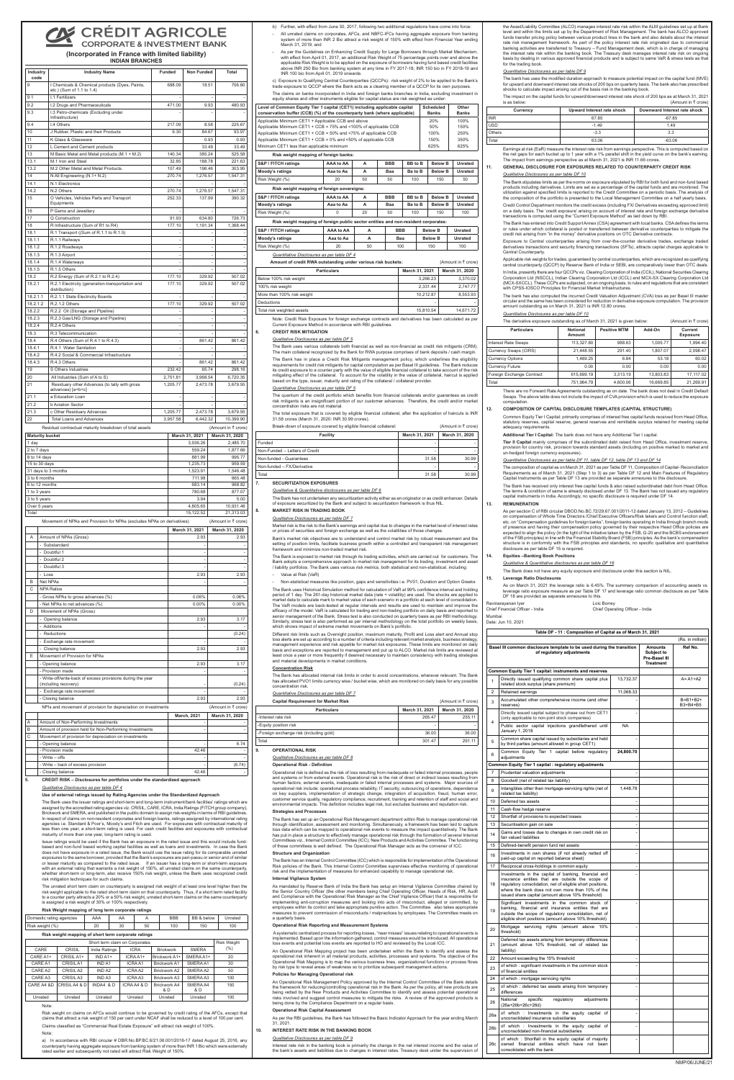## **CRÉDIT AGRICOLE CORPORATE & INVESTMENT BANK**

**(Incorporated in France with limited liability) INDIAN BRANCHES**

| Industry<br>code | <b>Industry Name</b>                                                        | <b>Funded</b> | <b>Non Funded</b> | Total     |
|------------------|-----------------------------------------------------------------------------|---------------|-------------------|-----------|
| 9                | I Chemicals & Chemical products (Dyes, Paints,<br>etc.) (Sum of 1.1 to 1.4) | 688.09        | 18.51             | 706.60    |
| 9.1              | I.1 Fertilizers                                                             |               |                   |           |
| 9.2              | I.2 Drugs and Pharmaceuticals                                               | 471.00        | 9.93              | 480.93    |
| 9.3              | I.3 Petro-chemicals (Excluding under<br>Infrastructure)                     |               |                   |           |
| 9.4              | I.4 Others                                                                  | 217.09        | 8.58              | 225.67    |
| 10               | J Rubber, Plastic and their Products                                        | 9.30          | 84.67             | 93.97     |
| 11               | K Glass & Glassware                                                         |               | 0.93              | 0.93      |
| 12               | L Cement and Cement products                                                |               | 33.49             | 33.49     |
| 13               | M Basic Metal and Metal products (M.1 + M.2)                                | 140.34        | 385.24            | 525.58    |
| 13.1             | M.1 Iron and Steel                                                          | 32.85         | 188.78            | 221.63    |
| 13.2             | M.2 Other Metal and Metal Products.                                         | 107.49        | 196.46            | 303.95    |
| 14               | N All Engineering (N.1+ N.2)                                                | 270.74        | 1,276.57          | 1,547.31  |
| 14.1             | N.1 Electronics                                                             |               |                   |           |
| 14.2             | N.2 Others                                                                  | 270.74        | 1,276.57          | 1,547.31  |
| 15               | O Vehicles, Vehicles Parts and Transport                                    | 252.33        | 137.99            | 390.32    |
|                  | Equipments                                                                  |               |                   |           |
| 16               | P Gems and Jewellery                                                        |               |                   |           |
| 17               | Q Construction                                                              | 91.93         | 634.80            | 726.73    |
| 18               | R Infrastructure (Sum of R1 to R4)                                          | 177.10        | 1,191.34          | 1,368.44  |
| 18.1             | R.1 Transport ((Sum of R.1.1 to R.1.5)                                      |               |                   |           |
| 18.1.1           | R.1.1 Railways                                                              |               | L                 |           |
| 18.1.2           | R.1.2 Roadways                                                              |               |                   |           |
| 18.1.3           | R.1.3 Airport                                                               |               |                   |           |
| 18.1.4           | R.1.4 Waterways                                                             |               |                   |           |
| 18.1.5           | R.1.5 Others                                                                |               |                   |           |
| 18.2             | R.2 Energy (Sum of R.2.1 to R.2.4)                                          | 177.10        | 329.92            | 507.02    |
| 18.2.1           | R.2.1 Electricity (generation-transportation and<br>distribution)           | 177.10        | 329.92            | 507.02    |
| 18.2.1.1         | R.2.1.1 State Electricity Boards                                            |               |                   |           |
| 18.2.1.2         | R.2.1.2 Others                                                              | 177.10        | 329.92            | 507.02    |
| 18.2.2           | R.2.2 Oil (Storage and Pipeline)                                            |               |                   |           |
| 18.2.3           | R.2.3 Gas/LNG (Storage and Pipeline)                                        |               |                   |           |
| 18.2.4           | R.2.4 Others                                                                |               | ä,                |           |
| 18.3             | R.3 Telecommunication                                                       |               |                   |           |
| 18.4             | R.4 Others (Sum of R.4.1 to R.4.3)                                          |               | 861.42            | 861.42    |
| 18.4.1           | R.4.1 Water Sanitation                                                      |               |                   |           |
| 18.4.2           | R.4.2 Social & Commercial Infrastructure                                    |               |                   |           |
| 18.4.3           | R.4.3 Others                                                                |               | 861.42            | 861.42    |
| 19               | S Others Industries                                                         | 232.42        | 65.74             | 298.16    |
| 20               | All Industries (Sum of A to S)                                              | 2,751.81      | 3,968.54          | 6,720.35  |
| 21               | Residuary other Advances (to tally with gross<br>advances) [a+b+c]          | 1,205.77      | 2,473.78          | 3,679.55  |
| 21.1             | a Education Loan                                                            |               | ۰                 |           |
| 21.2             | <b>b Aviation Sector</b>                                                    |               |                   |           |
| 21.3             | c Other Residuary Advances                                                  | 1,205.77      | 2,473.78          | 3,679.55  |
| 22               | <b>Total Loans and Advances</b>                                             | 3,957.58      | 6,442.32          | 10,399.90 |
|                  |                                                                             |               |                   |           |

|           | March 31, 2020 |
|-----------|----------------|
|           |                |
| 3.936.26  | 2,485.70       |
| 559.24    | 1,877.66       |
| 881.99    | 995.77         |
| 1.235.73  | 959.59         |
| 1.523.91  | 1,546.48       |
| 711.98    | 665.48         |
| 683.14    | 968.82         |
| 780.68    | 877.07         |
| 3.94      | 5.00           |
| 4.805.65  | 10,931.46      |
| 15,122.52 | 21,313.03      |
|           | March 31, 2021 |

|   |                                                                        | March 31, 2021 | March 31, 2020      |
|---|------------------------------------------------------------------------|----------------|---------------------|
|   | Movement of NPAs and Provision for NPAs (excludes NPAs on derivatives) |                | (Amount in ₹ crore) |
| ы |                                                                        | 15.122.52      | 21.313.031          |

The unrated short term claim on counterparty is assigned risk weight of at least one level higher than the risk weight applicable to the rated short term claim on that counterparty. Thus, if a short term rated facility to a counter party attracts a 20% or a 50% risk weight, unrated short-term claims on the same counterparty is assigned a risk weight of 30% or 100% respectively

| A            | Amount of NPAs (Gross)                                                              | 2.93               | 2.93                |
|--------------|-------------------------------------------------------------------------------------|--------------------|---------------------|
|              | - Substandard                                                                       |                    |                     |
|              | - Doubtful 1                                                                        |                    |                     |
|              | - Doubtful 2                                                                        |                    |                     |
|              | - Doubtful 3                                                                        |                    |                     |
|              | $-Loss$                                                                             | 2.93               | 2.93                |
| B            | Net NPAs                                                                            |                    |                     |
| $\mathsf{C}$ | <b>NPA Ratios</b>                                                                   |                    |                     |
|              | - Gross NPAs to gross advances (%)                                                  | 0.06%              | 0.06%               |
|              | - Net NPAs to net advances (%)                                                      | 0.00%              | $0.00\%$            |
| D            | Movement of NPAs (Gross)                                                            |                    |                     |
|              | - Opening balance                                                                   | 2.93               | 3.17                |
|              | - Additions                                                                         |                    |                     |
|              | - Reductions                                                                        |                    | (0.24)              |
|              | - Exchange rate movement                                                            |                    |                     |
|              | - Closing balance                                                                   | 2.93               | 2.93                |
| E            | Movement of Provision for NPAs                                                      |                    |                     |
|              | - Opening balance                                                                   | 2.93               | 3.17                |
|              | - Provision made                                                                    |                    |                     |
|              | - Write-off/write-back of excess provisions during the year<br>(including recovery) |                    | (0.24)              |
|              | - Exchange rate movement                                                            |                    |                     |
|              | - Closing balance                                                                   | 2.93               | 2.93                |
|              | NPIs and movement of provision for depreciation on investments                      |                    | (Amount in ₹ crore) |
|              |                                                                                     | <b>March, 2021</b> | March 31, 2020      |
| A            | Amount of Non-Performing Investments                                                |                    |                     |
| B            | Amount of provision held for Non-Performing Investments                             |                    |                     |
| C            | Movement of provision for depreciation on investments                               |                    |                     |
|              | - Opening balance                                                                   |                    | 6.74                |
|              | - Provision made                                                                    | 42.46              |                     |
|              | - Write - offs                                                                      |                    |                     |
|              | - Write - back of excess provision                                                  |                    | (6.74)              |
|              | - Closing balance                                                                   | 42.46              |                     |

### **5. CREDIT RISK – Disclosures for portfolios under the standardized approach**

#### *Qualitative Disclosures as per table DF 4*

#### **Use of external ratings issued by Rating Agencies under the Standardized Approach**

The Bank uses the issuer ratings and short-term and long-term instrument/bank facilities' ratings which are assigned by the accredited rating agencies viz. CRISIL, CARE, ICRA, India Ratings (FITCH group company), Brickwork and SMERA, and published in the public domain to assign risk-weights in terms of RBI guidelines. In respect of claims on non-resident corporates and foreign banks, ratings assigned by international rating agencies i.e. Standard & Poor's, Moody's and Fitch are used. For exposures with contractual maturity of less than one year, a short-term rating is used. For cash credit facilities and exposures with contractu maturity of more than one year, long-term rating is used.

Issue ratings would be used if the Bank has an exposure in the rated issue and this would include fundbased and non-fund based working capital facilities as well as loans and investments. In case the Bank does not have exposure in a rated issue, the Bank would use the issue rating for its comparable unrated exposures to the same borrower, provided that the Bank's exposures are pari-passu or senior and of similar<br>or lesser maturity as compared to the rated issue. If an issuer has a long-term or short-term exposure with an external rating that warrants a risk weight of 150%, all unrated claims on the same counterparty, whether short-term or long-term, also receive 150% risk weight, unless the Bank uses recognized credit risk mitigation techniques for such claims.

### **Risk Weight mapping of long term corporate ratings**

| Domestic rating agencies | AAA      |    |    | <b>BBB</b> | BB & below | Unrated |
|--------------------------|----------|----|----|------------|------------|---------|
| Risk weight (%)          | חר<br>∠∪ | 30 | 50 | 100        | 150        | 100     |

#### **Risk weight mapping of short term corporate ratings**

| Short term claim on Corporates |               |                    |             |                            |                 | <b>Risk Weight</b> |
|--------------------------------|---------------|--------------------|-------------|----------------------------|-----------------|--------------------|
| CARE                           | CRISIL        | India Ratings      | <b>ICRA</b> | <b>Brickwork</b>           | <b>SMERA</b>    | (%)                |
| CARE A1+                       | CRISIL A1+    | $INDA1+$           | ICRAA1+     | Brickwork A1+              | SMERA A1+       | 20                 |
| CARE A1                        | CRISIL A1     | IND A1             | ICRAA1      | Brickwork A1               | SMERAA1         | 30                 |
| CARE A2                        | CRISIL A2     | IND A <sub>2</sub> | ICRA A2     | Brickwork A2               | SMERA A2        | 50                 |
| CARE A3                        | CRISIL A3     | IND <sub>A3</sub>  | ICRA A3     | Brickwork A3               | SMERA A3        | 100                |
| CARE A4 &D                     | CRISIL A4 & D | INDA4 & D          | ICRAA4 & D  | <b>Brickwork A4</b><br>& D | SMERA A4<br>& D | 150                |
| Unrated                        | Unrated       | Unrated            | Unrated     | Unrated                    | Unrated         | 100                |

Note:

 Risk weight on claims on AFCs would continue to be governed by credit rating of the AFCs, except that claims that attract a risk weight of 150 per cent under NCAF shall be reduced to a level of 100 per cent.

Claims classified as "Commercial Real Estate Exposure" will attract risk weight of 100%.

#### Note:

a) In accordance with RBI circular # DBR.No.BP.BC.6/21.06.001/2016-17 dated August 25, 2016, any counterparty having aggregate exposure from banking system of more than INR 1 Bio which were externally rated earlier and subsequently not rated will attract Risk Weight of 150%. b) Further, with effect from June 30, 2017, following two additional regulations have come into force:

- All unrated claims on corporates, AFCs, and NBFC-IFCs having aggregate exposure from banking system of more than INR 2 Bio attract a risk weight of 150% with effect from Financial Year ending March 31, 2019; and
- As per the Guidelines on Enhancing Credit Supply for Large Borrowers through Market Mechanism with effect from April 01, 2017, an additional Risk Weight of 75 percentage points over and above the applicable Risk Weight is to be applied on the exposure of borrowers having fund based credit facilities above INR 250 Bio from banking system at any time in FY 2017-18; INR 150 bio in FY 2018-19 and INR 100 bio from April 01, 2019 onwards.

 c) Exposure to Qualifying Central Counterparties (QCCPs): risk weight of 2% to be applied to the Bank's trade exposure to QCCP where the Bank acts as a clearing member of a QCCP for its own purposes. The claims on banks incorporated in India and foreign banks branches in India, excluding investment in equity shares and other instruments eligible for capital status are risk weighted as under:

 As mandated by Reserve Bank of India the Bank has setup an Internal Vigilance Committee chaired by the Senior Country Officer (the other members being Chief Operating Officer, Heads of Risk, HR, Audit and Compliance with the Operational Risk Manager as the Chief Vigilance Officer) that is responsible for implementing anti-corruption measures and looking into acts of misconduct, alleged or committed, by employees within its control and take appropriate punitive action. The Committee also takes appropriate measures to prevent commission of misconducts / malpractices by employees. The Committee meets on a quarterly b

| Level of Common Equity Tier 1 capital (CET1) including applicable capital<br>conservation buffer (CCB) (%) of the counterparty bank (where applicable) | Scheduled<br><b>Banks</b> | Other<br><b>Banks</b> |
|--------------------------------------------------------------------------------------------------------------------------------------------------------|---------------------------|-----------------------|
| Applicable Minimum CET1 + Applicable CCB and above                                                                                                     | 20%                       | 100%                  |
| Applicable Minimum CET1 + CCB = 75% and <100% of applicable CCB                                                                                        | 50%                       | 150%                  |
| Applicable Minimum CET1 + CCB = 50% and <75% of applicable CCB                                                                                         | 100%                      | 250%                  |
| Applicable Minimum CET1 + CCB = $0\%$ and <50% of applicable CCB                                                                                       | 150%                      | 350%                  |
| Minimum CET1 less than applicable minimum                                                                                                              | 625%                      | 625%                  |

 An Operational Risk Mapping project has been undertaken within the Bank to identify and assess the operational risk inherent in all material products, activities, processes and systems. The objective of the Operational Risk Mapping is to map the various business lines, organizational functions or process flows<br>by risk type to reveal areas of weakness so to prioritize subsequent management actions. by risk type to reveal areas of weakness so to prioritize subsequent management actions.

#### **Risk weight mapping of foreign banks:**

| S&P / FITCH ratings                        | AAA to AA | А  | <b>BBB</b> | <b>BB</b> to B | <b>Below B</b> | Unrated |  |
|--------------------------------------------|-----------|----|------------|----------------|----------------|---------|--|
| Moody's ratings                            | Aaa to Aa | А  | Baa        | Ba to B        | <b>Below B</b> | Unrated |  |
| Risk Weight (%)                            | 20        | 50 | 50         | 100            | 150            | 50      |  |
| Risk weight mapping of foreign sovereigns: |           |    |            |                |                |         |  |
| S&P / FITCH ratings                        | AAA to AA | А  | <b>BBB</b> | <b>BB</b> to B | <b>Below B</b> | Unrated |  |
|                                            |           |    |            |                |                |         |  |

| Moody's ratings                                                                    | Aaa to Aa |    | Baa | Ba to B | <b>Below B</b> | Unrated |  |  |  |
|------------------------------------------------------------------------------------|-----------|----|-----|---------|----------------|---------|--|--|--|
| Risk Weight (%)                                                                    |           | 20 | 50  | 100     | 150            | 100     |  |  |  |
| Risk weight mapping of foreign public sector entities and non-resident corporates: |           |    |     |         |                |         |  |  |  |

| S&P / FITCH ratings | AAA to AA |    | <b>BBB</b> | <b>Below B</b> | Unrated |
|---------------------|-----------|----|------------|----------------|---------|
| Moody's ratings     | Aaa to Aa |    | Baa        | <b>Below B</b> | Unrated |
| Risk Weight (%)     | 20        | 50 | 100        | 150            | 100     |

the Asset/Liability Committee (ALCO) manages interest rate risk within the ALM guidelines set up at Bank level and within the limits set up by the Department of Risk Management. The bank has ALCO approved funds transfer pricing policy between various product lines in the bank and also details about the interest rate risk management framework. As part of the policy interest rate risk originated due to commercial banking activities are transferred to Treasury – Fund Management desk, which is in charge of managing the interest rate risk within the banking book. The Treasury desk manages interest rate risk on ongoing basis by dealing in various approved financial products and is subject to same VaR & stress tests as that for the trading book.

### *Quantitative Disclosures as per table DF 4*

| Amount of credit RWA outstanding under various risk buckets: |                | (Amount in ₹ crore) |  |  |
|--------------------------------------------------------------|----------------|---------------------|--|--|
| <b>Particulars</b>                                           | March 31, 2021 | March 31, 2020      |  |  |
| Below 100% risk weight                                       | 3.266.23       | 3.370.02            |  |  |
| 100% risk weight                                             | 2.331.44       | 2.747.77            |  |  |
| More than 100% risk weight                                   | 10.212.87      | 8.553.93            |  |  |
| Deductions                                                   |                |                     |  |  |
| Total risk weighted assets                                   | 15.810.54      | 14.671.72           |  |  |

 Note: Credit Risk Exposure for foreign exchange contracts and derivatives has been calculated as per Current Exposure Method in accordance with RBI guidelines.

**6. CREDIT RISK MITIGATION** 

The impact on the capital funds for upward/downward interest rate shock of 200 bps as at March 31, 2021  $i$ s at matericit,  $\equiv$  crore)

### *Qualitative Disclosures as per table DF 5*

Earnings at risk (EaR) measure the interest rate risk from earnings perspective. This is computed based on the net gaps for each bucket up to 1 year with a 1% parallel shift in the yield curve on the bank's earning. The impact from earnings perspective as at March 31, 2021 is INR 11.66 crores.

The Bank uses various collaterals both financial as well as non-financial as credit risk mitigants (CRM). The main collateral recognized by the Bank for RWA purpose comprises of bank deposits / cash margin The Bank has in place a Credit Risk Mitigants management policy, which underlines the eligibility requirements for credit risk mitigants for capital computation as per Basel III guidelines. The Bank reduces its credit exposure to a counter party with the value of eligible financial collateral to take account of the risk<br>mitigating effect of the collateral. To account for the volatility in the value of collateral, haircut is based on the type, issuer, maturity and rating of the collateral / collateral provider.

### *Quantitative Disclosures as per table DF 5*

The quantum of the credit portfolio which benefits from financial collaterals and/or guarantees as credit risk mitigants is an insignificant portion of our customer advances. Therefore, the credit and/or market concentration risks are not material.

The total exposure that is covered by eligible financial collateral, after the application of haircuts is INR 31.58 crores (March 31, 2020: INR 30.99 crores).

| <b>Facility</b>                                                  | March 31, 2021 | March 31, 2020      |  |
|------------------------------------------------------------------|----------------|---------------------|--|
| Break-down of exposure covered by eligible financial collateral: |                | (Amount in ₹ crore) |  |

| Funded                         |       |                    |
|--------------------------------|-------|--------------------|
| Non-Funded - Letters of Credit | ۰     |                    |
| Non-funded - Guarantees        | 31.58 | 30.99              |
| Non-funded - FX/Derivative     |       |                    |
| Total                          | 31.58 | 30.99 <sub>1</sub> |

#### **7. SECURITIZATION EXPOSURES**

*Qualitative & Quantitative disclosures as per table DF 6*

The Bank has not undertaken any securitization activity either as an originator or as credit enhancer. Details of exposure securitized by the Bank and subject to securitization framework is thus NIL.

### **8. MARKET RISK IN TRADING BOOK**

#### *Qualitative Disclosures as per table DF 7*

 Market risk is the risk to the Bank's earnings and capital due to changes in the market level of interest rates or prices of securities and foreign exchange as well as the volatilities of those changes.

 Bank's market risk objectives are to understand and control market risk by robust measurement and the setting of position limits, facilitate business growth within a controlled and transparent risk management risk framework and minimize non-traded market risk.

The Bank is exposed to market risk through its trading activities, which are carried out for customers. The Bank adopts a comprehensive approach to market risk management for its trading, investment and asset / liability portfolios. The Bank uses various risk metrics, both statistical and non-statistical, including: - Value at Risk (VaR)

- Non-statistical measures like position, gaps and sensitivities i.e. PV01, Duration and Option Greeks

As on March 31, 2021 the leverage ratio is 6.45%. The summary comparison of accounting assets vs. leverage ratio exposure measure as per Table DF 17 and leverage ratio common disclosure as per Table DF 18 are provided as separate annexures to this.

The Bank uses Historical Simulation method for calculation of VaR at 99% confidence interval and holding period of 1 day. The 261-day historical market data (rate + volatility) are used. The shocks are applied to market data to calculate mark to market value of each scenario in a portfolio at each level of consolidation. The VaR models are back-tested at regular intervals and results are used to maintain and improve the efficacy of the model. VaR is calculated for trading and non-trading portfolio on daily basis and reported to senior management of the Bank. Stress test is also conducted on quarterly basis as per RBI methodology. Similarly, stress test is also performed as per internal methodology on the total portfolio on weekly basis,

which shows impact of extreme market movements on Bank's portfolio.

Different risk limits such as Overnight position, maximum maturity, Profit and Loss alert and Annual stop loss alerts are set up according to a number of criteria including relevant market analysis, business strategy, management experience and risk appetite for market risk exposures. These limits are monitored on daily basis and exceptions are reported to management and put up to ALCO. Market risk limits are reviewed at least once a year or more frequently if deemed necessary to maintain consistency with trading strategies and material developments in market conditions.

#### **Concentration Risk**

The Bank has allocated internal risk limits in order to avoid concentrations, wherever relevant. The Bank has allocated PVO1 limits currency wise / bucket wise, which are monitored on daily basis for any possible concentration risk.

**Capital Requirement for Market Risk** (Amount in  $\bar{z}$  crore)

### *Quantitative Disclosures as per table DF 7*

| <b><i>PRIMITIVALITYIIIVIII IVI IIIKIIVYLINDIN</i></b> |                | $\mathbf{v}$ under the $\mathbf{v}$ divided |
|-------------------------------------------------------|----------------|---------------------------------------------|
| <b>Particulars</b>                                    | March 31, 2021 | March 31, 2020                              |
| -Interest rate risk                                   | 265.47         | 255.11                                      |
| -Equity position risk                                 | ۰              |                                             |
| -Foreign exchange risk (including gold)               | 36.00          | 36.00                                       |
| Total                                                 | 301.47         | 291.11                                      |

#### **9. OPERATIONAL RISK**

### *Qualitative Disclosures as per table DF 8*

### **Operational Risk - Definition**

Operational risk is defined as the risk of loss resulting from inadequate or failed internal processes, people and systems or from external events. Operational risk is the risk of direct or indirect losses resulting from human factors, external events, inadequate or failed internal processes and systems. Major sources of operational risk include: operational process reliability, IT security, outsourcing of operations, dependence on key suppliers, implementation of strategic change, integration of acquisition, fraud, human error, customer service quality, regulatory compliance, recruitment, training and retention of staff and social and environmental impacts. This definition includes legal risk, but excludes business and reputation risk.

#### **Strategies and Processes**

The Bank has set up an Operational Risk Management department within Risk to manage operational risk through identification, assessment and monitoring. Simultaneously, a framework has been laid to capture loss data which can be mapped to operational risk events to measure the impact quantitatively. The Bank has put in place a structure to effectively manage operational risk through the formation of several Internal Committees viz., Internal Control Committee (ICC), New Products and Activities Committee. The functioning of these committees is well defined. The Operational Risk Manager acts as the convener of ICC.

### **Structure and Organization**

The Bank has an Internal Control Committee (ICC) which is responsible for implementation of the Operational Risk policies of the Bank. This Internal Control Committee supervises effective monitoring of operational risk and the implementation of measures for enhanced capability to manage operational risk.

### **Internal Vigilance System**

### **Operational Risk Reporting and Measurement Systems**

 A systematic centralized process for reporting losses, "near misses" issues relating to operational events is implemented. Based upon the information gathered, control measures would be introduced. All operational loss events and potential loss events are reported to HO and reviewed by the Local ICC.

#### **Policies for Managing Operational risk**

 An Operational Risk Management Policy approved by the Internal Control Committee of the Bank details the framework for reducing/controlling operational risk in the Bank. As per the policy, all new products are being vetted by the New Products and Activities Committee to identify and assess potential operational risks involved and suggest control measures to mitigate the risks. A review of the approved products is being done by the Compliance Department on a regular basis.

#### **Operational Risk Capital Assessment**

 As per the RBI guidelines, the Bank has followed the Basic Indicator Approach for the year ending March 31, 2021.

**10. INTEREST RATE RISK IN THE BANKING BOOK**

#### *Qualitative Disclosures as per table DF 9*

 Interest rate risk in the banking book is primarily the change in the net interest income and the value of the bank's assets and liabilities due to changes in interest rates. Treasury desk under the supervision of

#### *Quantitative Disclosures as per table DF 9*

The bank has uses the modified duration approach to measure potential impact on the capital fund (MVE) for upward and downward interest rate shocks of 200 bps on quarterly basis. The bank also has prescribed shocks to calculate impact arising out of the basis risk in the banking book.

| Currency   | Upward Interest rate shock | Downward Interest rate shock |
|------------|----------------------------|------------------------------|
| <b>INR</b> | 67.85                      | $-67.85$                     |
| <b>USD</b> | $-1.49$                    | 1.49                         |
| Others     | $-3.3$                     | 3.3                          |
| Total      | 63.06                      | $-63.06$                     |

### **11. GENERAL DISCLOSURE FOR EXPOSURES RELATED TO COUNTERPARTY CREDIT RISK** *Qualitative Disclosures as per table DF 10*

The Bank stipulates limits as per the norms on exposure stipulated by RBI for both fund and non-fund based products including derivatives. Limits are set as a percentage of the capital funds and are monitored. The utilization against specified limits is reported to the Credit Committee on a periodic basis. The analysis of the composition of the portfolio is presented to the Local Management Committee on a half yearly basis. Credit Control Department monitors the credit excess (including FX/ Derivatives exceeding approved limit) on a daily basis. The 'credit exposure' arising on account of interest rate and foreign exchange derivative transactions is computed using the "Current Exposure Method" as laid down by RBI.

The Bank has entered into Credit Support Annex (CSA) agreement with local banks. CSA defines the terms or rules under which collateral is posted or transferred between derivative counterparties to mitigate the credit risk arising from "in the money" derivative positions on OTC Derivative contracts.

Exposure to Central counterparties arising from over-the-counter derivative trades, exchange traded derivatives transactions and security financing transactions (SFTs), attracts capital charges applicable to Central Counterparty.

Applicable risk weights for trades, guaranteed by central counterparties, which are recognized as qualifying central counterparty (QCCP) by Reserve Bank of India or SEBI, are comparatively lower than OTC deals. In India, presently there are four QCCPs viz. Clearing Corporation of India (CCIL), National Securities Clearing Corporation Ltd (NSCCL), Indian Clearing Corporation Ltd (ICCL) and MCX-SX Clearing Corporation Ltd (MCX-SXCCL). These CCPs are subjected, on an ongoing basis, to rules and regulations that are consistent with CPSS-IOSCO Principles for Financial Market Infrastructures.

The bank has also computed the incurred Credit Valuation Adjustment (CVA) loss as per Basel III master circular and the same has been considered for reduction in derivative exposure computation. The provision amount outstanding as on March 31, 2021 is INR 12.80 crores.

### *Quantitative Disclosures as per table DF 10*

| The derivative exposure outstanding as of March 31, 2021 is given below: | (Amount in ₹ crore)              |                     |           |                            |
|--------------------------------------------------------------------------|----------------------------------|---------------------|-----------|----------------------------|
| <b>Particulars</b>                                                       | <b>Notional</b><br><b>Amount</b> | <b>Positive MTM</b> | Add-On    | Current<br><b>Exposure</b> |
| <b>Interest Rate Swaps</b>                                               | 113.327.80                       | 988.63              | 1.005.77  | 1.994.40                   |
| Currency Swaps (CIRS)                                                    | 21.448.55                        | 291.40              | 1.807.07  | 2.098.47                   |
| <b>Currency Options</b>                                                  | 1.489.25                         | 6.84                | 53.18     | 60.02                      |
| <b>Currency Future</b>                                                   | 0.00                             | 0.00                | 0.00      | 0.00                       |
| Foreign Exchange Contract                                                | 615.699.19                       | 3.313.19            | 13,803.83 | 17.117.02                  |
| Total                                                                    | 751.964.79                       | 4.600.06            | 16.669.85 | 21.269.91                  |

There are no Forward Rate Agreements outstanding as on date. The bank does not deal in Credit Default Swaps. The above table does not include the impact of CVA provision which is used to reduce the exposure computation.

#### **12. COMPOSITION OF CAPITAL DISCLOSURE TEMPLATES (CAPITAL STRUCTURE)**

Common Equity Tier I Capital: primarily comprises of interest free capital funds received from Head Office, statutory reserves, capital reserve, general reserves and remittable surplus retained for meeting capital adequacy requirements.

### **Additional Tier I Capital:** The bank does not have any Additional Tier I capital.

 **Tier II Capital** mainly comprises of the subordinated debt raised from Head Office, investment reserve, provision for country risk, provision towards standard assets (including on positive marked to market and un-hedged foreign currency exposures).

#### *Quantitative Disclosures as per table DF 11, table DF 12, table DF 13 and DF 14*

The composition of capital as on March 31, 2021 as per Table DF 11, Composition of Capital- Reconciliation Requirements as of March 31, 2021 (Step 1 to 3) as per Table DF 12 and Main Features of Regulatory Capital Instruments as per Table DF 13 are provided as separate annexures to this disclosure.

The Bank has received only interest free capital funds & also raised subordinated debt from Head Office. The terms & condition of same is already disclosed under DF 13. The Bank has not issued any regulatory capital instruments in India. Accordingly, no specific disclosure is required under DF 14.

### **13. REMUNERATION**

As per section C of RBI circular DBOD.No.BC.72/29.67.001/2011-12 dated January 13, 2012 – Guidelines ensation of Whole Time Directors /Chief Executive Officers/Risk takers and Control function staff, etc. on "Compensation guidelines for foreign banks", foreign banks operating in India through branch mode of presence and having their compensation policy governed by their respective Head Office policies are expected to align the policy (In the light of the initiative taken by the FSB, G-20 and the BCBS endorsement of the FSB principles) in line with the Financial Stability Board (FSB) principles. As the bank's compensation structure is in conformity with the FSB principles and standards, no specific qualitative and quantitative disclosure as per table DF 15 is required.

#### **14. Equities –Banking Book Positions**

#### *Qualitative & Quantitative disclosures as per table DF 16*

The Bank does not have any equity exposure and disclosure under this section is NIL.

### **15. Leverage Ratio Disclosures**

| Ravinarayanan Iyer              | Loic Borrey                     |
|---------------------------------|---------------------------------|
| Chief Financial Officer - India | Chief Onerating Officer - India |

Mumbai

| Date: Jun 10, 2021 |  |
|--------------------|--|

|                |                                                                                                                                                                                                                                                                                 |                          |                                                                   | (Rs. in million)            |
|----------------|---------------------------------------------------------------------------------------------------------------------------------------------------------------------------------------------------------------------------------------------------------------------------------|--------------------------|-------------------------------------------------------------------|-----------------------------|
|                | Basel III common disclosure template to be used during the transition<br>of regulatory adjustments                                                                                                                                                                              |                          | <b>Amounts</b><br>Subject to<br>Pre-Basel III<br><b>Treatment</b> | Ref No.                     |
|                | Common Equity Tier 1 capital: instruments and reserves                                                                                                                                                                                                                          |                          |                                                                   |                             |
| 1              | Directly issued qualifying common share capital plus<br>related stock surplus (share premium)                                                                                                                                                                                   | 13,732.37                |                                                                   | $A = A1+A2$                 |
| $\overline{2}$ | Retained earnings                                                                                                                                                                                                                                                               | 11,068.33                |                                                                   |                             |
| 3              | Accumulated other comprehensive income (and other<br>reserves)                                                                                                                                                                                                                  |                          |                                                                   | $B = B1 + B2 +$<br>B3+B4+B5 |
| 4              | Directly issued capital subject to phase out from CET1<br>(only applicable to non-joint stock companies)                                                                                                                                                                        |                          |                                                                   |                             |
|                | Public sector capital injections grandfathered until<br>January 1, 2018                                                                                                                                                                                                         | <b>NA</b>                |                                                                   |                             |
| 5              | Common share capital issued by subsidiaries and held<br>by third parties (amount allowed in group CET1)                                                                                                                                                                         |                          |                                                                   |                             |
| 6              | Common Equity Tier 1 capital before regulatory<br>adjustments                                                                                                                                                                                                                   | 24,800.70                |                                                                   |                             |
|                | Common Equity Tier 1 capital : regulatory adjustments                                                                                                                                                                                                                           |                          |                                                                   |                             |
| 7              | Prudential valuation adjustments                                                                                                                                                                                                                                                | ٠                        |                                                                   |                             |
| 8              | Goodwill (net of related tax liability)                                                                                                                                                                                                                                         |                          |                                                                   |                             |
| 9              | Intangibles other than mortgage-servicing rights (net of<br>related tax liability)                                                                                                                                                                                              | 1,448.78                 |                                                                   |                             |
| 10             | Deferred tax assets                                                                                                                                                                                                                                                             | -                        |                                                                   |                             |
| 11             | Cash-flow hedge reserve                                                                                                                                                                                                                                                         | $\overline{\phantom{a}}$ |                                                                   |                             |
| 12             | Shortfall of provisions to expected losses                                                                                                                                                                                                                                      | ٠                        |                                                                   |                             |
| 13             | Securitisation gain on sale                                                                                                                                                                                                                                                     | $\overline{\phantom{a}}$ |                                                                   |                             |
| 14             | Gains and losses due to changes in own credit risk on<br>fair valued liabilities                                                                                                                                                                                                |                          |                                                                   |                             |
| 15             | Defined-benefit pension fund net assets                                                                                                                                                                                                                                         | ٠                        |                                                                   |                             |
| 16             | Investments in own shares (if not already netted off<br>paid-up capital on reported balance sheet)                                                                                                                                                                              | ä,                       |                                                                   |                             |
| 17             | Reciprocal cross-holdings in common equity                                                                                                                                                                                                                                      | ÷                        |                                                                   |                             |
| 18             | Investments in the capital of banking, financial and<br>insurance entities that are outside the scope of<br>regulatory consolidation, net of eligible short positions,<br>where the bank does not own more than 10% of the<br>issued share capital (amount above 10% threshold) |                          |                                                                   |                             |
| 19             | Significant investments in the common stock of<br>banking, financial and insurance entities that are<br>outside the scope of regulatory consolidation, net of<br>eligible short positions (amount above 10% threshold)                                                          |                          |                                                                   |                             |
| 20             | Mortgage servicing rights (amount above 10%<br>threshold)                                                                                                                                                                                                                       |                          |                                                                   |                             |
| 21             | Deferred tax assets arising from temporary differences<br>(amount above 10% threshold, net of related tax<br>liability)                                                                                                                                                         |                          |                                                                   |                             |
| 22             | Amount exceeding the 15% threshold                                                                                                                                                                                                                                              | ٠                        |                                                                   |                             |
| 23             | of which: significant investments in the common stock<br>of financial entities                                                                                                                                                                                                  | ÷,                       |                                                                   |                             |
| 24             | of which: mortgage servicing rights                                                                                                                                                                                                                                             | $\overline{a}$           |                                                                   |                             |
| 25             | of which: deferred tax assets arising from temporary<br>differences                                                                                                                                                                                                             |                          |                                                                   |                             |
| 26             | National<br>specific<br>regulatory<br>adjustments<br>(26a+26b+26c+26d)                                                                                                                                                                                                          | ÷,                       |                                                                   |                             |
| 26a            | of which : Investments in the equity capital of<br>unconsolidated insurance subsidiaries                                                                                                                                                                                        | ÷,                       |                                                                   |                             |
| 26b            | of which : Investments in the equity capital of<br>unconsolidated non-financial subsidiaries                                                                                                                                                                                    | ÷,                       |                                                                   |                             |
| 26c            | of which: Shortfall in the equity capital of majority<br>owned financial entities which have not been<br>consolidated with the bank                                                                                                                                             |                          |                                                                   |                             |